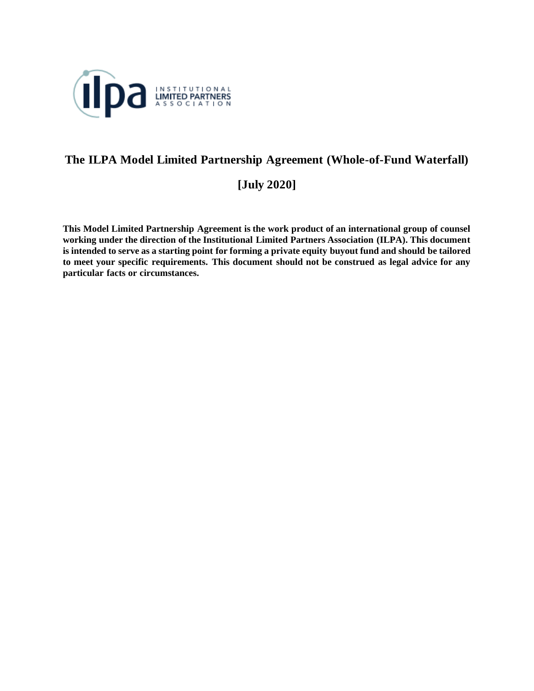

# **The ILPA Model Limited Partnership Agreement (Whole-of-Fund Waterfall)**

**[July 2020]**

**This Model Limited Partnership Agreement is the work product of an international group of counsel working under the direction of the Institutional Limited Partners Association (ILPA). This document is intended to serve as a starting point for forming a private equity buyout fund and should be tailored to meet your specific requirements. This document should not be construed as legal advice for any particular facts or circumstances.**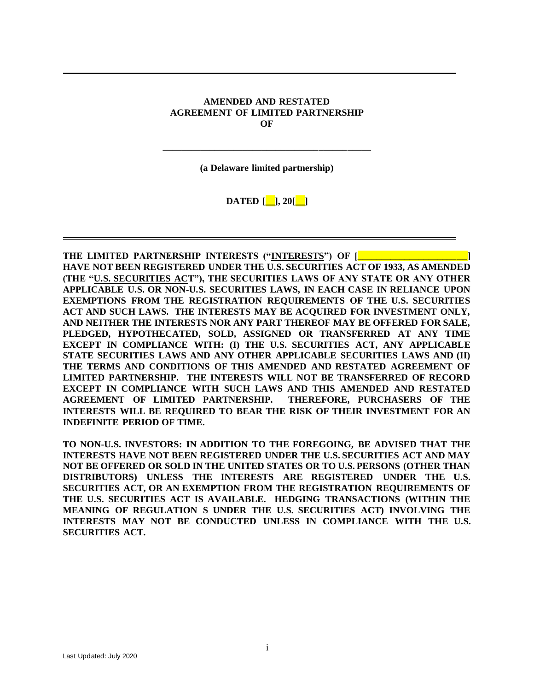#### **AMENDED AND RESTATED AGREEMENT OF LIMITED PARTNERSHIP OF**

**(a Delaware limited partnership)**

**\_\_\_\_\_\_\_\_\_\_\_\_\_\_\_\_\_\_\_\_\_\_\_\_\_\_\_\_\_\_\_\_\_\_\_\_\_\_\_\_\_\_\_\_**

**DATED [\_\_], 20[\_\_]**

**THE LIMITED PARTNERSHIP INTERESTS ("INTERESTS") OF [ HAVE NOT BEEN REGISTERED UNDER THE U.S. SECURITIES ACT OF 1933, AS AMENDED (THE "U.S. SECURITIES ACT"), THE SECURITIES LAWS OF ANY STATE OR ANY OTHER APPLICABLE U.S. OR NON-U.S. SECURITIES LAWS, IN EACH CASE IN RELIANCE UPON EXEMPTIONS FROM THE REGISTRATION REQUIREMENTS OF THE U.S. SECURITIES ACT AND SUCH LAWS. THE INTERESTS MAY BE ACQUIRED FOR INVESTMENT ONLY, AND NEITHER THE INTERESTS NOR ANY PART THEREOF MAY BE OFFERED FOR SALE, PLEDGED, HYPOTHECATED, SOLD, ASSIGNED OR TRANSFERRED AT ANY TIME EXCEPT IN COMPLIANCE WITH: (I) THE U.S. SECURITIES ACT, ANY APPLICABLE STATE SECURITIES LAWS AND ANY OTHER APPLICABLE SECURITIES LAWS AND (II) THE TERMS AND CONDITIONS OF THIS AMENDED AND RESTATED AGREEMENT OF LIMITED PARTNERSHIP. THE INTERESTS WILL NOT BE TRANSFERRED OF RECORD EXCEPT IN COMPLIANCE WITH SUCH LAWS AND THIS AMENDED AND RESTATED AGREEMENT OF LIMITED PARTNERSHIP. THEREFORE, PURCHASERS OF THE INTERESTS WILL BE REQUIRED TO BEAR THE RISK OF THEIR INVESTMENT FOR AN INDEFINITE PERIOD OF TIME.** 

**TO NON-U.S. INVESTORS: IN ADDITION TO THE FOREGOING, BE ADVISED THAT THE INTERESTS HAVE NOT BEEN REGISTERED UNDER THE U.S. SECURITIES ACT AND MAY NOT BE OFFERED OR SOLD IN THE UNITED STATES OR TO U.S. PERSONS (OTHER THAN DISTRIBUTORS) UNLESS THE INTERESTS ARE REGISTERED UNDER THE U.S. SECURITIES ACT, OR AN EXEMPTION FROM THE REGISTRATION REQUIREMENTS OF THE U.S. SECURITIES ACT IS AVAILABLE. HEDGING TRANSACTIONS (WITHIN THE MEANING OF REGULATION S UNDER THE U.S. SECURITIES ACT) INVOLVING THE INTERESTS MAY NOT BE CONDUCTED UNLESS IN COMPLIANCE WITH THE U.S. SECURITIES ACT.**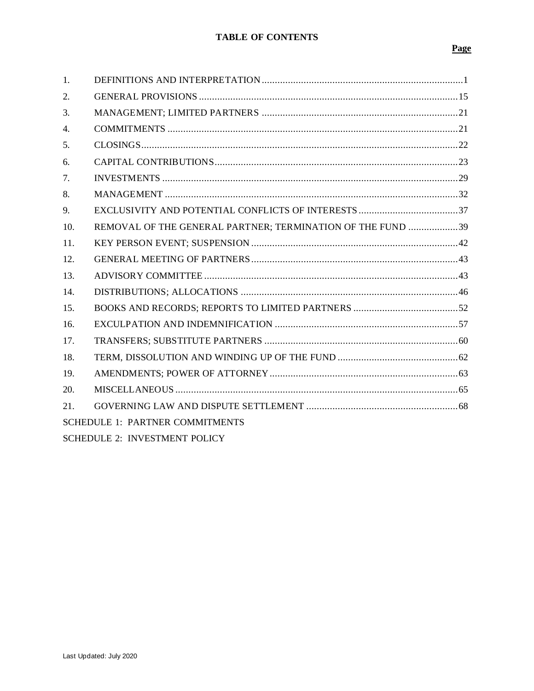# Page

| 1.                                     |                                                            |
|----------------------------------------|------------------------------------------------------------|
| 2.                                     |                                                            |
| 3.                                     |                                                            |
| 4.                                     |                                                            |
| 5.                                     |                                                            |
| 6.                                     |                                                            |
| 7.                                     |                                                            |
| 8.                                     |                                                            |
| 9.                                     |                                                            |
| 10.                                    | REMOVAL OF THE GENERAL PARTNER; TERMINATION OF THE FUND 39 |
| 11.                                    |                                                            |
| 12.                                    |                                                            |
| 13.                                    |                                                            |
| 14.                                    |                                                            |
| 15.                                    |                                                            |
| 16.                                    |                                                            |
| 17.                                    |                                                            |
| 18.                                    |                                                            |
| 19.                                    |                                                            |
| 20.                                    |                                                            |
| 21.                                    |                                                            |
| <b>SCHEDULE 1: PARTNER COMMITMENTS</b> |                                                            |
| <b>SCHEDULE 2: INVESTMENT POLICY</b>   |                                                            |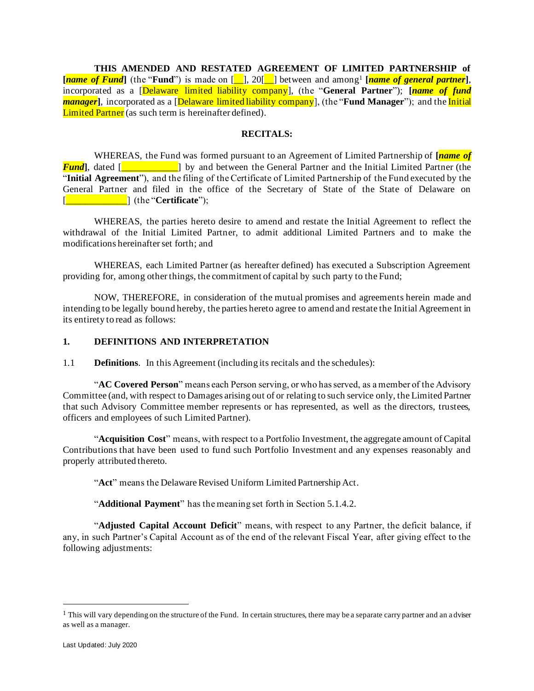**THIS AMENDED AND RESTATED AGREEMENT OF LIMITED PARTNERSHIP of [***name of Fund***]** (the "**Fund**") is made on [\_\_], 20[\_\_] between and among<sup>1</sup> **[***name of general partner***]**, incorporated as a [Delaware limited liability company], (the "**General Partner**"); **[***name of fund manager*<sup>]</sup>, incorporated as a *[Delaware limited liability company*], (the "**Fund Manager**"); and the *Initial* Limited Partner (as such term is hereinafter defined).

#### **RECITALS:**

WHEREAS, the Fund was formed pursuant to an Agreement of Limited Partnership of **[***name of Fund*, dated [**wind** is a large left and between the General Partner and the Initial Limited Partner (the "**Initial Agreement**"), and the filing of the Certificate of Limited Partnership of the Fund executed by the General Partner and filed in the office of the Secretary of State of the State of Delaware on [\_\_\_\_\_\_\_\_\_\_\_\_\_] (the "**Certificate**");

WHEREAS, the parties hereto desire to amend and restate the Initial Agreement to reflect the withdrawal of the Initial Limited Partner, to admit additional Limited Partners and to make the modifications hereinafter set forth; and

WHEREAS, each Limited Partner (as hereafter defined) has executed a Subscription Agreement providing for, among other things, the commitment of capital by such party to the Fund;

NOW, THEREFORE, in consideration of the mutual promises and agreements herein made and intending to be legally bound hereby, the parties hereto agree to amend and restate the Initial Agreement in its entirety to read as follows:

#### <span id="page-3-0"></span>**1. DEFINITIONS AND INTERPRETATION**

1.1 **Definitions**. In this Agreement (including its recitals and the schedules):

"**AC Covered Person**" means each Person serving, or who has served, as a member of the Advisory Committee (and, with respect to Damages arising out of or relating to such service only, the Limited Partner that such Advisory Committee member represents or has represented, as well as the directors, trustees, officers and employees of such Limited Partner).

"**Acquisition Cost**" means, with respect to a Portfolio Investment, the aggregate amount of Capital Contributions that have been used to fund such Portfolio Investment and any expenses reasonably and properly attributed thereto.

"**Act**" means the Delaware Revised Uniform Limited Partnership Act.

"**Additional Payment**" has the meaning set forth in Section [5.1.4.2.](#page-25-1)

"**Adjusted Capital Account Deficit**" means, with respect to any Partner, the deficit balance, if any, in such Partner's Capital Account as of the end of the relevant Fiscal Year, after giving effect to the following adjustments:

 $<sup>1</sup>$  This will vary depending on the structure of the Fund. In certain structures, there may be a separate carry partner and an adviser</sup> as well as a manager.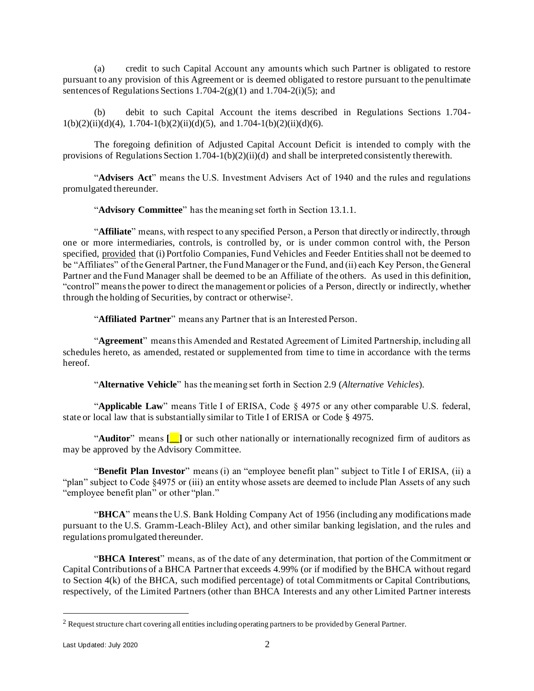(a) credit to such Capital Account any amounts which such Partner is obligated to restore pursuant to any provision of this Agreement or is deemed obligated to restore pursuant to the penultimate sentences of Regulations Sections 1.704-2(g)(1) and 1.704-2(i)(5); and

(b) debit to such Capital Account the items described in Regulations Sections 1.704-  $1(b)(2)(ii)(d)(4)$ ,  $1.704-1(b)(2)(ii)(d)(5)$ , and  $1.704-1(b)(2)(ii)(d)(6)$ .

The foregoing definition of Adjusted Capital Account Deficit is intended to comply with the provisions of Regulations Section 1.704-1(b)(2)(ii)(d) and shall be interpreted consistently therewith.

"**Advisers Act**" means the U.S. Investment Advisers Act of 1940 and the rules and regulations promulgated thereunder.

"**Advisory Committee**" has the meaning set forth in Section [13.1.1.](#page-45-2)

"**Affiliate**" means, with respect to any specified Person, a Person that directly or indirectly, through one or more intermediaries, controls, is controlled by, or is under common control with, the Person specified, provided that (i) Portfolio Companies, Fund Vehicles and Feeder Entities shall not be deemed to be "Affiliates" of the General Partner, the Fund Manager or the Fund, and (ii) each Key Person, the General Partner and the Fund Manager shall be deemed to be an Affiliate of the others. As used in this definition, "control" means the power to direct the management or policies of a Person, directly or indirectly, whether through the holding of Securities, by contract or otherwise<sup>2</sup> .

"**Affiliated Partner**" means any Partner that is an Interested Person.

"**Agreement**" means this Amended and Restated Agreement of Limited Partnership, including all schedules hereto, as amended, restated or supplemented from time to time in accordance with the terms hereof.

"**Alternative Vehicle**" has the meaning set forth in Sectio[n 2.9](#page-21-0) (*Alternative Vehicles*).

"**Applicable Law**" means Title I of ERISA, Code § 4975 or any other comparable U.S. federal, state or local law that is substantially similar to Title I of ERISA or Code § 4975.

"**Auditor**" means **[\_\_]** or such other nationally or internationally recognized firm of auditors as may be approved by the Advisory Committee.

"**Benefit Plan Investor**" means (i) an "employee benefit plan" subject to Title I of ERISA, (ii) a "plan" subject to Code §4975 or (iii) an entity whose assets are deemed to include Plan Assets of any such "employee benefit plan" or other "plan."

"**BHCA**" means the U.S. Bank Holding Company Act of 1956 (including any modifications made pursuant to the U.S. Gramm-Leach-Bliley Act), and other similar banking legislation, and the rules and regulations promulgated thereunder.

"**BHCA Interest**" means, as of the date of any determination, that portion of the Commitment or Capital Contributions of a BHCA Partner that exceeds 4.99% (or if modified by the BHCA without regard to Section 4(k) of the BHCA, such modified percentage) of total Commitments or Capital Contributions, respectively, of the Limited Partners (other than BHCA Interests and any other Limited Partner interests

<sup>2</sup> Request structure chart covering all entities including operating partners to be provided by General Partner.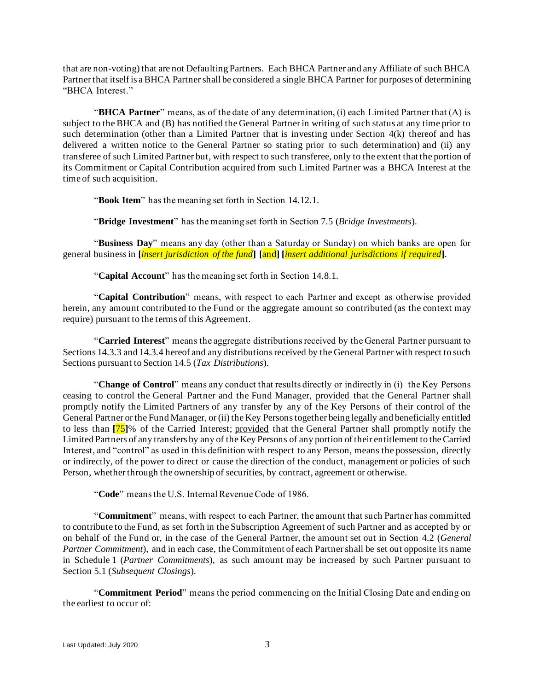that are non-voting) that are not Defaulting Partners. Each BHCA Partner and any Affiliate of such BHCA Partner that itself is a BHCA Partner shall be considered a single BHCA Partner for purposes of determining "BHCA Interest."

"**BHCA Partner**" means, as of the date of any determination, (i) each Limited Partner that (A) is subject to the BHCA and (B) has notified the General Partner in writing of such status at any time prior to such determination (other than a Limited Partner that is investing under Section 4(k) thereof and has delivered a written notice to the General Partner so stating prior to such determination) and (ii) any transferee of such Limited Partner but, with respect to such transferee, only to the extent that the portion of its Commitment or Capital Contribution acquired from such Limited Partner was a BHCA Interest at the time of such acquisition.

"**Book Item**" has the meaning set forth in Section [14.12.1.](#page-54-1)

"**Bridge Investment**" has the meaning set forth in Section [7.5](#page-33-0) (*Bridge Investments*).

"**Business Day**" means any day (other than a Saturday or Sunday) on which banks are open for general business in **[***insert jurisdiction of the fund***] [**and**] [***insert additional jurisdictions if required***]**.

"**Capital Account**" has the meaning set forth in Section [14.8.](#page-52-0)1.

"**Capital Contribution**" means, with respect to each Partner and except as otherwise provided herein, any amount contributed to the Fund or the aggregate amount so contributed (as the context may require) pursuant to the terms of this Agreement.

"**Carried Interest**" means the aggregate distributions received by the General Partner pursuant to Section[s 14.3.3](#page-49-0) an[d 14.3.4](#page-49-1) hereof and any distributions received by the General Partner with respect to such Sections pursuant to Section [14.5](#page-50-0) (*Tax Distributions*).

"**Change of Control**" means any conduct that results directly or indirectly in (i) the Key Persons ceasing to control the General Partner and the Fund Manager, provided that the General Partner shall promptly notify the Limited Partners of any transfer by any of the Key Persons of their control of the General Partner or the Fund Manager, or (ii) the Key Persons together being legally and beneficially entitled to less than **[**75**]**% of the Carried Interest; provided that the General Partner shall promptly notify the Limited Partners of any transfers by any of the Key Persons of any portion of their entitlement to the Carried Interest, and "control" as used in this definition with respect to any Person, means the possession, directly or indirectly, of the power to direct or cause the direction of the conduct, management or policies of such Person, whether through the ownership of securities, by contract, agreement or otherwise.

"**Code**" means the U.S. Internal Revenue Code of 1986.

"**Commitment**" means, with respect to each Partner, the amount that such Partner has committed to contribute to the Fund, as set forth in the Subscription Agreement of such Partner and as accepted by or on behalf of the Fund or, in the case of the General Partner, the amount set out in Section [4.2](#page-23-2) (*General Partner Commitment*), and in each case, the Commitment of each Partner shall be set out opposite its name in Schedule 1 (*Partner Commitments*), as such amount may be increased by such Partner pursuant to Section [5.1](#page-24-1) (*Subsequent Closings*).

"**Commitment Period**" means the period commencing on the Initial Closing Date and ending on the earliest to occur of: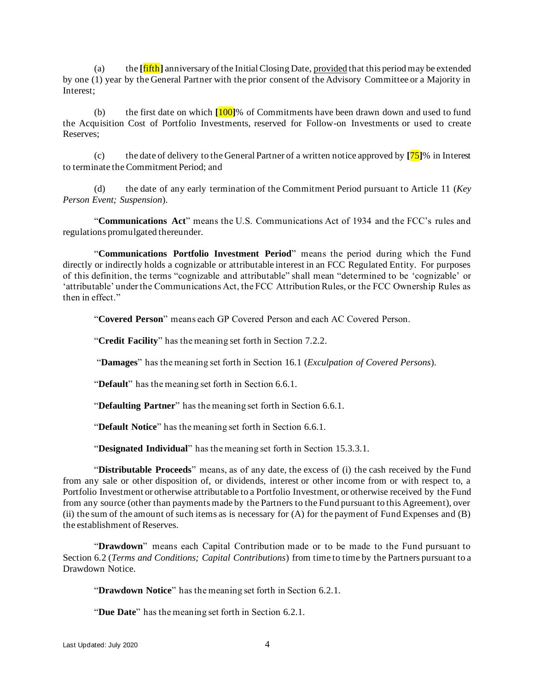(a) the **[**fifth**]** anniversary of the Initial Closing Date, provided that this period may be extended by one (1) year by the General Partner with the prior consent of the Advisory Committee or a Majority in Interest;

(b) the first date on which **[**100**]**% of Commitments have been drawn down and used to fund the Acquisition Cost of Portfolio Investments, reserved for Follow-on Investments or used to create Reserves;

(c) the date of delivery to the General Partner of a written notice approved by **[**75**]**% in Interest to terminate the Commitment Period; and

(d) the date of any early termination of the Commitment Period pursuant to Article [11](#page-44-0) (*Key Person Event; Suspension*).

"**Communications Act**" means the U.S. Communications Act of 1934 and the FCC's rules and regulations promulgated thereunder.

"**Communications Portfolio Investment Period**" means the period during which the Fund directly or indirectly holds a cognizable or attributable interest in an FCC Regulated Entity. For purposes of this definition, the terms "cognizable and attributable" shall mean "determined to be 'cognizable' or 'attributable' under the Communications Act, the FCC Attribution Rules, or the FCC Ownership Rules as then in effect."

"**Covered Person**" means each GP Covered Person and each AC Covered Person.

"**Credit Facility**" has the meaning set forth in Section [7.2.2.](#page-33-1)

"**Damages**" has the meaning set forth in Section [16.1](#page-60-0) (*Exculpation of Covered Persons*).

"**Default**" has the meaning set forth in Section [6.6.1.](#page-28-0)

"**Defaulting Partner**" has the meaning set forth in Section [6.6.1.](#page-28-0)

"**Default Notice**" has the meaning set forth in Section [6.6.1.](#page-28-0)

"**Designated Individual**" has the meaning set forth in Section [15.3.3.1.](#page-57-0)

"**Distributable Proceeds**" means, as of any date, the excess of (i) the cash received by the Fund from any sale or other disposition of, or dividends, interest or other income from or with respect to, a Portfolio Investment or otherwise attributable to a Portfolio Investment, or otherwise received by the Fund from any source (other than payments made by the Partners to the Fund pursuant to this Agreement), over (ii) the sum of the amount of such items as is necessary for (A) for the payment of Fund Expenses and (B) the establishment of Reserves.

"**Drawdown**" means each Capital Contribution made or to be made to the Fund pursuant to Section [6.2](#page-26-0) (*Terms and Conditions; Capital Contributions*) from time to time by the Partners pursuant to a Drawdown Notice.

"**Drawdown Notice**" has the meaning set forth in Section [6.2.1.](#page-26-1)

"**Due Date**" has the meaning set forth in Section [6.2.1.](#page-26-1)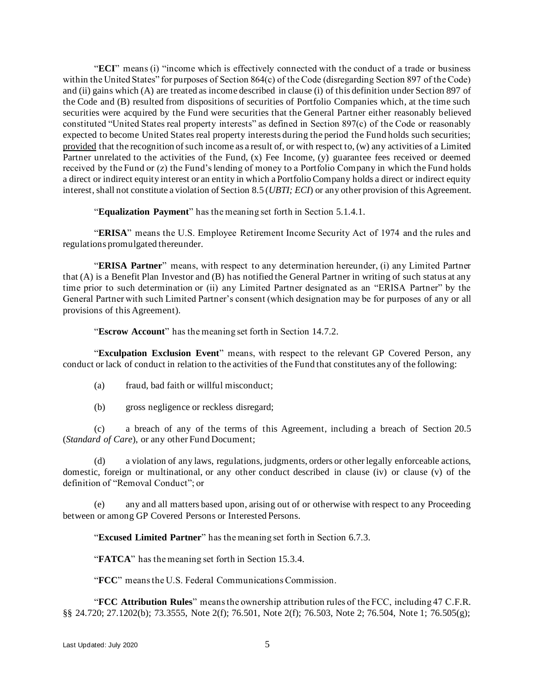"**ECI**" means (i) "income which is effectively connected with the conduct of a trade or business within the United States" for purposes of Section 864(c) of the Code (disregarding Section 897 of the Code) and (ii) gains which (A) are treated as income described in clause (i) of this definition under Section 897 of the Code and (B) resulted from dispositions of securities of Portfolio Companies which, at the time such securities were acquired by the Fund were securities that the General Partner either reasonably believed constituted "United States real property interests" as defined in Section 897(c) of the Code or reasonably expected to become United States real property interests during the period the Fund holds such securities; provided that the recognition of such income as a result of, or with respect to, (w) any activities of a Limited Partner unrelated to the activities of the Fund, (x) Fee Income, (y) guarantee fees received or deemed received by the Fund or (z) the Fund's lending of money to a Portfolio Company in which the Fund holds a direct or indirect equity interest or an entity in which a Portfolio Company holds a direct or indirect equity interest, shall not constitute a violation of Sectio[n 8.5](#page-37-0) (*UBTI; ECI*) or any other provision of this Agreement.

"**Equalization Payment**" has the meaning set forth in Section [5.1.4.1.](#page-25-2)

"**ERISA**" means the U.S. Employee Retirement Income Security Act of 1974 and the rules and regulations promulgated thereunder.

"**ERISA Partner**" means, with respect to any determination hereunder, (i) any Limited Partner that (A) is a Benefit Plan Investor and (B) has notified the General Partner in writing of such status at any time prior to such determination or (ii) any Limited Partner designated as an "ERISA Partner" by the General Partner with such Limited Partner's consent (which designation may be for purposes of any or all provisions of this Agreement).

"**Escrow Account**" has the meaning set forth in Section [14.7.2.](#page-52-1)

"**Exculpation Exclusion Event**" means, with respect to the relevant GP Covered Person, any conduct or lack of conduct in relation to the activities of the Fund that constitutes any of the following:

- (a) fraud, bad faith or willful misconduct;
- (b) gross negligence or reckless disregard;

(c) a breach of any of the terms of this Agreement, including a breach of Section [20.5](#page-68-0) (*Standard of Care*), or any other Fund Document;

(d) a violation of any laws, regulations, judgments, orders or other legally enforceable actions, domestic, foreign or multinational, or any other conduct described in clause (iv) or clause (v) of the definition of "Removal Conduct"; or

(e) any and all matters based upon, arising out of or otherwise with respect to any Proceeding between or among GP Covered Persons or Interested Persons.

"**Excused Limited Partner**" has the meaning set forth in Section [6.7.3.](#page-31-1)

"**FATCA**" has the meaning set forth in Section [15.3.4.](#page-58-0)

"**FCC**" means the U.S. Federal Communications Commission.

"**FCC Attribution Rules**" means the ownership attribution rules of the FCC, including 47 C.F.R. §§ 24.720; 27.1202(b); 73.3555, Note 2(f); 76.501, Note 2(f); 76.503, Note 2; 76.504, Note 1; 76.505(g);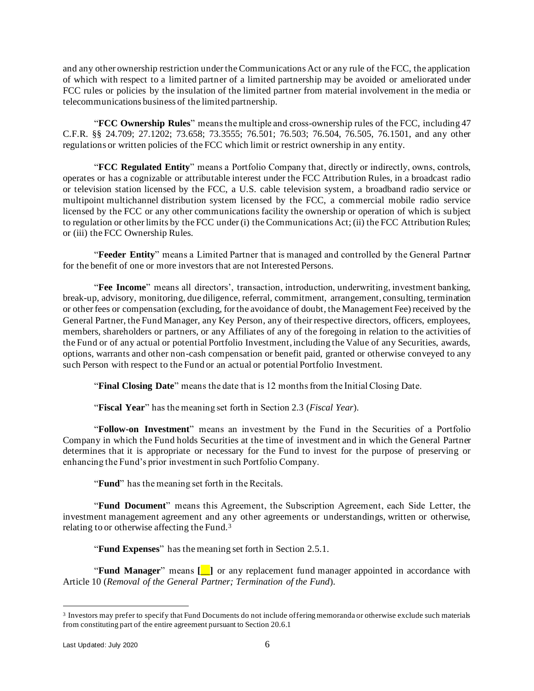and any other ownership restriction under the Communications Act or any rule of the FCC, the application of which with respect to a limited partner of a limited partnership may be avoided or ameliorated under FCC rules or policies by the insulation of the limited partner from material involvement in the media or telecommunications business of the limited partnership.

"**FCC Ownership Rules**" means the multiple and cross-ownership rules of the FCC, including 47 C.F.R. §§ 24.709; 27.1202; 73.658; 73.3555; 76.501; 76.503; 76.504, 76.505, 76.1501, and any other regulations or written policies of the FCC which limit or restrict ownership in any entity.

"**FCC Regulated Entity**" means a Portfolio Company that, directly or indirectly, owns, controls, operates or has a cognizable or attributable interest under the FCC Attribution Rules, in a broadcast radio or television station licensed by the FCC, a U.S. cable television system, a broadband radio service or multipoint multichannel distribution system licensed by the FCC, a commercial mobile radio service licensed by the FCC or any other communications facility the ownership or operation of which is subject to regulation or other limits by the FCC under (i) the Communications Act; (ii) the FCC Attribution Rules; or (iii) the FCC Ownership Rules.

"**Feeder Entity**" means a Limited Partner that is managed and controlled by the General Partner for the benefit of one or more investors that are not Interested Persons.

"**Fee Income**" means all directors', transaction, introduction, underwriting, investment banking, break-up, advisory, monitoring, due diligence, referral, commitment, arrangement, consulting, termination or other fees or compensation (excluding, for the avoidance of doubt, the Management Fee) received by the General Partner, the Fund Manager, any Key Person, any of their respective directors, officers, employees, members, shareholders or partners, or any Affiliates of any of the foregoing in relation to the activities of the Fund or of any actual or potential Portfolio Investment, including the Value of any Securities, awards, options, warrants and other non-cash compensation or benefit paid, granted or otherwise conveyed to any such Person with respect to the Fund or an actual or potential Portfolio Investment.

"**Final Closing Date**" means the date that is 12 months from the Initial Closing Date.

"**Fiscal Year**" has the meaning set forth in Section [2.3](#page-18-0) (*Fiscal Year*).

"**Follow-on Investment**" means an investment by the Fund in the Securities of a Portfolio Company in which the Fund holds Securities at the time of investment and in which the General Partner determines that it is appropriate or necessary for the Fund to invest for the purpose of preserving or enhancing the Fund's prior investment in such Portfolio Company.

"**Fund**" has the meaning set forth in the Recitals.

"**Fund Document**" means this Agreement, the Subscription Agreement, each Side Letter, the investment management agreement and any other agreements or understandings, written or otherwise, relating to or otherwise affecting the Fund.<sup>3</sup>

"**Fund Expenses**" has the meaning set forth in Section [2.5.1.](#page-18-1)

"**Fund Manager**" means **[**\_\_**]** or any replacement fund manager appointed in accordance with Article [10](#page-41-0) (*Removal of the General Partner; Termination of the Fund*).

<sup>&</sup>lt;sup>3</sup> Investors may prefer to specify that Fund Documents do not include offering memoranda or otherwise exclude such materials from constituting part of the entire agreement pursuant to Section 20.6.1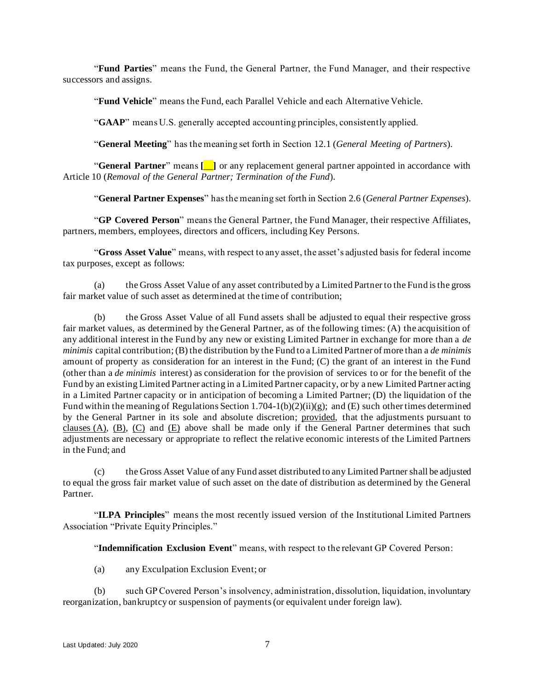"**Fund Parties**" means the Fund, the General Partner, the Fund Manager, and their respective successors and assigns.

"**Fund Vehicle**" means the Fund, each Parallel Vehicle and each Alternative Vehicle.

"**GAAP**" means U.S. generally accepted accounting principles, consistently applied.

"**General Meeting**" has the meaning set forth in Section [12.1](#page-45-3) (*General Meeting of Partners*).

"**General Partner**" means **[**\_\_**]** or any replacement general partner appointed in accordance with Article [10](#page-41-0) (*Removal of the General Partner; Termination of the Fund*).

"**General Partner Expenses**" has the meaning set forth in Section 2.6 (*General Partner Expenses*).

"**GP Covered Person**" means the General Partner, the Fund Manager, their respective Affiliates, partners, members, employees, directors and officers, including Key Persons.

"**Gross Asset Value**" means, with respect to any asset, the asset's adjusted basis for federal income tax purposes, except as follows:

(a) the Gross Asset Value of any asset contributed by a Limited Partner to the Fund is the gross fair market value of such asset as determined at the time of contribution;

(b) the Gross Asset Value of all Fund assets shall be adjusted to equal their respective gross fair market values, as determined by the General Partner, as of the following times: (A) the acquisition of any additional interest in the Fund by any new or existing Limited Partner in exchange for more than a *de minimis* capital contribution; (B) the distribution by the Fund to a Limited Partner of more than a *de minimis* amount of property as consideration for an interest in the Fund; (C) the grant of an interest in the Fund (other than a *de minimis* interest) as consideration for the provision of services to or for the benefit of the Fund by an existing Limited Partner acting in a Limited Partner capacity, or by a new Limited Partner acting in a Limited Partner capacity or in anticipation of becoming a Limited Partner; (D) the liquidation of the Fund within the meaning of Regulations Section 1.704-1(b)(2)(ii)(g); and (E) such other times determined by the General Partner in its sole and absolute discretion; provided, that the adjustments pursuant to clauses (A), (B), (C) and (E) above shall be made only if the General Partner determines that such adjustments are necessary or appropriate to reflect the relative economic interests of the Limited Partners in the Fund; and

(c) the Gross Asset Value of any Fund asset distributed to any Limited Partner shall be adjusted to equal the gross fair market value of such asset on the date of distribution as determined by the General Partner.

"**ILPA Principles**" means the most recently issued version of the Institutional Limited Partners Association "Private Equity Principles."

"**Indemnification Exclusion Event**" means, with respect to the relevant GP Covered Person:

(a) any Exculpation Exclusion Event; or

(b) such GP Covered Person's insolvency, administration, dissolution, liquidation, involuntary reorganization, bankruptcy or suspension of payments (or equivalent under foreign law).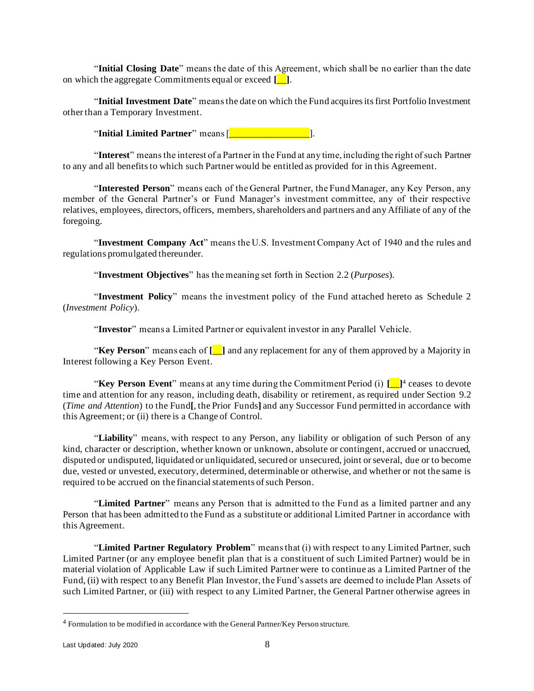"**Initial Closing Date**" means the date of this Agreement, which shall be no earlier than the date on which the aggregate Commitments equal or exceed **[**\_\_**]**.

"**Initial Investment Date**" means the date on which the Fund acquires its first Portfolio Investment other than a Temporary Investment.

"**Initial Limited Partner**" means [\_\_\_\_\_\_\_\_\_\_\_\_\_\_\_\_\_].

"**Interest**" means the interest of a Partner in the Fund at any time, including the right of such Partner to any and all benefits to which such Partner would be entitled as provided for in this Agreement.

"**Interested Person**" means each of the General Partner, the Fund Manager, any Key Person, any member of the General Partner's or Fund Manager's investment committee, any of their respective relatives, employees, directors, officers, members, shareholders and partners and any Affiliate of any of the foregoing.

"**Investment Company Act**" means the U.S. Investment Company Act of 1940 and the rules and regulations promulgated thereunder.

"**Investment Objectives**" has the meaning set forth in Section [2.2](#page-17-1) (*Purposes*).

"**Investment Policy**" means the investment policy of the Fund attached hereto as Schedule 2 (*Investment Policy*).

"**Investor**" means a Limited Partner or equivalent investor in any Parallel Vehicle.

"**Key Person**" means each of **[**\_\_**]** and any replacement for any of them approved by a Majority in Interest following a Key Person Event.

"**Key Person Event**" means at any time during the Commitment Period (i) **[**\_\_**]** <sup>4</sup> ceases to devote time and attention for any reason, including death, disability or retirement, as required under Section [9.2](#page-39-1) (*Time and Attention*) to the Fund**[**, the Prior Funds**]** and any Successor Fund permitted in accordance with this Agreement; or (ii) there is a Change of Control.

"**Liability**" means, with respect to any Person, any liability or obligation of such Person of any kind, character or description, whether known or unknown, absolute or contingent, accrued or unaccrued, disputed or undisputed, liquidated or unliquidated, secured or unsecured, joint or several, due or to become due, vested or unvested, executory, determined, determinable or otherwise, and whether or not the same is required to be accrued on the financial statements of such Person.

"**Limited Partner**" means any Person that is admitted to the Fund as a limited partner and any Person that has been admitted to the Fund as a substitute or additional Limited Partner in accordance with this Agreement.

"**Limited Partner Regulatory Problem**" means that (i) with respect to any Limited Partner, such Limited Partner (or any employee benefit plan that is a constituent of such Limited Partner) would be in material violation of Applicable Law if such Limited Partner were to continue as a Limited Partner of the Fund, (ii) with respect to any Benefit Plan Investor, the Fund's assets are deemed to include Plan Assets of such Limited Partner, or (iii) with respect to any Limited Partner, the General Partner otherwise agrees in

<sup>4</sup> Formulation to be modified in accordance with the General Partner/Key Person structure.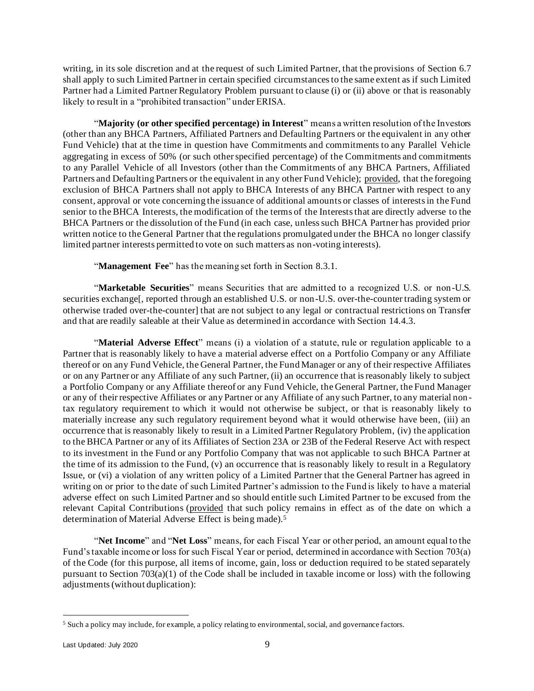writing, in its sole discretion and at the request of such Limited Partner, that the provisions of Section [6.7](#page-30-0) shall apply to such Limited Partner in certain specified circumstances to the same extent as if such Limited Partner had a Limited Partner Regulatory Problem pursuant to clause (i) or (ii) above or that is reasonably likely to result in a "prohibited transaction" under ERISA.

"**Majority (or other specified percentage) in Interest**" means a written resolution of the Investors (other than any BHCA Partners, Affiliated Partners and Defaulting Partners or the equivalent in any other Fund Vehicle) that at the time in question have Commitments and commitments to any Parallel Vehicle aggregating in excess of 50% (or such other specified percentage) of the Commitments and commitments to any Parallel Vehicle of all Investors (other than the Commitments of any BHCA Partners, Affiliated Partners and Defaulting Partners or the equivalent in any other Fund Vehicle); provided, that the foregoing exclusion of BHCA Partners shall not apply to BHCA Interests of any BHCA Partner with respect to any consent, approval or vote concerning the issuance of additional amounts or classes of interests in the Fund senior to the BHCA Interests, the modification of the terms of the Interests that are directly adverse to the BHCA Partners or the dissolution of the Fund (in each case, unless such BHCA Partner has provided prior written notice to the General Partner that the regulations promulgated under the BHCA no longer classify limited partner interests permitted to vote on such matters as non-voting interests).

"**Management Fee**" has the meaning set forth in Section [8.3.1.](#page-35-0)

"**Marketable Securities**" means Securities that are admitted to a recognized U.S. or non-U.S. securities exchange[, reported through an established U.S. or non-U.S. over-the-counter trading system or otherwise traded over-the-counter] that are not subject to any legal or contractual restrictions on Transfer and that are readily saleable at their Value as determined in accordance with Section [14.4.3.](#page-50-1)

"**Material Adverse Effect**" means (i) a violation of a statute, rule or regulation applicable to a Partner that is reasonably likely to have a material adverse effect on a Portfolio Company or any Affiliate thereof or on any Fund Vehicle, the General Partner, the Fund Manager or any of their respective Affiliates or on any Partner or any Affiliate of any such Partner, (ii) an occurrence that is reasonably likely to subject a Portfolio Company or any Affiliate thereof or any Fund Vehicle, the General Partner, the Fund Manager or any of their respective Affiliates or any Partner or any Affiliate of any such Partner, to any material nontax regulatory requirement to which it would not otherwise be subject, or that is reasonably likely to materially increase any such regulatory requirement beyond what it would otherwise have been, (iii) an occurrence that is reasonably likely to result in a Limited Partner Regulatory Problem, (iv) the application to the BHCA Partner or any of its Affiliates of Section 23A or 23B of the Federal Reserve Act with respect to its investment in the Fund or any Portfolio Company that was not applicable to such BHCA Partner at the time of its admission to the Fund, (v) an occurrence that is reasonably likely to result in a Regulatory Issue, or (vi) a violation of any written policy of a Limited Partner that the General Partner has agreed in writing on or prior to the date of such Limited Partner's admission to the Fund is likely to have a material adverse effect on such Limited Partner and so should entitle such Limited Partner to be excused from the relevant Capital Contributions (provided that such policy remains in effect as of the date on which a determination of Material Adverse Effect is being made).<sup>5</sup>

"**Net Income**" and "**Net Loss**" means, for each Fiscal Year or other period, an amount equal to the Fund's taxable income or loss for such Fiscal Year or period, determined in accordance with Section 703(a) of the Code (for this purpose, all items of income, gain, loss or deduction required to be stated separately pursuant to Section 703(a)(1) of the Code shall be included in taxable income or loss) with the following adjustments (without duplication):

<sup>5</sup> Such a policy may include, for example, a policy relating to environmental, social, and governance factors.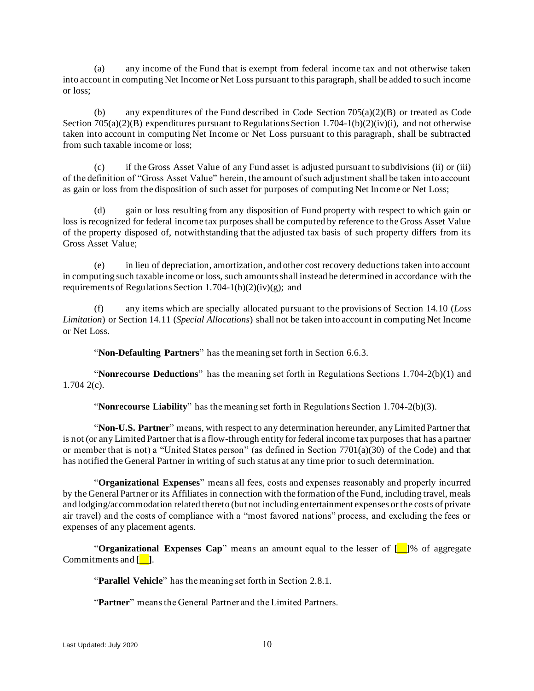(a) any income of the Fund that is exempt from federal income tax and not otherwise taken into account in computing Net Income or Net Loss pursuant to this paragraph, shall be added to such income or loss;

(b) any expenditures of the Fund described in Code Section  $705(a)(2)(B)$  or treated as Code Section 705(a)(2)(B) expenditures pursuant to Regulations Section 1.704-1(b)(2)(iv)(i), and not otherwise taken into account in computing Net Income or Net Loss pursuant to this paragraph, shall be subtracted from such taxable income or loss;

(c) if the Gross Asset Value of any Fund asset is adjusted pursuant to subdivisions (ii) or (iii) of the definition of "Gross Asset Value" herein, the amount of such adjustment shall be taken into account as gain or loss from the disposition of such asset for purposes of computing Net Income or Net Loss;

(d) gain or loss resulting from any disposition of Fund property with respect to which gain or loss is recognized for federal income tax purposes shall be computed by reference to the Gross Asset Value of the property disposed of, notwithstanding that the adjusted tax basis of such property differs from its Gross Asset Value;

(e) in lieu of depreciation, amortization, and other cost recovery deductions taken into account in computing such taxable income or loss, such amounts shall instead be determined in accordance with the requirements of Regulations Section 1.704-1(b)(2)(iv)(g); and

(f) any items which are specially allocated pursuant to the provisions of Section [14.10](#page-53-0) (*Loss Limitation*) or Section [14.11](#page-53-1) (*Special Allocations*) shall not be taken into account in computing Net Income or Net Loss.

"**Non-Defaulting Partners**" has the meaning set forth in Section 6.6.3.

"**Nonrecourse Deductions**" has the meaning set forth in Regulations Sections 1.704-2(b)(1) and 1.704 2(c).

"**Nonrecourse Liability**" has the meaning set forth in Regulations Section 1.704-2(b)(3).

"**Non-U.S. Partner**" means, with respect to any determination hereunder, any Limited Partner that is not (or any Limited Partner that is a flow-through entity for federal income tax purposes that has a partner or member that is not) a "United States person" (as defined in Section 7701(a)(30) of the Code) and that has notified the General Partner in writing of such status at any time prior to such determination.

"**Organizational Expenses**" means all fees, costs and expenses reasonably and properly incurred by the General Partner or its Affiliates in connection with the formation of the Fund, including travel, meals and lodging/accommodation related thereto (but not including entertainment expenses or the costs of private air travel) and the costs of compliance with a "most favored nations" process, and excluding the fees or expenses of any placement agents.

"**Organizational Expenses Cap**" means an amount equal to the lesser of **[**\_\_**]**% of aggregate Commitments and **[**\_\_**]**.

"**Parallel Vehicle**" has the meaning set forth in Section [2.8.1.](#page-21-1)

"**Partner**" means the General Partner and the Limited Partners.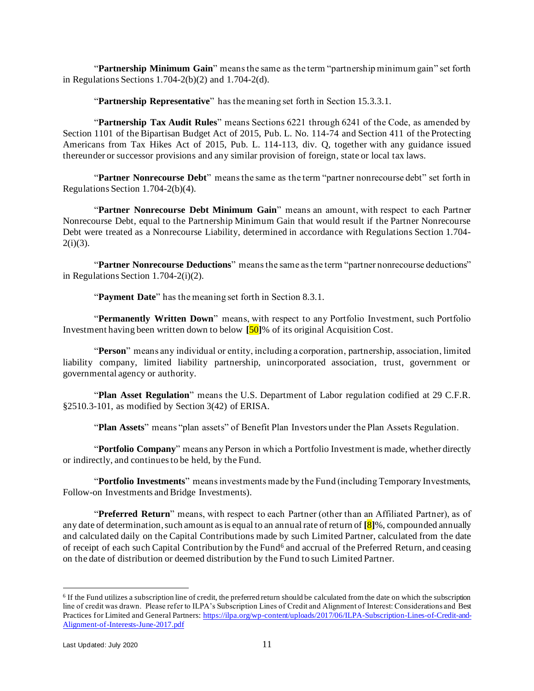"**Partnership Minimum Gain**" means the same as the term "partnership minimum gain" set forth in Regulations Sections 1.704-2(b)(2) and 1.704-2(d).

"**Partnership Representative**" has the meaning set forth in Section [15.3.3.1.](#page-57-0)

"**Partnership Tax Audit Rules**" means Sections 6221 through 6241 of the Code, as amended by Section 1101 of the Bipartisan Budget Act of 2015, Pub. L. No. 114-74 and Section 411 of the Protecting Americans from Tax Hikes Act of 2015, Pub. L. 114-113, div. Q, together with any guidance issued thereunder or successor provisions and any similar provision of foreign, state or local tax laws.

"**Partner Nonrecourse Debt**" means the same as the term "partner nonrecourse debt" set forth in Regulations Section 1.704-2(b)(4).

"**Partner Nonrecourse Debt Minimum Gain**" means an amount, with respect to each Partner Nonrecourse Debt, equal to the Partnership Minimum Gain that would result if the Partner Nonrecourse Debt were treated as a Nonrecourse Liability, determined in accordance with Regulations Section 1.704-  $2(i)(3)$ .

"**Partner Nonrecourse Deductions**" means the same as the term "partner nonrecourse deductions" in Regulations Section 1.704-2(i)(2).

"**Payment Date**" has the meaning set forth in Section [8.3.1.](#page-35-0)

"**Permanently Written Down**" means, with respect to any Portfolio Investment, such Portfolio Investment having been written down to below **[**50**]**% of its original Acquisition Cost.

"**Person**" means any individual or entity, including a corporation, partnership, association, limited liability company, limited liability partnership, unincorporated association, trust, government or governmental agency or authority.

"**Plan Asset Regulation**" means the U.S. Department of Labor regulation codified at 29 C.F.R. §2510.3-101, as modified by Section 3(42) of ERISA.

"**Plan Assets**" means "plan assets" of Benefit Plan Investors under the Plan Assets Regulation.

"**Portfolio Company**" means any Person in which a Portfolio Investment is made, whether directly or indirectly, and continues to be held, by the Fund.

"**Portfolio Investments**" means investments made by the Fund (including Temporary Investments, Follow-on Investments and Bridge Investments).

"**Preferred Return**" means, with respect to each Partner (other than an Affiliated Partner), as of any date of determination, such amount as is equal to an annual rate of return of **[**8**]**%, compounded annually and calculated daily on the Capital Contributions made by such Limited Partner, calculated from the date of receipt of each such Capital Contribution by the Fund<sup>6</sup> and accrual of the Preferred Return, and ceasing on the date of distribution or deemed distribution by the Fund to such Limited Partner.

<sup>6</sup> If the Fund utilizes a subscription line of credit, the preferred return should be calculated from the date on which the subscription line of credit was drawn. Please refer to ILPA's Subscription Lines of Credit and Alignment of Interest: Considerations and Best Practices for Limited and General Partners: [https://ilpa.org/wp-content/uploads/2017/06/ILPA-Subscription-Lines-of-Credit-and-](https://ilpa.org/wp-content/uploads/2017/06/ILPA-Subscription-Lines-of-Credit-and-Alignment-of-Interests-June-2017.pdf)[Alignment-of-Interests-June-2017.pdf](https://ilpa.org/wp-content/uploads/2017/06/ILPA-Subscription-Lines-of-Credit-and-Alignment-of-Interests-June-2017.pdf)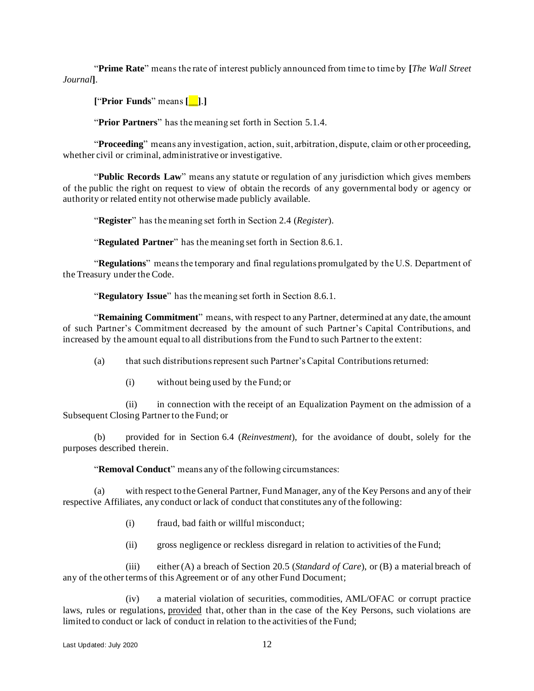"**Prime Rate**" means the rate of interest publicly announced from time to time by **[***The Wall Street Journal***]**.

**[**"**Prior Funds**" means **[**\_\_**]**.**]**

"**Prior Partners**" has the meaning set forth in Section [5.1.4.](#page-25-3)

"**Proceeding**" means any investigation, action, suit, arbitration, dispute, claim or other proceeding, whether civil or criminal, administrative or investigative.

"**Public Records Law**" means any statute or regulation of any jurisdiction which gives members of the public the right on request to view of obtain the records of any governmental body or agency or authority or related entity not otherwise made publicly available.

"**Register**" has the meaning set forth in Section [2.4](#page-18-2) (*Register*).

"**Regulated Partner**" has the meaning set forth in Section [8.6.1.](#page-37-1)

"**Regulations**" means the temporary and final regulations promulgated by the U.S. Department of the Treasury under the Code.

"**Regulatory Issue**" has the meaning set forth in Section [8.6.1.](#page-37-1)

"**Remaining Commitment**" means, with respect to any Partner, determined at any date, the amount of such Partner's Commitment decreased by the amount of such Partner's Capital Contributions, and increased by the amount equal to all distributions from the Fund to such Partner to the extent:

(a) that such distributions represent such Partner's Capital Contributions returned:

(i) without being used by the Fund; or

(ii) in connection with the receipt of an Equalization Payment on the admission of a Subsequent Closing Partner to the Fund; or

(b) provided for in Section [6.4](#page-27-0) (*Reinvestment*), for the avoidance of doubt, solely for the purposes described therein.

"**Removal Conduct**" means any of the following circumstances:

(a) with respect to the General Partner, Fund Manager, any of the Key Persons and any of their respective Affiliates, any conduct or lack of conduct that constitutes any of the following:

- (i) fraud, bad faith or willful misconduct;
- (ii) gross negligence or reckless disregard in relation to activities of the Fund;

(iii) either (A) a breach of Section [20.5](#page-68-0) (*Standard of Care*), or (B) a material breach of any of the other terms of this Agreement or of any other Fund Document;

(iv) a material violation of securities, commodities, AML/OFAC or corrupt practice laws, rules or regulations, provided that, other than in the case of the Key Persons, such violations are limited to conduct or lack of conduct in relation to the activities of the Fund;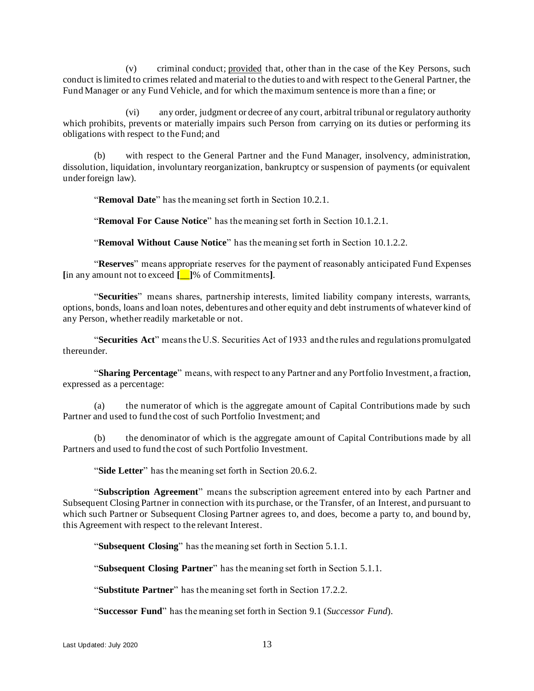(v) criminal conduct; provided that, other than in the case of the Key Persons, such conduct is limited to crimes related and material to the duties to and with respect to the General Partner, the Fund Manager or any Fund Vehicle, and for which the maximum sentence is more than a fine; or

(vi) any order, judgment or decree of any court, arbitral tribunal or regulatory authority which prohibits, prevents or materially impairs such Person from carrying on its duties or performing its obligations with respect to the Fund; and

(b) with respect to the General Partner and the Fund Manager, insolvency, administration, dissolution, liquidation, involuntary reorganization, bankruptcy or suspension of payments (or equivalent under foreign law).

"**Removal Date**" has the meaning set forth in Section [10.2.1.](#page-41-1)

"**Removal For Cause Notice**" has the meaning set forth in Section [10.1.2.1.](#page-41-2)

"**Removal Without Cause Notice**" has the meaning set forth in Section [10.1.2.2.](#page-41-3)

"**Reserves**" means appropriate reserves for the payment of reasonably anticipated Fund Expenses **[**in any amount not to exceed **[**\_\_**]**% of Commitments**]**.

"**Securities**" means shares, partnership interests, limited liability company interests, warrants, options, bonds, loans and loan notes, debentures and other equity and debt instruments of whatever kind of any Person, whether readily marketable or not.

"**Securities Act**" means the U.S. Securities Act of 1933 and the rules and regulations promulgated thereunder.

"**Sharing Percentage**" means, with respect to any Partner and any Portfolio Investment, a fraction, expressed as a percentage:

(a) the numerator of which is the aggregate amount of Capital Contributions made by such Partner and used to fund the cost of such Portfolio Investment; and

the denominator of which is the aggregate amount of Capital Contributions made by all Partners and used to fund the cost of such Portfolio Investment.

"**Side Letter**" has the meaning set forth in Section [20.6.2.](#page-69-0)

"**Subscription Agreement**" means the subscription agreement entered into by each Partner and Subsequent Closing Partner in connection with its purchase, or the Transfer, of an Interest, and pursuant to which such Partner or Subsequent Closing Partner agrees to, and does, become a party to, and bound by, this Agreement with respect to the relevant Interest.

"**Subsequent Closing**" has the meaning set forth in Section [5.1.1.](#page-24-2)

"**Subsequent Closing Partner**" has the meaning set forth in Section [5.1.1.](#page-24-2)

"**Substitute Partner**" has the meaning set forth in Section [17.2.2.](#page-63-0)

"**Successor Fund**" has the meaning set forth in Section [9.1](#page-39-2) (*Successor Fund*).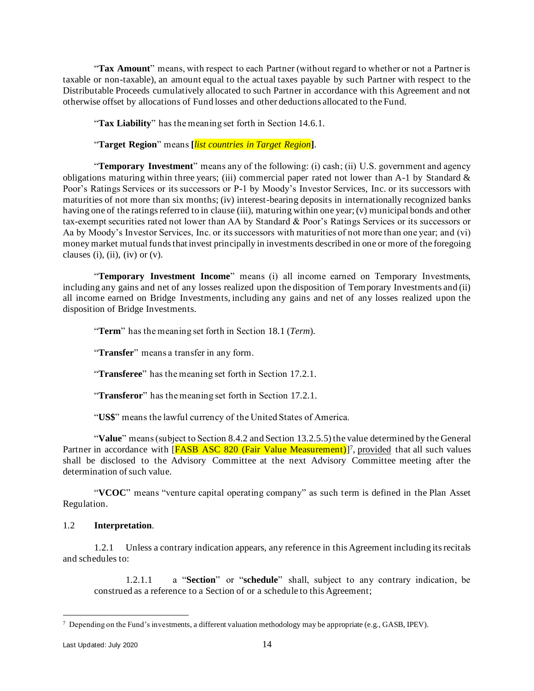"**Tax Amount**" means, with respect to each Partner (without regard to whether or not a Partner is taxable or non-taxable), an amount equal to the actual taxes payable by such Partner with respect to the Distributable Proceeds cumulatively allocated to such Partner in accordance with this Agreement and not otherwise offset by allocations of Fund losses and other deductions allocated to the Fund.

"**Tax Liability**" has the meaning set forth in Section [14.6.1.](#page-50-2)

"**Target Region**" means **[***list countries in Target Region***]**.

"**Temporary Investment**" means any of the following: (i) cash; (ii) U.S. government and agency obligations maturing within three years; (iii) commercial paper rated not lower than A-1 by Standard  $\&$ Poor's Ratings Services or its successors or P-1 by Moody's Investor Services, Inc. or its successors with maturities of not more than six months; (iv) interest-bearing deposits in internationally recognized banks having one of the ratings referred to in clause (iii), maturing within one year; (v) municipal bonds and other tax-exempt securities rated not lower than AA by Standard & Poor's Ratings Services or its successors or Aa by Moody's Investor Services, Inc. or its successors with maturities of not more than one year; and (vi) money market mutual funds that invest principally in investments described in one or more of the foregoing clauses (i), (ii), (iv) or  $(v)$ .

"**Temporary Investment Income**" means (i) all income earned on Temporary Investments, including any gains and net of any losses realized upon the disposition of Temporary Investments and (ii) all income earned on Bridge Investments, including any gains and net of any losses realized upon the disposition of Bridge Investments.

"**Term**" has the meaning set forth in Section [18.1](#page-64-1) (*Term*).

"**Transfer**" means a transfer in any form.

"**Transferee**" has the meaning set forth in Section [17.2.1.](#page-62-1)

"**Transferor**" has the meaning set forth in Section [17.2.1.](#page-62-1)

"**US\$**" means the lawful currency of the United States of America.

"**Value**" means (subject to Section [8.4.2](#page-36-0) and Section [13.2.5.5\)](#page-47-0) the value determined by the General Partner in accordance with [FASB ASC 820 (Fair Value Measurement)]<sup>7</sup>, provided that all such values shall be disclosed to the Advisory Committee at the next Advisory Committee meeting after the determination of such value.

"**VCOC**" means "venture capital operating company" as such term is defined in the Plan Asset Regulation.

#### 1.2 **Interpretation**.

1.2.1 Unless a contrary indication appears, any reference in this Agreement including its recitals and schedules to:

1.2.1.1 a "**Section**" or "**schedule**" shall, subject to any contrary indication, be construed as a reference to a Section of or a schedule to this Agreement;

<sup>&</sup>lt;sup>7</sup> Depending on the Fund's investments, a different valuation methodology may be appropriate (e.g., GASB, IPEV).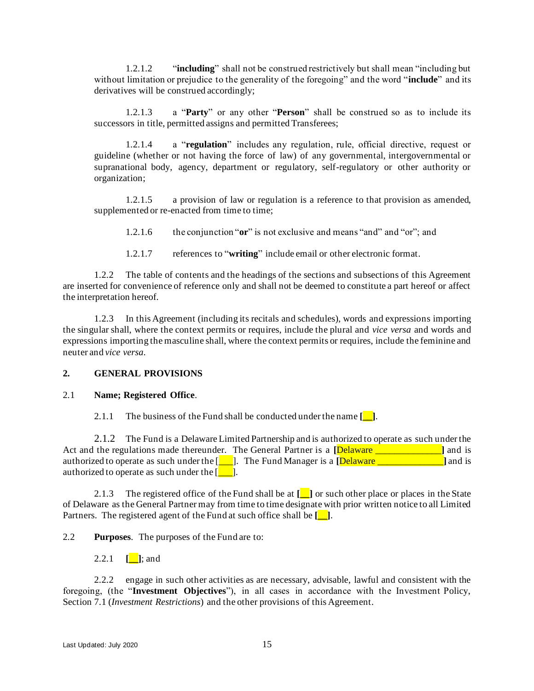1.2.1.2 "**including**" shall not be construed restrictively but shall mean "including but without limitation or prejudice to the generality of the foregoing" and the word "**include**" and its derivatives will be construed accordingly;

1.2.1.3 a "**Party**" or any other "**Person**" shall be construed so as to include its successors in title, permitted assigns and permitted Transferees;

1.2.1.4 a "**regulation**" includes any regulation, rule, official directive, request or guideline (whether or not having the force of law) of any governmental, intergovernmental or supranational body, agency, department or regulatory, self-regulatory or other authority or organization;

1.2.1.5 a provision of law or regulation is a reference to that provision as amended, supplemented or re-enacted from time to time;

1.2.1.6 the conjunction "**or**" is not exclusive and means "and" and "or"; and

1.2.1.7 references to "**writing**" include email or other electronic format.

1.2.2 The table of contents and the headings of the sections and subsections of this Agreement are inserted for convenience of reference only and shall not be deemed to constitute a part hereof or affect the interpretation hereof.

1.2.3 In this Agreement (including its recitals and schedules), words and expressions importing the singular shall, where the context permits or requires, include the plural and *vice versa* and words and expressions importing the masculine shall, where the context permits or requires, include the feminine and neuter and *vice versa*.

#### <span id="page-17-0"></span>**2. GENERAL PROVISIONS**

#### 2.1 **Name; Registered Office**.

2.1.1 The business of the Fund shall be conducted under the name **[\_\_]**.

2.1.2 The Fund is a Delaware Limited Partnership and is authorized to operate as such under the Act and the regulations made thereunder. The General Partner is a **[**Delaware \_\_\_\_\_\_\_\_\_\_\_\_\_\_**]** and is authorized to operate as such under the [\_\_\_]. The Fund Manager is a **[**Delaware \_\_\_\_\_\_\_\_\_\_\_\_\_\_**]** and is authorized to operate as such under the  $\begin{bmatrix} \cdot & \cdot & \cdot \\ \cdot & \cdot & \cdot \end{bmatrix}$ .

2.1.3 The registered office of the Fund shall be at **[\_\_]** or such other place or places in the State of Delaware as the General Partner may from time to time designate with prior written notice to all Limited Partners. The registered agent of the Fund at such office shall be **[\_\_]**.

<span id="page-17-1"></span>2.2 **Purposes**. The purposes of the Fund are to:

2.2.1 **[**]; and

2.2.2 engage in such other activities as are necessary, advisable, lawful and consistent with the foregoing, (the "**Investment Objectives**"), in all cases in accordance with the Investment Policy, Section 7.1 (*Investment Restrictions*) and the other provisions of this Agreement.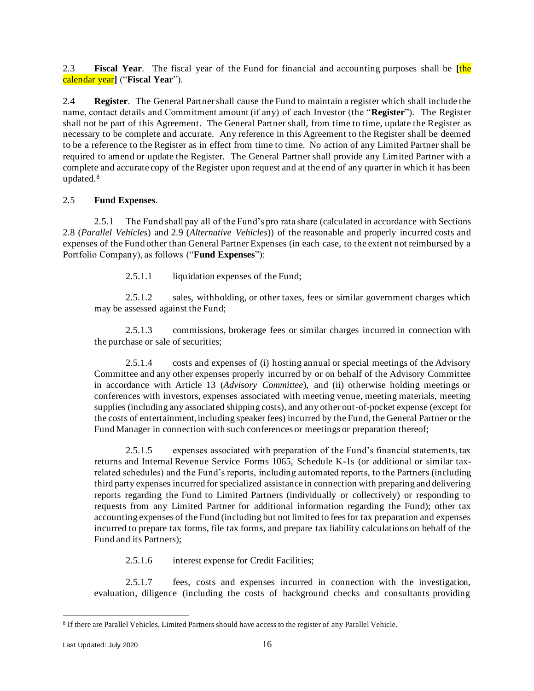<span id="page-18-0"></span>2.3 **Fiscal Year**. The fiscal year of the Fund for financial and accounting purposes shall be **[**the calendar year**]** ("**Fiscal Year**").

<span id="page-18-2"></span>2.4 **Register**. The General Partner shall cause the Fund to maintain a register which shall include the name, contact details and Commitment amount (if any) of each Investor (the "**Register**"). The Register shall not be part of this Agreement. The General Partner shall, from time to time, update the Register as necessary to be complete and accurate. Any reference in this Agreement to the Register shall be deemed to be a reference to the Register as in effect from time to time. No action of any Limited Partner shall be required to amend or update the Register. The General Partner shall provide any Limited Partner with a complete and accurate copy of the Register upon request and at the end of any quarter in which it has been updated.<sup>8</sup>

## 2.5 **Fund Expenses**.

<span id="page-18-1"></span>2.5.1 The Fund shall pay all of the Fund's pro rata share (calculated in accordance with Sections [2.8](#page-20-0) (*Parallel Vehicles*) and [2.9](#page-21-0) (*Alternative Vehicles*)) of the reasonable and properly incurred costs and expenses of the Fund other than General Partner Expenses (in each case, to the extent not reimbursed by a Portfolio Company), as follows ("**Fund Expenses**"):

2.5.1.1 liquidation expenses of the Fund;

2.5.1.2 sales, withholding, or other taxes, fees or similar government charges which may be assessed against the Fund;

2.5.1.3 commissions, brokerage fees or similar charges incurred in connection with the purchase or sale of securities;

2.5.1.4 costs and expenses of (i) hosting annual or special meetings of the Advisory Committee and any other expenses properly incurred by or on behalf of the Advisory Committee in accordance with Article [13](#page-45-1) (*Advisory Committee*), and (ii) otherwise holding meetings or conferences with investors, expenses associated with meeting venue, meeting materials, meeting supplies (including any associated shipping costs), and any other out-of-pocket expense (except for the costs of entertainment, including speaker fees) incurred by the Fund, the General Partner or the Fund Manager in connection with such conferences or meetings or preparation thereof;

2.5.1.5 expenses associated with preparation of the Fund's financial statements, tax returns and Internal Revenue Service Forms 1065, Schedule K-1s (or additional or similar taxrelated schedules) and the Fund's reports, including automated reports, to the Partners (including third party expenses incurred for specialized assistance in connection with preparing and delivering reports regarding the Fund to Limited Partners (individually or collectively) or responding to requests from any Limited Partner for additional information regarding the Fund); other tax accounting expenses of the Fund (including but not limited to fees for tax preparation and expenses incurred to prepare tax forms, file tax forms, and prepare tax liability calculations on behalf of the Fund and its Partners);

2.5.1.6 interest expense for Credit Facilities;

2.5.1.7 fees, costs and expenses incurred in connection with the investigation, evaluation, diligence (including the costs of background checks and consultants providing

<sup>8</sup> If there are Parallel Vehicles, Limited Partners should have access to the register of any Parallel Vehicle.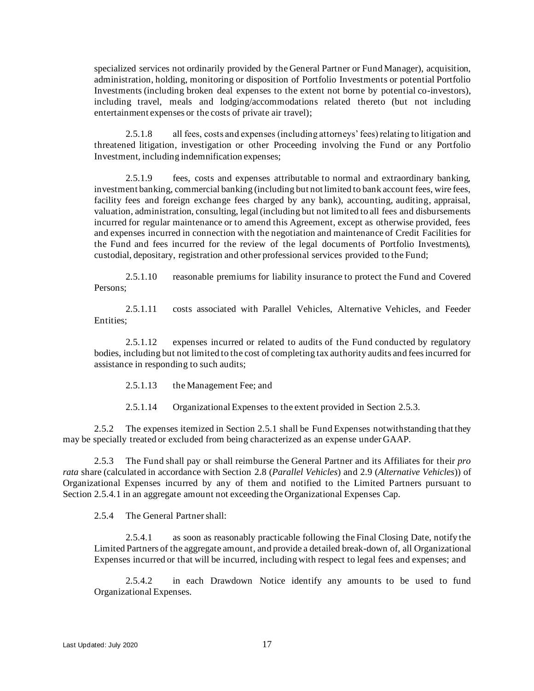specialized services not ordinarily provided by the General Partner or Fund Manager), acquisition, administration, holding, monitoring or disposition of Portfolio Investments or potential Portfolio Investments (including broken deal expenses to the extent not borne by potential co-investors), including travel, meals and lodging/accommodations related thereto (but not including entertainment expenses or the costs of private air travel);

2.5.1.8 all fees, costs and expenses (including attorneys' fees) relating to litigation and threatened litigation, investigation or other Proceeding involving the Fund or any Portfolio Investment, including indemnification expenses;

2.5.1.9 fees, costs and expenses attributable to normal and extraordinary banking, investment banking, commercial banking (including but not limited to bank account fees, wire fees, facility fees and foreign exchange fees charged by any bank), accounting, auditing, appraisal, valuation, administration, consulting, legal (including but not limited to all fees and disbursements incurred for regular maintenance or to amend this Agreement, except as otherwise provided, fees and expenses incurred in connection with the negotiation and maintenance of Credit Facilities for the Fund and fees incurred for the review of the legal documents of Portfolio Investments), custodial, depositary, registration and other professional services provided to the Fund;

2.5.1.10 reasonable premiums for liability insurance to protect the Fund and Covered Persons;

2.5.1.11 costs associated with Parallel Vehicles, Alternative Vehicles, and Feeder Entities;

2.5.1.12 expenses incurred or related to audits of the Fund conducted by regulatory bodies, including but not limited to the cost of completing tax authority audits and fees incurred for assistance in responding to such audits;

2.5.1.13 the Management Fee; and

2.5.1.14 Organizational Expenses to the extent provided in Section [2.5.3.](#page-19-0)

2.5.2 The expenses itemized in Section [2.5.1](#page-18-1) shall be Fund Expenses notwithstanding that they may be specially treated or excluded from being characterized as an expense under GAAP.

<span id="page-19-0"></span>2.5.3 The Fund shall pay or shall reimburse the General Partner and its Affiliates for their *pro rata* share (calculated in accordance with Section [2.8](#page-20-0) (*Parallel Vehicles*) an[d 2.9](#page-21-0) (*Alternative Vehicles*)) of Organizational Expenses incurred by any of them and notified to the Limited Partners pursuant to Section [2.5.4.1](#page-19-1) in an aggregate amount not exceeding the Organizational Expenses Cap.

 $2.5.4$  The General Partner shall:

<span id="page-19-1"></span>2.5.4.1 as soon as reasonably practicable following the Final Closing Date, notify the Limited Partners of the aggregate amount, and provide a detailed break-down of, all Organizational Expenses incurred or that will be incurred, including with respect to legal fees and expenses; and

2.5.4.2 in each Drawdown Notice identify any amounts to be used to fund Organizational Expenses.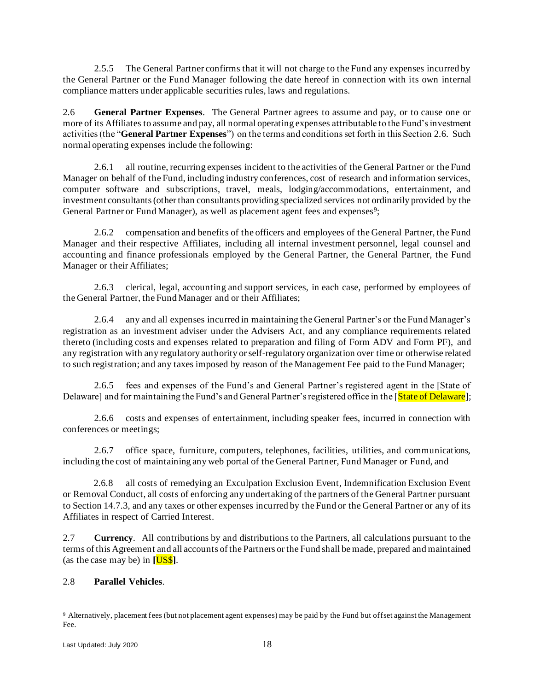2.5.5 The General Partner confirms that it will not charge to the Fund any expenses incurred by the General Partner or the Fund Manager following the date hereof in connection with its own internal compliance matters under applicable securities rules, laws and regulations.

<span id="page-20-1"></span>2.6 **General Partner Expenses**. The General Partner agrees to assume and pay, or to cause one or more of its Affiliates to assume and pay, all normal operating expenses attributable to the Fund's investment activities (the "**General Partner Expenses**") on the terms and conditions set forth in this Section [2.6.](#page-20-1) Such normal operating expenses include the following:

2.6.1 all routine, recurring expenses incident to the activities of the General Partner or the Fund Manager on behalf of the Fund, including industry conferences, cost of research and information services, computer software and subscriptions, travel, meals, lodging/accommodations, entertainment, and investment consultants (other than consultants providing specialized services not ordinarily provided by the General Partner or Fund Manager), as well as placement agent fees and expenses<sup>9</sup>;

2.6.2 compensation and benefits of the officers and employees of the General Partner, the Fund Manager and their respective Affiliates, including all internal investment personnel, legal counsel and accounting and finance professionals employed by the General Partner, the General Partner, the Fund Manager or their Affiliates;

2.6.3 clerical, legal, accounting and support services, in each case, performed by employees of the General Partner, the Fund Manager and or their Affiliates;

2.6.4 any and all expenses incurred in maintaining the General Partner's or the Fund Manager's registration as an investment adviser under the Advisers Act, and any compliance requirements related thereto (including costs and expenses related to preparation and filing of Form ADV and Form PF), and any registration with any regulatory authority or self-regulatory organization over time or otherwise related to such registration; and any taxes imposed by reason of the Management Fee paid to the Fund Manager;

2.6.5 fees and expenses of the Fund's and General Partner's registered agent in the [State of Delaware] and for maintaining the Fund's and General Partner's registered office in the [State of Delaware];

2.6.6 costs and expenses of entertainment, including speaker fees, incurred in connection with conferences or meetings;

2.6.7 office space, furniture, computers, telephones, facilities, utilities, and communications, including the cost of maintaining any web portal of the General Partner, Fund Manager or Fund, and

2.6.8 all costs of remedying an Exculpation Exclusion Event, Indemnification Exclusion Event or Removal Conduct, all costs of enforcing any undertaking of the partners of the General Partner pursuant to Section 14.7.3, and any taxes or other expenses incurred by the Fund or the General Partner or any of its Affiliates in respect of Carried Interest.

2.7 **Currency**. All contributions by and distributions to the Partners, all calculations pursuant to the terms of this Agreement and all accounts of the Partners or the Fund shall be made, prepared and maintained (as the case may be) in **[**US\$**]**.

## <span id="page-20-0"></span>2.8 **Parallel Vehicles**.

<sup>9</sup> Alternatively, placement fees (but not placement agent expenses) may be paid by the Fund but offset against the Management Fee.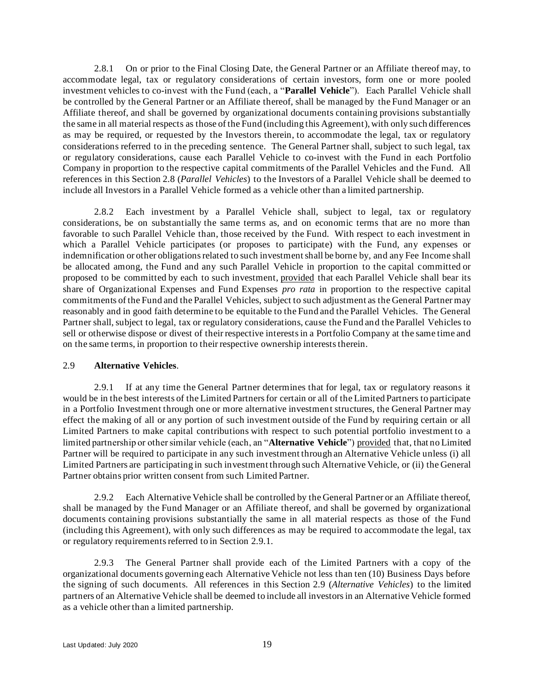<span id="page-21-1"></span>2.8.1 On or prior to the Final Closing Date, the General Partner or an Affiliate thereof may, to accommodate legal, tax or regulatory considerations of certain investors, form one or more pooled investment vehicles to co-invest with the Fund (each, a "**Parallel Vehicle**"). Each Parallel Vehicle shall be controlled by the General Partner or an Affiliate thereof, shall be managed by the Fund Manager or an Affiliate thereof, and shall be governed by organizational documents containing provisions substantially the same in all material respects as those of the Fund (including this Agreement), with only such differences as may be required, or requested by the Investors therein, to accommodate the legal, tax or regulatory considerations referred to in the preceding sentence. The General Partner shall, subject to such legal, tax or regulatory considerations, cause each Parallel Vehicle to co-invest with the Fund in each Portfolio Company in proportion to the respective capital commitments of the Parallel Vehicles and the Fund. All references in this Section [2.8](#page-20-0) (*Parallel Vehicles*) to the Investors of a Parallel Vehicle shall be deemed to include all Investors in a Parallel Vehicle formed as a vehicle other than a limited partnership.

2.8.2 Each investment by a Parallel Vehicle shall, subject to legal, tax or regulatory considerations, be on substantially the same terms as, and on economic terms that are no more than favorable to such Parallel Vehicle than, those received by the Fund. With respect to each investment in which a Parallel Vehicle participates (or proposes to participate) with the Fund, any expenses or indemnification or other obligations related to such investment shall be borne by, and any Fee Income shall be allocated among, the Fund and any such Parallel Vehicle in proportion to the capital committed or proposed to be committed by each to such investment, provided that each Parallel Vehicle shall bear its share of Organizational Expenses and Fund Expenses *pro rata* in proportion to the respective capital commitments of the Fund and the Parallel Vehicles, subject to such adjustment as the General Partner may reasonably and in good faith determine to be equitable to the Fund and the Parallel Vehicles. The General Partner shall, subject to legal, tax or regulatory considerations, cause the Fund and the Parallel Vehicles to sell or otherwise dispose or divest of their respective interests in a Portfolio Company at the same time and on the same terms, in proportion to their respective ownership interests therein.

#### <span id="page-21-0"></span>2.9 **Alternative Vehicles**.

<span id="page-21-2"></span>2.9.1 If at any time the General Partner determines that for legal, tax or regulatory reasons it would be in the best interests of the Limited Partners for certain or all of the Limited Partners to participate in a Portfolio Investment through one or more alternative investment structures, the General Partner may effect the making of all or any portion of such investment outside of the Fund by requiring certain or all Limited Partners to make capital contributions with respect to such potential portfolio investment to a limited partnership or other similar vehicle (each, an "**Alternative Vehicle**") provided that, that no Limited Partner will be required to participate in any such investment through an Alternative Vehicle unless (i) all Limited Partners are participating in such investment through such Alternative Vehicle, or (ii) the General Partner obtains prior written consent from such Limited Partner.

2.9.2 Each Alternative Vehicle shall be controlled by the General Partner or an Affiliate thereof, shall be managed by the Fund Manager or an Affiliate thereof, and shall be governed by organizational documents containing provisions substantially the same in all material respects as those of the Fund (including this Agreement), with only such differences as may be required to accommodate the legal, tax or regulatory requirements referred to in Section [2.9.1.](#page-21-2)

2.9.3 The General Partner shall provide each of the Limited Partners with a copy of the organizational documents governing each Alternative Vehicle not less than ten (10) Business Days before the signing of such documents. All references in this Section [2.9](#page-21-0) (*Alternative Vehicles*) to the limited partners of an Alternative Vehicle shall be deemed to include all investors in an Alternative Vehicle formed as a vehicle other than a limited partnership.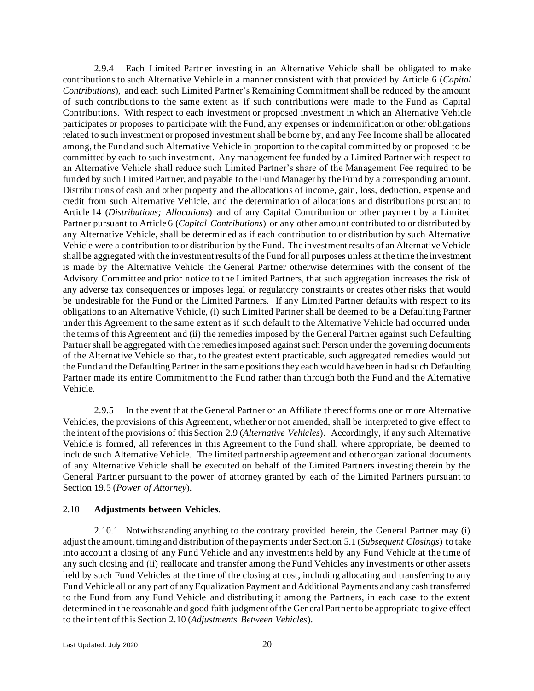2.9.4 Each Limited Partner investing in an Alternative Vehicle shall be obligated to make contributions to such Alternative Vehicle in a manner consistent with that provided by Article [6](#page-25-0) (*Capital Contributions*), and each such Limited Partner's Remaining Commitment shall be reduced by the amount of such contributions to the same extent as if such contributions were made to the Fund as Capital Contributions. With respect to each investment or proposed investment in which an Alternative Vehicle participates or proposes to participate with the Fund, any expenses or indemnification or other obligations related to such investment or proposed investment shall be borne by, and any Fee Income shall be allocated among, the Fund and such Alternative Vehicle in proportion to the capital committed by or proposed to be committed by each to such investment. Any management fee funded by a Limited Partner with respect to an Alternative Vehicle shall reduce such Limited Partner's share of the Management Fee required to be funded by such Limited Partner, and payable to the Fund Manager by the Fund by a corresponding amount. Distributions of cash and other property and the allocations of income, gain, loss, deduction, expense and credit from such Alternative Vehicle, and the determination of allocations and distributions pursuant to Article [14](#page-48-0) (*Distributions; Allocations*) and of any Capital Contribution or other payment by a Limited Partner pursuant to Article [6](#page-25-0) (*Capital Contributions*) or any other amount contributed to or distributed by any Alternative Vehicle, shall be determined as if each contribution to or distribution by such Alternative Vehicle were a contribution to or distribution by the Fund. The investment results of an Alternative Vehicle shall be aggregated with the investment results of the Fund for all purposes unless at the time the investment is made by the Alternative Vehicle the General Partner otherwise determines with the consent of the Advisory Committee and prior notice to the Limited Partners, that such aggregation increases the risk of any adverse tax consequences or imposes legal or regulatory constraints or creates other risks that would be undesirable for the Fund or the Limited Partners. If any Limited Partner defaults with respect to its obligations to an Alternative Vehicle, (i) such Limited Partner shall be deemed to be a Defaulting Partner under this Agreement to the same extent as if such default to the Alternative Vehicle had occurred under the terms of this Agreement and (ii) the remedies imposed by the General Partner against such Defaulting Partner shall be aggregated with the remedies imposed against such Person under the governing documents of the Alternative Vehicle so that, to the greatest extent practicable, such aggregated remedies would put the Fund and the Defaulting Partner in the same positions they each would have been in had such Defaulting Partner made its entire Commitment to the Fund rather than through both the Fund and the Alternative Vehicle.

2.9.5 In the event that the General Partner or an Affiliate thereof forms one or more Alternative Vehicles, the provisions of this Agreement, whether or not amended, shall be interpreted to give effect to the intent of the provisions of this Section [2.9](#page-21-0) (*Alternative Vehicles*). Accordingly, if any such Alternative Vehicle is formed, all references in this Agreement to the Fund shall, where appropriate, be deemed to include such Alternative Vehicle. The limited partnership agreement and other organizational documents of any Alternative Vehicle shall be executed on behalf of the Limited Partners investing therein by the General Partner pursuant to the power of attorney granted by each of the Limited Partners pursuant to Section [19.5](#page-66-0) (*Power of Attorney*).

#### <span id="page-22-0"></span>2.10 **Adjustments between Vehicles**.

2.10.1 Notwithstanding anything to the contrary provided herein, the General Partner may (i) adjust the amount, timing and distribution of the payments under Sectio[n 5.1](#page-24-1) (*Subsequent Closings*) to take into account a closing of any Fund Vehicle and any investments held by any Fund Vehicle at the time of any such closing and (ii) reallocate and transfer among the Fund Vehicles any investments or other assets held by such Fund Vehicles at the time of the closing at cost, including allocating and transferring to any Fund Vehicle all or any part of any Equalization Payment and Additional Payments and any cash transferred to the Fund from any Fund Vehicle and distributing it among the Partners, in each case to the extent determined in the reasonable and good faith judgment of the General Partner to be appropriate to give effect to the intent of this Section [2.10](#page-22-0) (*Adjustments Between Vehicles*).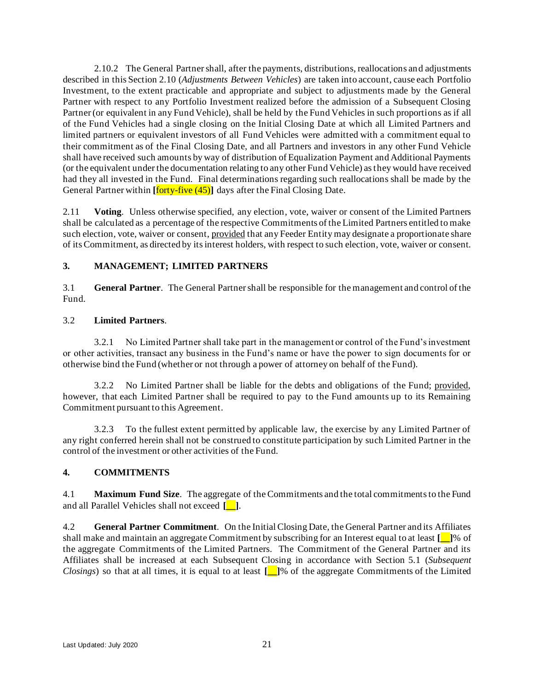2.10.2 The General Partner shall, after the payments, distributions, reallocations and adjustments described in this Sectio[n 2.10](#page-22-0) (*Adjustments Between Vehicles*) are taken into account, cause each Portfolio Investment, to the extent practicable and appropriate and subject to adjustments made by the General Partner with respect to any Portfolio Investment realized before the admission of a Subsequent Closing Partner (or equivalent in any Fund Vehicle), shall be held by the Fund Vehicles in such proportions as if all of the Fund Vehicles had a single closing on the Initial Closing Date at which all Limited Partners and limited partners or equivalent investors of all Fund Vehicles were admitted with a commitment equal to their commitment as of the Final Closing Date, and all Partners and investors in any other Fund Vehicle shall have received such amounts by way of distribution of Equalization Payment and Additional Payments (or the equivalent under the documentation relating to any other Fund Vehicle) as they would have received had they all invested in the Fund. Final determinations regarding such reallocations shall be made by the General Partner within **[forty-five (45)**] days after the Final Closing Date.

2.11 **Voting**. Unless otherwise specified, any election, vote, waiver or consent of the Limited Partners shall be calculated as a percentage of the respective Commitments of the Limited Partners entitled to make such election, vote, waiver or consent, provided that any Feeder Entity may designate a proportionate share of its Commitment, as directed by its interest holders, with respect to such election, vote, waiver or consent.

## <span id="page-23-0"></span>**3. MANAGEMENT; LIMITED PARTNERS**

3.1 **General Partner**. The General Partner shall be responsible for the management and control of the Fund.

## 3.2 **Limited Partners**.

3.2.1 No Limited Partner shall take part in the management or control of the Fund's investment or other activities, transact any business in the Fund's name or have the power to sign documents for or otherwise bind the Fund (whether or not through a power of attorney on behalf of the Fund).

3.2.2 No Limited Partner shall be liable for the debts and obligations of the Fund; provided, however, that each Limited Partner shall be required to pay to the Fund amounts up to its Remaining Commitment pursuant to this Agreement.

3.2.3 To the fullest extent permitted by applicable law, the exercise by any Limited Partner of any right conferred herein shall not be construed to constitute participation by such Limited Partner in the control of the investment or other activities of the Fund.

## <span id="page-23-1"></span>**4. COMMITMENTS**

<span id="page-23-3"></span>4.1 **Maximum Fund Size**. The aggregate of the Commitments and the total commitments to the Fund and all Parallel Vehicles shall not exceed **[\_\_]**.

<span id="page-23-2"></span>4.2 **General Partner Commitment**. On the Initial Closing Date, the General Partner and its Affiliates shall make and maintain an aggregate Commitment by subscribing for an Interest equal to at least **[\_\_]**% of the aggregate Commitments of the Limited Partners. The Commitment of the General Partner and its Affiliates shall be increased at each Subsequent Closing in accordance with Section 5.1 (*Subsequent Closings*) so that at all times, it is equal to at least **[\_\_]**% of the aggregate Commitments of the Limited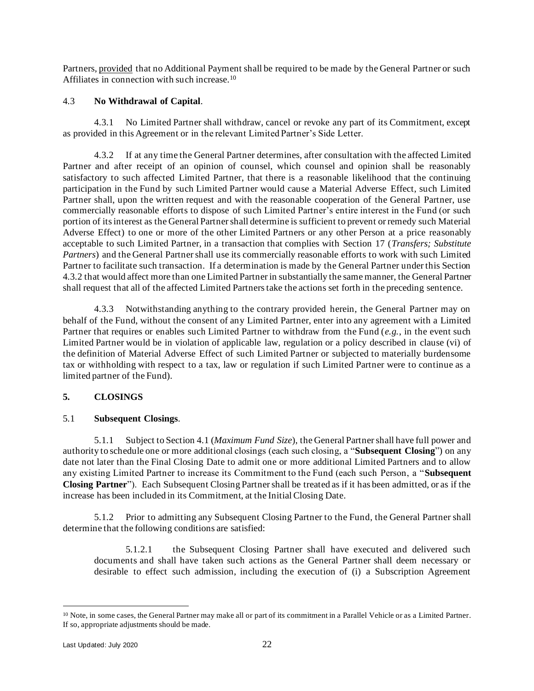Partners, provided that no Additional Payment shall be required to be made by the General Partner or such Affiliates in connection with such increase.<sup>10</sup>

#### 4.3 **No Withdrawal of Capital**.

4.3.1 No Limited Partner shall withdraw, cancel or revoke any part of its Commitment, except as provided in this Agreement or in the relevant Limited Partner's Side Letter.

<span id="page-24-3"></span>4.3.2 If at any time the General Partner determines, after consultation with the affected Limited Partner and after receipt of an opinion of counsel, which counsel and opinion shall be reasonably satisfactory to such affected Limited Partner, that there is a reasonable likelihood that the continuing participation in the Fund by such Limited Partner would cause a Material Adverse Effect, such Limited Partner shall, upon the written request and with the reasonable cooperation of the General Partner, use commercially reasonable efforts to dispose of such Limited Partner's entire interest in the Fund (or such portion of its interest as the General Partner shall determine is sufficient to prevent or remedy such Material Adverse Effect) to one or more of the other Limited Partners or any other Person at a price reasonably acceptable to such Limited Partner, in a transaction that complies with Section 17 (*Transfers; Substitute Partners*) and the General Partner shall use its commercially reasonable efforts to work with such Limited Partner to facilitate such transaction. If a determination is made by the General Partner under this Section [4.3.2](#page-24-3) that would affect more than one Limited Partner in substantially the same manner, the General Partner shall request that all of the affected Limited Partners take the actions set forth in the preceding sentence.

4.3.3 Notwithstanding anything to the contrary provided herein, the General Partner may on behalf of the Fund, without the consent of any Limited Partner, enter into any agreement with a Limited Partner that requires or enables such Limited Partner to withdraw from the Fund (*e.g.*, in the event such Limited Partner would be in violation of applicable law, regulation or a policy described in clause (vi) of the definition of Material Adverse Effect of such Limited Partner or subjected to materially burdensome tax or withholding with respect to a tax, law or regulation if such Limited Partner were to continue as a limited partner of the Fund).

## <span id="page-24-0"></span>**5. CLOSINGS**

#### <span id="page-24-1"></span>5.1 **Subsequent Closings**.

<span id="page-24-2"></span>5.1.1 Subject to Section [4.1](#page-23-3) (*Maximum Fund Size*), the General Partner shall have full power and authority to schedule one or more additional closings (each such closing, a "**Subsequent Closing**") on any date not later than the Final Closing Date to admit one or more additional Limited Partners and to allow any existing Limited Partner to increase its Commitment to the Fund (each such Person, a "**Subsequent Closing Partner**"). Each Subsequent Closing Partner shall be treated as if it has been admitted, or as if the increase has been included in its Commitment, at the Initial Closing Date.

5.1.2 Prior to admitting any Subsequent Closing Partner to the Fund, the General Partner shall determine that the following conditions are satisfied:

5.1.2.1 the Subsequent Closing Partner shall have executed and delivered such documents and shall have taken such actions as the General Partner shall deem necessary or desirable to effect such admission, including the execution of (i) a Subscription Agreement

<sup>10</sup> Note, in some cases, the General Partner may make all or part of its commitment in a Parallel Vehicle or as a Limited Partner. If so, appropriate adjustments should be made.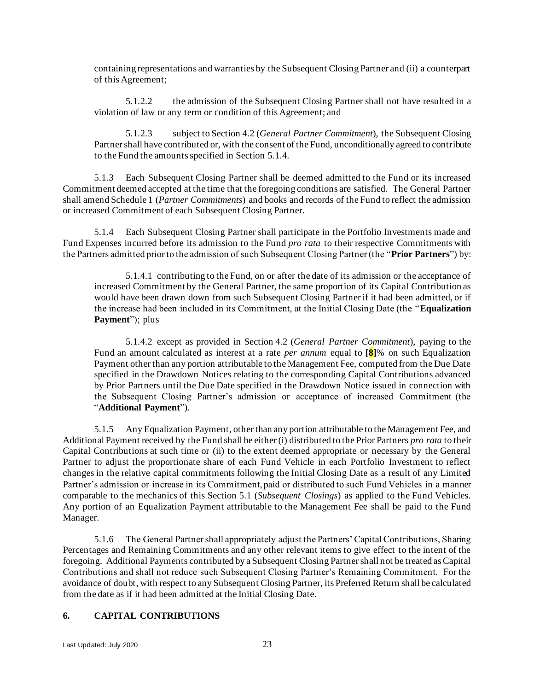containing representations and warranties by the Subsequent Closing Partner and (ii) a counterpart of this Agreement;

5.1.2.2 the admission of the Subsequent Closing Partner shall not have resulted in a violation of law or any term or condition of this Agreement; and

5.1.2.3 subject to Section 4.2 (*General Partner Commitment*), the Subsequent Closing Partner shall have contributed or, with the consent of the Fund, unconditionally agreed to contribute to the Fund the amounts specified in Section [5.1.4.](#page-25-3)

5.1.3 Each Subsequent Closing Partner shall be deemed admitted to the Fund or its increased Commitment deemed accepted at the time that the foregoing conditions are satisfied. The General Partner shall amend Schedule 1 (*Partner Commitments*) and books and records of the Fund to reflect the admission or increased Commitment of each Subsequent Closing Partner.

<span id="page-25-3"></span>5.1.4 Each Subsequent Closing Partner shall participate in the Portfolio Investments made and Fund Expenses incurred before its admission to the Fund *pro rata* to their respective Commitments with the Partners admitted prior to the admission of such Subsequent Closing Partner (the "**Prior Partners**") by:

<span id="page-25-2"></span>5.1.4.1 contributing to the Fund, on or after the date of its admission or the acceptance of increased Commitment by the General Partner, the same proportion of its Capital Contribution as would have been drawn down from such Subsequent Closing Partner if it had been admitted, or if the increase had been included in its Commitment, at the Initial Closing Date (the "**Equalization**  Payment"); plus

<span id="page-25-1"></span>5.1.4.2 except as provided in Section [4.2](#page-23-2) (*General Partner Commitment*), paying to the Fund an amount calculated as interest at a rate *per annum* equal to **[8]**% on such Equalization Payment other than any portion attributable to the Management Fee, computed from the Due Date specified in the Drawdown Notices relating to the corresponding Capital Contributions advanced by Prior Partners until the Due Date specified in the Drawdown Notice issued in connection with the Subsequent Closing Partner's admission or acceptance of increased Commitment (the "**Additional Payment**").

5.1.5 Any Equalization Payment, other than any portion attributable to the Management Fee, and Additional Payment received by the Fund shall be either (i) distributed to the Prior Partners *pro rata* to their Capital Contributions at such time or (ii) to the extent deemed appropriate or necessary by the General Partner to adjust the proportionate share of each Fund Vehicle in each Portfolio Investment to reflect changes in the relative capital commitments following the Initial Closing Date as a result of any Limited Partner's admission or increase in its Commitment, paid or distributed to such Fund Vehicles in a manner comparable to the mechanics of this Section [5.1](#page-24-1) (*Subsequent Closings*) as applied to the Fund Vehicles. Any portion of an Equalization Payment attributable to the Management Fee shall be paid to the Fund Manager.

5.1.6 The General Partner shall appropriately adjust the Partners' Capital Contributions, Sharing Percentages and Remaining Commitments and any other relevant items to give effect to the intent of the foregoing. Additional Payments contributed by a Subsequent Closing Partner shall not be treated as Capital Contributions and shall not reduce such Subsequent Closing Partner's Remaining Commitment. For the avoidance of doubt, with respect to any Subsequent Closing Partner, its Preferred Return shall be calculated from the date as if it had been admitted at the Initial Closing Date.

#### <span id="page-25-0"></span>**6. CAPITAL CONTRIBUTIONS**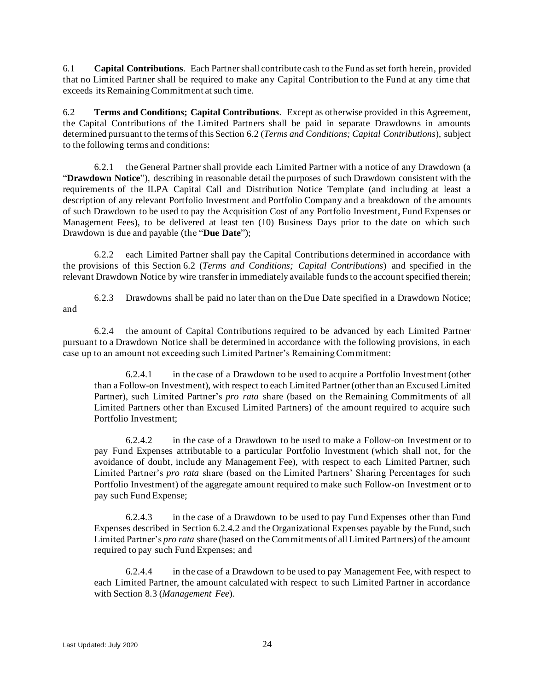6.1 **Capital Contributions**. Each Partner shall contribute cash to the Fund as set forth herein, provided that no Limited Partner shall be required to make any Capital Contribution to the Fund at any time that exceeds its Remaining Commitment at such time.

<span id="page-26-0"></span>6.2 **Terms and Conditions; Capital Contributions**. Except as otherwise provided in this Agreement, the Capital Contributions of the Limited Partners shall be paid in separate Drawdowns in amounts determined pursuant to the terms of this Section [6.2](#page-26-0) (*Terms and Conditions; Capital Contributions*), subject to the following terms and conditions:

<span id="page-26-1"></span>6.2.1 the General Partner shall provide each Limited Partner with a notice of any Drawdown (a "**Drawdown Notice**"), describing in reasonable detail the purposes of such Drawdown consistent with the requirements of the ILPA Capital Call and Distribution Notice Template (and including at least a description of any relevant Portfolio Investment and Portfolio Company and a breakdown of the amounts of such Drawdown to be used to pay the Acquisition Cost of any Portfolio Investment, Fund Expenses or Management Fees), to be delivered at least ten (10) Business Days prior to the date on which such Drawdown is due and payable (the "**Due Date**");

6.2.2 each Limited Partner shall pay the Capital Contributions determined in accordance with the provisions of this Section [6.2](#page-26-0) (*Terms and Conditions; Capital Contributions*) and specified in the relevant Drawdown Notice by wire transfer in immediately available funds to the account specified therein;

6.2.3 Drawdowns shall be paid no later than on the Due Date specified in a Drawdown Notice; and

6.2.4 the amount of Capital Contributions required to be advanced by each Limited Partner pursuant to a Drawdown Notice shall be determined in accordance with the following provisions, in each case up to an amount not exceeding such Limited Partner's Remaining Commitment:

6.2.4.1 in the case of a Drawdown to be used to acquire a Portfolio Investment (other than a Follow-on Investment), with respect to each Limited Partner (other than an Excused Limited Partner), such Limited Partner's *pro rata* share (based on the Remaining Commitments of all Limited Partners other than Excused Limited Partners) of the amount required to acquire such Portfolio Investment;

<span id="page-26-2"></span>6.2.4.2 in the case of a Drawdown to be used to make a Follow-on Investment or to pay Fund Expenses attributable to a particular Portfolio Investment (which shall not, for the avoidance of doubt, include any Management Fee), with respect to each Limited Partner, such Limited Partner's *pro rata* share (based on the Limited Partners' Sharing Percentages for such Portfolio Investment) of the aggregate amount required to make such Follow-on Investment or to pay such Fund Expense;

6.2.4.3 in the case of a Drawdown to be used to pay Fund Expenses other than Fund Expenses described in Section [6.2.4.2](#page-26-2) and the Organizational Expenses payable by the Fund, such Limited Partner's *pro rata* share (based on the Commitments of all Limited Partners) of the amount required to pay such Fund Expenses; and

<span id="page-26-3"></span>6.2.4.4 in the case of a Drawdown to be used to pay Management Fee, with respect to each Limited Partner, the amount calculated with respect to such Limited Partner in accordance with Section [8.3](#page-35-1) (*Management Fee*).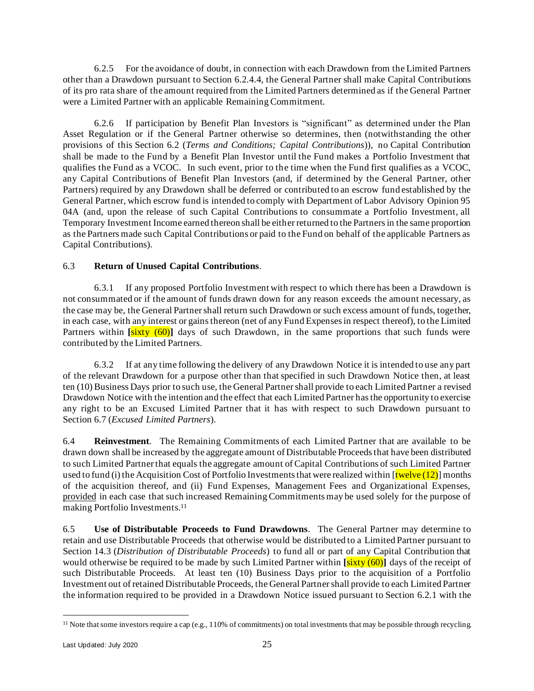6.2.5 For the avoidance of doubt, in connection with each Drawdown from the Limited Partners other than a Drawdown pursuant to Section [6.2.4.4,](#page-26-3) the General Partner shall make Capital Contributions of its pro rata share of the amount required from the Limited Partners determined as if the General Partner were a Limited Partner with an applicable Remaining Commitment.

6.2.6 If participation by Benefit Plan Investors is "significant" as determined under the Plan Asset Regulation or if the General Partner otherwise so determines, then (notwithstanding the other provisions of this Section [6.2](#page-26-0) (*Terms and Conditions; Capital Contributions*)), no Capital Contribution shall be made to the Fund by a Benefit Plan Investor until the Fund makes a Portfolio Investment that qualifies the Fund as a VCOC. In such event, prior to the time when the Fund first qualifies as a VCOC, any Capital Contributions of Benefit Plan Investors (and, if determined by the General Partner, other Partners) required by any Drawdown shall be deferred or contributed to an escrow fund established by the General Partner, which escrow fund is intended to comply with Department of Labor Advisory Opinion 95 04A (and, upon the release of such Capital Contributions to consummate a Portfolio Investment, all Temporary Investment Income earned thereon shall be either returned to the Partners in the same proportion as the Partners made such Capital Contributions or paid to the Fund on behalf of the applicable Partners as Capital Contributions).

## 6.3 **Return of Unused Capital Contributions**.

6.3.1 If any proposed Portfolio Investment with respect to which there has been a Drawdown is not consummated or if the amount of funds drawn down for any reason exceeds the amount necessary, as the case may be, the General Partner shall return such Drawdown or such excess amount of funds, together, in each case, with any interest or gains thereon (net of any Fund Expenses in respect thereof), to the Limited Partners within **[**sixty (60)**]** days of such Drawdown, in the same proportions that such funds were contributed by the Limited Partners.

6.3.2 If at any time following the delivery of any Drawdown Notice it is intended to use any part of the relevant Drawdown for a purpose other than that specified in such Drawdown Notice then, at least ten (10) Business Days prior to such use, the General Partner shall provide to each Limited Partner a revised Drawdown Notice with the intention and the effect that each Limited Partner has the opportunity to exercise any right to be an Excused Limited Partner that it has with respect to such Drawdown pursuant to Section [6.7](#page-30-0) (*Excused Limited Partners*).

<span id="page-27-0"></span>6.4 **Reinvestment**. The Remaining Commitments of each Limited Partner that are available to be drawn down shall be increased by the aggregate amount of Distributable Proceeds that have been distributed to such Limited Partner that equals the aggregate amount of Capital Contributions of such Limited Partner used to fund (i) the Acquisition Cost of Portfolio Investments that were realized within  $[twelve(12)]$  months of the acquisition thereof, and (ii) Fund Expenses, Management Fees and Organizational Expenses, provided in each case that such increased Remaining Commitments may be used solely for the purpose of making Portfolio Investments.<sup>11</sup>

6.5 **Use of Distributable Proceeds to Fund Drawdowns**. The General Partner may determine to retain and use Distributable Proceeds that otherwise would be distributed to a Limited Partner pursuant to Section [14.3](#page-49-2) (*Distribution of Distributable Proceeds*) to fund all or part of any Capital Contribution that would otherwise be required to be made by such Limited Partner within **[**sixty (60)**]** days of the receipt of such Distributable Proceeds. At least ten (10) Business Days prior to the acquisition of a Portfolio Investment out of retained Distributable Proceeds, the General Partner shall provide to each Limited Partner the information required to be provided in a Drawdown Notice issued pursuant to Section [6.2.1](#page-26-1) with the

 $11$  Note that some investors require a cap (e.g., 110% of commitments) on total investments that may be possible through recycling.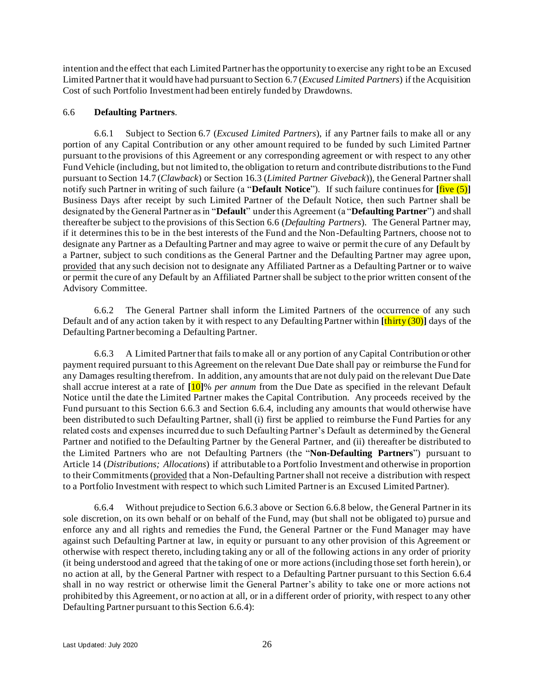intention and the effect that each Limited Partner has the opportunity to exercise any right to be an Excused Limited Partner that it would have had pursuant to Section [6.7](#page-30-0) (*Excused Limited Partners*) if the Acquisition Cost of such Portfolio Investment had been entirely funded by Drawdowns.

#### <span id="page-28-1"></span>6.6 **Defaulting Partners**.

<span id="page-28-0"></span>6.6.1 Subject to Section [6.7](#page-30-0) (*Excused Limited Partners*), if any Partner fails to make all or any portion of any Capital Contribution or any other amount required to be funded by such Limited Partner pursuant to the provisions of this Agreement or any corresponding agreement or with respect to any other Fund Vehicle (including, but not limited to, the obligation to return and contribute distributions to the Fund pursuant to Section [14.7](#page-51-0) (*Clawback*) or Section [16.3](#page-61-0) (*Limited Partner Giveback*)), the General Partner shall notify such Partner in writing of such failure (a "**Default Notice**"). If such failure continues for **[**five (5)**]** Business Days after receipt by such Limited Partner of the Default Notice, then such Partner shall be designated by the General Partner as in "**Default**" under this Agreement (a "**Defaulting Partner**") and shall thereafter be subject to the provisions of this Section [6.6](#page-28-1) (*Defaulting Partners*). The General Partner may, if it determines this to be in the best interests of the Fund and the Non-Defaulting Partners, choose not to designate any Partner as a Defaulting Partner and may agree to waive or permit the cure of any Default by a Partner, subject to such conditions as the General Partner and the Defaulting Partner may agree upon, provided that any such decision not to designate any Affiliated Partner as a Defaulting Partner or to waive or permit the cure of any Default by an Affiliated Partner shall be subject to the prior written consent of the Advisory Committee.

6.6.2 The General Partner shall inform the Limited Partners of the occurrence of any such Default and of any action taken by it with respect to any Defaulting Partner within **[**thirty (30)**]** days of the Defaulting Partner becoming a Defaulting Partner.

<span id="page-28-2"></span>6.6.3 A Limited Partner that fails to make all or any portion of any Capital Contribution or other payment required pursuant to this Agreement on the relevant Due Date shall pay or reimburse the Fund for any Damages resulting therefrom. In addition, any amounts that are not duly paid on the relevant Due Date shall accrue interest at a rate of **[**10**]**% *per annum* from the Due Date as specified in the relevant Default Notice until the date the Limited Partner makes the Capital Contribution. Any proceeds received by the Fund pursuant to this Section [6.6.3](#page-28-2) and Section [6.6.4,](#page-28-3) including any amounts that would otherwise have been distributed to such Defaulting Partner, shall (i) first be applied to reimburse the Fund Parties for any related costs and expenses incurred due to such Defaulting Partner's Default as determined by the General Partner and notified to the Defaulting Partner by the General Partner, and (ii) thereafter be distributed to the Limited Partners who are not Defaulting Partners (the "**Non-Defaulting Partners**") pursuant to Article [14](#page-48-0) (*Distributions; Allocations*) if attributable to a Portfolio Investment and otherwise in proportion to their Commitments (provided that a Non-Defaulting Partner shall not receive a distribution with respect to a Portfolio Investment with respect to which such Limited Partner is an Excused Limited Partner).

<span id="page-28-3"></span>6.6.4 Without prejudice to Section [6.6.3](#page-28-2) above or Section [6.6.8](#page-30-1) below, the General Partner in its sole discretion, on its own behalf or on behalf of the Fund, may (but shall not be obligated to) pursue and enforce any and all rights and remedies the Fund, the General Partner or the Fund Manager may have against such Defaulting Partner at law, in equity or pursuant to any other provision of this Agreement or otherwise with respect thereto, including taking any or all of the following actions in any order of priority (it being understood and agreed that the taking of one or more actions (including those set forth herein), or no action at all, by the General Partner with respect to a Defaulting Partner pursuant to this Section [6.6.4](#page-28-3) shall in no way restrict or otherwise limit the General Partner's ability to take one or more actions not prohibited by this Agreement, or no action at all, or in a different order of priority, with respect to any other Defaulting Partner pursuant to this Section [6.6.4\)](#page-28-3):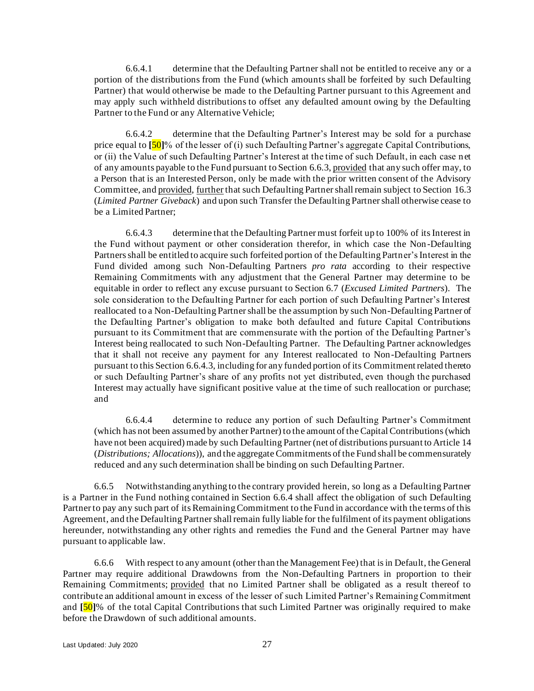6.6.4.1 determine that the Defaulting Partner shall not be entitled to receive any or a portion of the distributions from the Fund (which amounts shall be forfeited by such Defaulting Partner) that would otherwise be made to the Defaulting Partner pursuant to this Agreement and may apply such withheld distributions to offset any defaulted amount owing by the Defaulting Partner to the Fund or any Alternative Vehicle;

6.6.4.2 determine that the Defaulting Partner's Interest may be sold for a purchase price equal to **[**50**]**% of the lesser of (i) such Defaulting Partner's aggregate Capital Contributions, or (ii) the Value of such Defaulting Partner's Interest at the time of such Default, in each case n et of any amounts payable to the Fund pursuant to Section [6.6.3,](#page-28-2) provided that any such offer may, to a Person that is an Interested Person, only be made with the prior written consent of the Advisory Committee, and provided, further that such Defaulting Partner shall remain subject to Section [16.3](#page-61-0) (*Limited Partner Giveback*) and upon such Transfer the Defaulting Partner shall otherwise cease to be a Limited Partner;

<span id="page-29-0"></span>6.6.4.3 determine that the Defaulting Partner must forfeit up to 100% of its Interest in the Fund without payment or other consideration therefor, in which case the Non -Defaulting Partners shall be entitled to acquire such forfeited portion of the Defaulting Partner's Interest in the Fund divided among such Non-Defaulting Partners *pro rata* according to their respective Remaining Commitments with any adjustment that the General Partner may determine to be equitable in order to reflect any excuse pursuant to Section [6.7](#page-30-0) (*Excused Limited Partners*). The sole consideration to the Defaulting Partner for each portion of such Defaulting Partner's Interest reallocated to a Non-Defaulting Partner shall be the assumption by such Non-Defaulting Partner of the Defaulting Partner's obligation to make both defaulted and future Capital Contributions pursuant to its Commitment that are commensurate with the portion of the Defaulting Partner's Interest being reallocated to such Non-Defaulting Partner. The Defaulting Partner acknowledges that it shall not receive any payment for any Interest reallocated to Non-Defaulting Partners pursuant to this Section [6.6.4.3,](#page-29-0) including for any funded portion of its Commitment related thereto or such Defaulting Partner's share of any profits not yet distributed, even though the purchased Interest may actually have significant positive value at the time of such reallocation or purchase; and

6.6.4.4 determine to reduce any portion of such Defaulting Partner's Commitment (which has not been assumed by another Partner) to the amount of the Capital Contributions (which have not been acquired) made by such Defaulting Partner (net of distributions pursuant to Article [14](#page-48-0) (*Distributions; Allocations*)), and the aggregate Commitments of the Fund shall be commensurately reduced and any such determination shall be binding on such Defaulting Partner.

6.6.5 Notwithstanding anything to the contrary provided herein, so long as a Defaulting Partner is a Partner in the Fund nothing contained in Section [6.6.4](#page-28-3) shall affect the obligation of such Defaulting Partner to pay any such part of its Remaining Commitment to the Fund in accordance with the terms of this Agreement, and the Defaulting Partner shall remain fully liable for the fulfilment of its payment obligations hereunder, notwithstanding any other rights and remedies the Fund and the General Partner may have pursuant to applicable law.

6.6.6 With respect to any amount (other than the Management Fee) that is in Default, the General Partner may require additional Drawdowns from the Non-Defaulting Partners in proportion to their Remaining Commitments; provided that no Limited Partner shall be obligated as a result thereof to contribute an additional amount in excess of the lesser of such Limited Partner's Remaining Commitment and **[**50**]**% of the total Capital Contributions that such Limited Partner was originally required to make before the Drawdown of such additional amounts.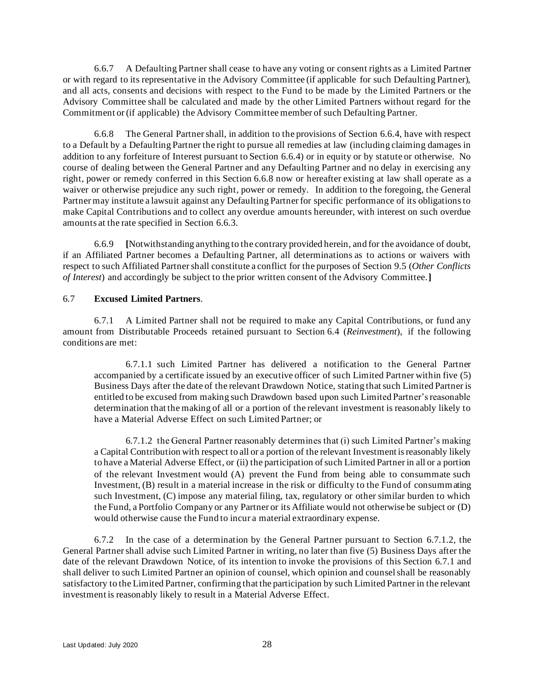6.6.7 A Defaulting Partner shall cease to have any voting or consent rights as a Limited Partner or with regard to its representative in the Advisory Committee (if applicable for such Defaulting Partner), and all acts, consents and decisions with respect to the Fund to be made by the Limited Partners or the Advisory Committee shall be calculated and made by the other Limited Partners without regard for the Commitment or (if applicable) the Advisory Committee member of such Defaulting Partner.

<span id="page-30-1"></span>6.6.8 The General Partner shall, in addition to the provisions of Section [6.6.4,](#page-28-3) have with respect to a Default by a Defaulting Partner the right to pursue all remedies at law (including claiming damages in addition to any forfeiture of Interest pursuant to Section [6.6.4\)](#page-28-3) or in equity or by statute or otherwise. No course of dealing between the General Partner and any Defaulting Partner and no delay in exercising any right, power or remedy conferred in this Section [6.6.8](#page-30-1) now or hereafter existing at law shall operate as a waiver or otherwise prejudice any such right, power or remedy. In addition to the foregoing, the General Partner may institute a lawsuit against any Defaulting Partner for specific performance of its obligations to make Capital Contributions and to collect any overdue amounts hereunder, with interest on such overdue amounts at the rate specified in Section [6.6.3.](#page-28-2)

6.6.9 **[**Notwithstanding anything to the contrary provided herein, and for the avoidance of doubt, if an Affiliated Partner becomes a Defaulting Partner, all determinations as to actions or waivers with respect to such Affiliated Partner shall constitute a conflict for the purposes of Section [9.5](#page-40-0) (*Other Conflicts of Interest*) and accordingly be subject to the prior written consent of the Advisory Committee.**]**

#### <span id="page-30-0"></span>6.7 **Excused Limited Partners**.

<span id="page-30-3"></span>6.7.1 A Limited Partner shall not be required to make any Capital Contributions, or fund any amount from Distributable Proceeds retained pursuant to Section [6.4](#page-27-0) (*Reinvestment*), if the following conditions are met:

6.7.1.1 such Limited Partner has delivered a notification to the General Partner accompanied by a certificate issued by an executive officer of such Limited Partner within five (5) Business Days after the date of the relevant Drawdown Notice, stating that such Limited Partner is entitled to be excused from making such Drawdown based upon such Limited Partner's reasonable determination that the making of all or a portion of the relevant investment is reasonably likely to have a Material Adverse Effect on such Limited Partner; or

<span id="page-30-2"></span>6.7.1.2 the General Partner reasonably determines that (i) such Limited Partner's making a Capital Contribution with respect to all or a portion of the relevant Investment is reasonably likely to have a Material Adverse Effect, or (ii) the participation of such Limited Partner in all or a portion of the relevant Investment would (A) prevent the Fund from being able to consummate such Investment, (B) result in a material increase in the risk or difficulty to the Fund of consummating such Investment, (C) impose any material filing, tax, regulatory or other similar burden to which the Fund, a Portfolio Company or any Partner or its Affiliate would not otherwise be subject or (D) would otherwise cause the Fund to incur a material extraordinary expense.

6.7.2 In the case of a determination by the General Partner pursuant to Section [6.7.1.2,](#page-30-2) the General Partner shall advise such Limited Partner in writing, no later than five (5) Business Days after the date of the relevant Drawdown Notice, of its intention to invoke the provisions of this Section [6.7.1](#page-30-3) and shall deliver to such Limited Partner an opinion of counsel, which opinion and counsel shall be reasonably satisfactory to the Limited Partner, confirming that the participation by such Limited Partner in the relevant investment is reasonably likely to result in a Material Adverse Effect.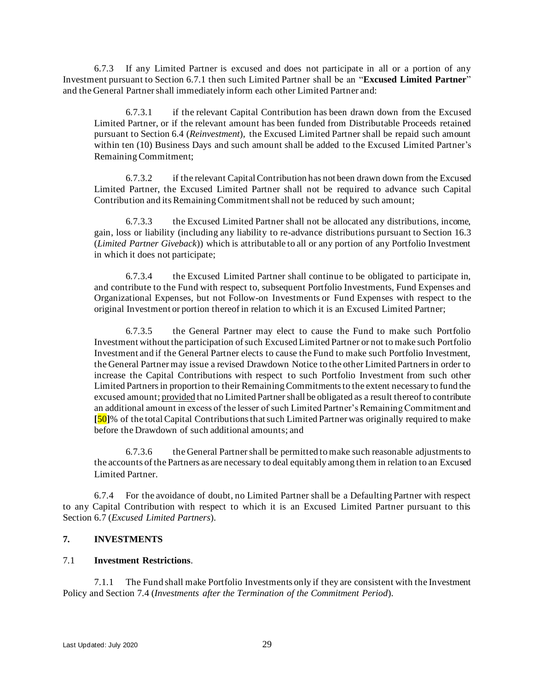<span id="page-31-1"></span>6.7.3 If any Limited Partner is excused and does not participate in all or a portion of any Investment pursuant to Section [6.7.1](#page-30-3) then such Limited Partner shall be an "**Excused Limited Partner**" and the General Partner shall immediately inform each other Limited Partner and:

6.7.3.1 if the relevant Capital Contribution has been drawn down from the Excused Limited Partner, or if the relevant amount has been funded from Distributable Proceeds retained pursuant to Section [6.4](#page-27-0) (*Reinvestment*), the Excused Limited Partner shall be repaid such amount within ten (10) Business Days and such amount shall be added to the Excused Limited Partner's Remaining Commitment;

6.7.3.2 if the relevant Capital Contribution has not been drawn down from the Excused Limited Partner, the Excused Limited Partner shall not be required to advance such Capital Contribution and its Remaining Commitment shall not be reduced by such amount;

6.7.3.3 the Excused Limited Partner shall not be allocated any distributions, income, gain, loss or liability (including any liability to re-advance distributions pursuant to Section [16.3](#page-61-0) (*Limited Partner Giveback*)) which is attributable to all or any portion of any Portfolio Investment in which it does not participate;

6.7.3.4 the Excused Limited Partner shall continue to be obligated to participate in, and contribute to the Fund with respect to, subsequent Portfolio Investments, Fund Expenses and Organizational Expenses, but not Follow-on Investments or Fund Expenses with respect to the original Investment or portion thereof in relation to which it is an Excused Limited Partner;

6.7.3.5 the General Partner may elect to cause the Fund to make such Portfolio Investment without the participation of such Excused Limited Partner or not to make such Portfolio Investment and if the General Partner elects to cause the Fund to make such Portfolio Investment, the General Partner may issue a revised Drawdown Notice to the other Limited Partners in order to increase the Capital Contributions with respect to such Portfolio Investment from such other Limited Partners in proportion to their Remaining Commitments to the extent necessary to fund the excused amount; provided that no Limited Partner shall be obligated as a result thereof to contribute an additional amount in excess of the lesser of such Limited Partner's Remaining Commitment and **[**50**]**% of the total Capital Contributions that such Limited Partner was originally required to make before the Drawdown of such additional amounts; and

6.7.3.6 the General Partner shall be permitted to make such reasonable adjustments to the accounts of the Partners as are necessary to deal equitably among them in relation to an Excused Limited Partner.

6.7.4 For the avoidance of doubt, no Limited Partner shall be a Defaulting Partner with respect to any Capital Contribution with respect to which it is an Excused Limited Partner pursuant to this Section [6.7](#page-30-0) (*Excused Limited Partners*).

#### <span id="page-31-0"></span>**7. INVESTMENTS**

#### <span id="page-31-2"></span>7.1 **Investment Restrictions**.

7.1.1 The Fund shall make Portfolio Investments only if they are consistent with the Investment Policy and Section [7.4](#page-33-2) (*Investments after the Termination of the Commitment Period*).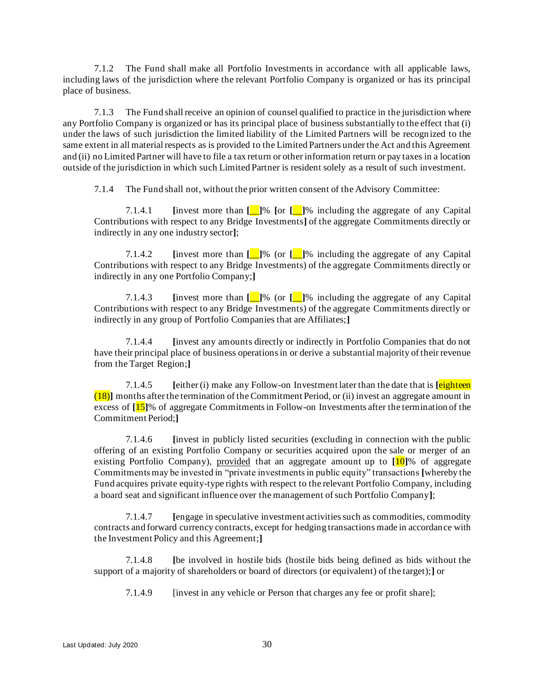7.1.2 The Fund shall make all Portfolio Investments in accordance with all applicable laws, including laws of the jurisdiction where the relevant Portfolio Company is organized or has its principal place of business.

7.1.3 The Fund shall receive an opinion of counsel qualified to practice in the jurisdiction where any Portfolio Company is organized or has its principal place of business substantially to the effect that (i) under the laws of such jurisdiction the limited liability of the Limited Partners will be recognized to the same extent in all material respects as is provided to the Limited Partners under the Act and this Agreement and (ii) no Limited Partner will have to file a tax return or other information return or pay taxes in a location outside of the jurisdiction in which such Limited Partner is resident solely as a result of such investment.

<span id="page-32-0"></span>7.1.4 The Fund shall not, without the prior written consent of the Advisory Committee:

7.1.4.1 **[**invest more than **[**\_\_**]**% **[**or **[**\_\_**]**% including the aggregate of any Capital Contributions with respect to any Bridge Investments**]** of the aggregate Commitments directly or indirectly in any one industry sector**]**;

<span id="page-32-2"></span>7.1.4.2 **[**invest more than **[**\_\_**]**% (or **[**\_\_**]**% including the aggregate of any Capital Contributions with respect to any Bridge Investments) of the aggregate Commitments directly or indirectly in any one Portfolio Company;**]**

7.1.4.3 **[**invest more than **[**\_\_**]**% (or **[**\_\_**]**% including the aggregate of any Capital Contributions with respect to any Bridge Investments) of the aggregate Commitments directly or indirectly in any group of Portfolio Companies that are Affiliates;**]**

7.1.4.4 **[**invest any amounts directly or indirectly in Portfolio Companies that do not have their principal place of business operations in or derive a substantial majority of their revenue from the Target Region;**]**

<span id="page-32-1"></span>7.1.4.5 **[**either (i) make any Follow-on Investment later than the date that is **[**eighteen (18)**]** months after the termination of the Commitment Period, or (ii) invest an aggregate amount in excess of **[**15**]**% of aggregate Commitments in Follow-on Investments after the termination of the Commitment Period;**]**

7.1.4.6 **[**invest in publicly listed securities (excluding in connection with the public offering of an existing Portfolio Company or securities acquired upon the sale or merger of an existing Portfolio Company), provided that an aggregate amount up to **[**10**]**% of aggregate Commitments may be invested in "private investments in public equity" transactions **[**whereby the Fund acquires private equity-type rights with respect to the relevant Portfolio Company, including a board seat and significant influence over the management of such Portfolio Company**]**;

7.1.4.7 **[**engage in speculative investment activities such as commodities, commodity contracts and forward currency contracts, except for hedging transactions made in accordance with the Investment Policy and this Agreement;**]**

7.1.4.8 **[**be involved in hostile bids (hostile bids being defined as bids without the support of a majority of shareholders or board of directors (or equivalent) of the target);**]** or

7.1.4.9 [invest in any vehicle or Person that charges any fee or profit share];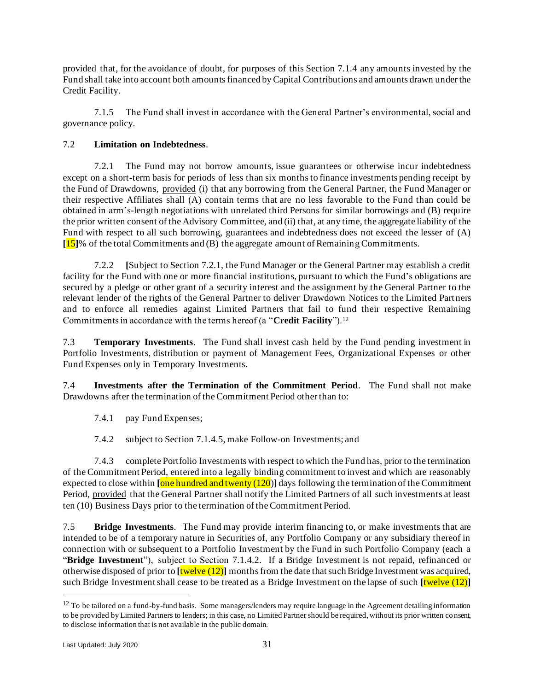provided that, for the avoidance of doubt, for purposes of this Section [7.1.4](#page-32-0) any amounts invested by the Fund shall take into account both amounts financed by Capital Contributions and amounts drawn under the Credit Facility.

7.1.5 The Fund shall invest in accordance with the General Partner's environmental, social and governance policy.

## <span id="page-33-4"></span>7.2 **Limitation on Indebtedness**.

<span id="page-33-3"></span>7.2.1 The Fund may not borrow amounts, issue guarantees or otherwise incur indebtedness except on a short-term basis for periods of less than six months to finance investments pending receipt by the Fund of Drawdowns, provided (i) that any borrowing from the General Partner, the Fund Manager or their respective Affiliates shall (A) contain terms that are no less favorable to the Fund than could be obtained in arm's-length negotiations with unrelated third Persons for similar borrowings and (B) require the prior written consent of the Advisory Committee, and (ii) that, at any time, the aggregate liability of the Fund with respect to all such borrowing, guarantees and indebtedness does not exceed the lesser of (A) **[**15**]**% of the total Commitments and (B) the aggregate amount of Remaining Commitments.

<span id="page-33-1"></span>7.2.2 **[**Subject to Section [7.2.1,](#page-33-3) the Fund Manager or the General Partner may establish a credit facility for the Fund with one or more financial institutions, pursuant to which the Fund's obligations are secured by a pledge or other grant of a security interest and the assignment by the General Partner to the relevant lender of the rights of the General Partner to deliver Drawdown Notices to the Limited Part ners and to enforce all remedies against Limited Partners that fail to fund their respective Remaining Commitments in accordance with the terms hereof (a "**Credit Facility**").<sup>12</sup>

7.3 **Temporary Investments**. The Fund shall invest cash held by the Fund pending investment in Portfolio Investments, distribution or payment of Management Fees, Organizational Expenses or other Fund Expenses only in Temporary Investments.

<span id="page-33-2"></span>7.4 **Investments after the Termination of the Commitment Period**. The Fund shall not make Drawdowns after the termination of the Commitment Period other than to:

7.4.1 pay Fund Expenses;

7.4.2 subject to Section [7.1.4.5,](#page-32-1) make Follow-on Investments; and

7.4.3 complete Portfolio Investments with respect to which the Fund has, prior to the termination of the Commitment Period, entered into a legally binding commitment to invest and which are reasonably expected to close within **[**one hundred and twenty (120)**]** days following the termination of the Commitment Period, provided that the General Partner shall notify the Limited Partners of all such investments at least ten (10) Business Days prior to the termination of the Commitment Period.

<span id="page-33-0"></span>7.5 **Bridge Investments**. The Fund may provide interim financing to, or make investments that are intended to be of a temporary nature in Securities of, any Portfolio Company or any subsidiary thereof in connection with or subsequent to a Portfolio Investment by the Fund in such Portfolio Company (each a "**Bridge Investment**"), subject to Section [7.1.4.2.](#page-32-2) If a Bridge Investment is not repaid, refinanced or otherwise disposed of prior to **[**twelve (12)**]** months from the date that such Bridge Investment was acquired, such Bridge Investment shall cease to be treated as a Bridge Investment on the lapse of such **[**twelve (12)**]**

 $12$  To be tailored on a fund-by-fund basis. Some managers/lenders may require language in the Agreement detailing information to be provided by Limited Partners to lenders; in this case, no Limited Partner should be required, without its prior written co nsent, to disclose information that is not available in the public domain.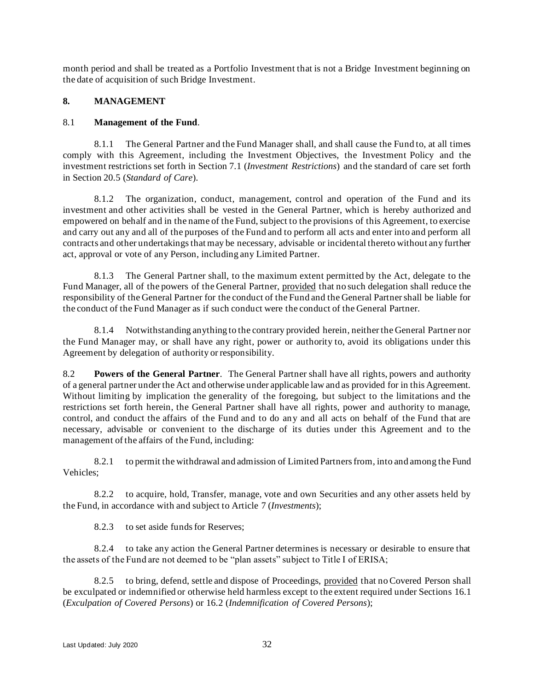month period and shall be treated as a Portfolio Investment that is not a Bridge Investment beginning on the date of acquisition of such Bridge Investment.

#### <span id="page-34-0"></span>**8. MANAGEMENT**

#### 8.1 **Management of the Fund**.

8.1.1 The General Partner and the Fund Manager shall, and shall cause the Fund to, at all times comply with this Agreement, including the Investment Objectives, the Investment Policy and the investment restrictions set forth in Section [7.1](#page-31-2) (*Investment Restrictions*) and the standard of care set forth in Section [20.5](#page-68-0) (*Standard of Care*).

8.1.2 The organization, conduct, management, control and operation of the Fund and its investment and other activities shall be vested in the General Partner, which is hereby authorized and empowered on behalf and in the name of the Fund, subject to the provisions of this Agreement, to exercise and carry out any and all of the purposes of the Fund and to perform all acts and enter into and perform all contracts and other undertakings that may be necessary, advisable or incidental thereto without any further act, approval or vote of any Person, including any Limited Partner.

8.1.3 The General Partner shall, to the maximum extent permitted by the Act, delegate to the Fund Manager, all of the powers of the General Partner, provided that no such delegation shall reduce the responsibility of the General Partner for the conduct of the Fund and the General Partner shall be liable for the conduct of the Fund Manager as if such conduct were the conduct of the General Partner.

8.1.4 Notwithstanding anything to the contrary provided herein, neither the General Partner nor the Fund Manager may, or shall have any right, power or authority to, avoid its obligations under this Agreement by delegation of authority or responsibility.

8.2 **Powers of the General Partner**. The General Partner shall have all rights, powers and authority of a general partner under the Act and otherwise under applicable law and as provided for in this Agreement. Without limiting by implication the generality of the foregoing, but subject to the limitations and the restrictions set forth herein, the General Partner shall have all rights, power and authority to manage, control, and conduct the affairs of the Fund and to do any and all acts on behalf of the Fund that are necessary, advisable or convenient to the discharge of its duties under this Agreement and to the management of the affairs of the Fund, including:

8.2.1 to permit the withdrawal and admission of Limited Partners from, into and among the Fund Vehicles;

8.2.2 to acquire, hold, Transfer, manage, vote and own Securities and any other assets held by the Fund, in accordance with and subject to Article [7](#page-31-0) (*Investments*);

8.2.3 to set aside funds for Reserves;

8.2.4 to take any action the General Partner determines is necessary or desirable to ensure that the assets of the Fund are not deemed to be "plan assets" subject to Title I of ERISA;

8.2.5 to bring, defend, settle and dispose of Proceedings, provided that no Covered Person shall be exculpated or indemnified or otherwise held harmless except to the extent required under Section[s 16.1](#page-60-0) (*Exculpation of Covered Persons*) or [16.2](#page-60-1) (*Indemnification of Covered Persons*);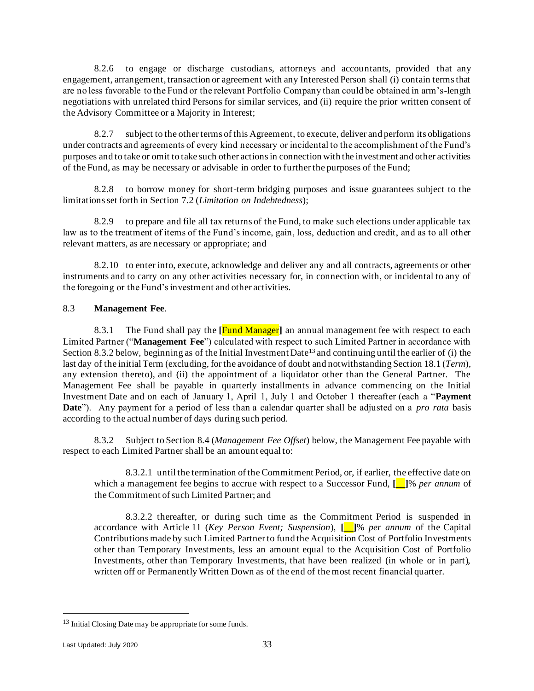8.2.6 to engage or discharge custodians, attorneys and accountants, provided that any engagement, arrangement, transaction or agreement with any Interested Person shall (i) contain terms that are no less favorable to the Fund or the relevant Portfolio Company than could be obtained in arm's-length negotiations with unrelated third Persons for similar services, and (ii) require the prior written consent of the Advisory Committee or a Majority in Interest;

8.2.7 subject to the other terms of this Agreement, to execute, deliver and perform its obligations under contracts and agreements of every kind necessary or incidental to the accomplishment of the Fund's purposes and to take or omit to take such other actions in connection with the investment and other activities of the Fund, as may be necessary or advisable in order to further the purposes of the Fund;

8.2.8 to borrow money for short-term bridging purposes and issue guarantees subject to the limitations set forth in Section [7.2](#page-33-4) (*Limitation on Indebtedness*);

8.2.9 to prepare and file all tax returns of the Fund, to make such elections under applicable tax law as to the treatment of items of the Fund's income, gain, loss, deduction and credit, and as to all other relevant matters, as are necessary or appropriate; and

8.2.10 to enter into, execute, acknowledge and deliver any and all contracts, agreements or other instruments and to carry on any other activities necessary for, in connection with, or incidental to any of the foregoing or the Fund's investment and other activities.

#### <span id="page-35-1"></span>8.3 **Management Fee**.

<span id="page-35-0"></span>8.3.1 The Fund shall pay the **[**Fund Manager**]** an annual management fee with respect to each Limited Partner ("**Management Fee**") calculated with respect to such Limited Partner in accordance with Section [8.3.2](#page-35-2) below, beginning as of the Initial Investment Date<sup>13</sup> and continuing until the earlier of (i) the last day of the initial Term (excluding, for the avoidance of doubt and notwithstanding Section 18.1 (*Term*), any extension thereto), and (ii) the appointment of a liquidator other than the General Partner. The Management Fee shall be payable in quarterly installments in advance commencing on the Initial Investment Date and on each of January 1, April 1, July 1 and October 1 thereafter (each a "**Payment Date**"). Any payment for a period of less than a calendar quarter shall be adjusted on a *pro rata* basis according to the actual number of days during such period.

<span id="page-35-2"></span>8.3.2 Subject to Section [8.4](#page-36-1) (*Management Fee Offset*) below, the Management Fee payable with respect to each Limited Partner shall be an amount equal to:

8.3.2.1 until the termination of the Commitment Period, or, if earlier, the effective date on which a management fee begins to accrue with respect to a Successor Fund, **[\_\_]**% *per annum* of the Commitment of such Limited Partner; and

8.3.2.2 thereafter, or during such time as the Commitment Period is suspended in accordance with Article [11](#page-44-0) (*Key Person Event; Suspension*), **[\_\_]**% *per annum* of the Capital Contributions made by such Limited Partner to fund the Acquisition Cost of Portfolio Investments other than Temporary Investments, less an amount equal to the Acquisition Cost of Portfolio Investments, other than Temporary Investments, that have been realized (in whole or in part), written off or Permanently Written Down as of the end of the most recent financial quarter.

<sup>&</sup>lt;sup>13</sup> Initial Closing Date may be appropriate for some funds.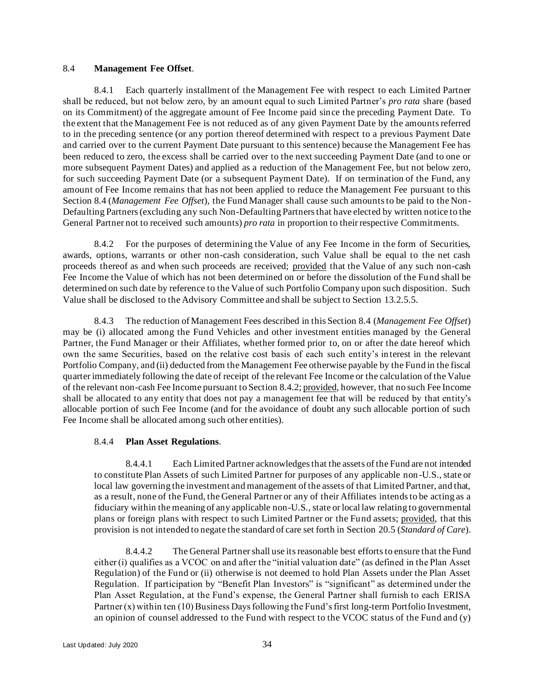#### <span id="page-36-0"></span>8.4 **Management Fee Offset**.

8.4.1 Each quarterly installment of the Management Fee with respect to each Limited Partner shall be reduced, but not below zero, by an amount equal to such Limited Partner's *pro rata* share (based on its Commitment) of the aggregate amount of Fee Income paid since the preceding Payment Date. To the extent that the Management Fee is not reduced as of any given Payment Date by the amounts referred to in the preceding sentence (or any portion thereof determined with respect to a previous Payment Date and carried over to the current Payment Date pursuant to this sentence) because the Management Fee has been reduced to zero, the excess shall be carried over to the next succeeding Payment Date (and to one or more subsequent Payment Dates) and applied as a reduction of the Management Fee, but not below zero, for such succeeding Payment Date (or a subsequent Payment Date). If on termination of the Fund, any amount of Fee Income remains that has not been applied to reduce the Management Fee pursuant to this Section [8.4](#page-36-0) (*Management Fee Offset*), the Fund Manager shall cause such amounts to be paid to the Non-Defaulting Partners (excluding any such Non-Defaulting Partners that have elected by written notice to the General Partner not to received such amounts) *pro rata* in proportion to their respective Commitments.

<span id="page-36-1"></span>8.4.2 For the purposes of determining the Value of any Fee Income in the form of Securities, awards, options, warrants or other non-cash consideration, such Value shall be equal to the net cash proceeds thereof as and when such proceeds are received; provided that the Value of any such non-cash Fee Income the Value of which has not been determined on or before the dissolution of the Fund shall be determined on such date by reference to the Value of such Portfolio Company upon such disposition. Such Value shall be disclosed to the Advisory Committee and shall be subject to Section [13.2.5.5.](#page-47-0)

8.4.3 The reduction of Management Fees described in this Section [8.4](#page-36-0) (*Management Fee Offset*) may be (i) allocated among the Fund Vehicles and other investment entities managed by the General Partner, the Fund Manager or their Affiliates, whether formed prior to, on or after the date hereof which own the same Securities, based on the relative cost basis of each such entity's interest in the relevant Portfolio Company, and (ii) deducted from the Management Fee otherwise payable by the Fund in the fiscal quarter immediately following the date of receipt of the relevant Fee Income or the calculation of the Value of the relevant non-cash Fee Income pursuant to Sectio[n 8.4.2;](#page-36-1) provided, however, that no such Fee Income shall be allocated to any entity that does not pay a management fee that will be reduced by that entity's allocable portion of such Fee Income (and for the avoidance of doubt any such allocable portion of such Fee Income shall be allocated among such other entities).

## 8.4.4 **Plan Asset Regulations**.

8.4.4.1 Each Limited Partner acknowledges that the assets of the Fund are not intended to constitute Plan Assets of such Limited Partner for purposes of any applicable non-U.S., state or local law governing the investment and management of the assets of that Limited Partner, and that, as a result, none of the Fund, the General Partner or any of their Affiliates intends to be acting as a fiduciary within the meaning of any applicable non-U.S., state or local law relating to governmental plans or foreign plans with respect to such Limited Partner or the Fund assets; provided, that this provision is not intended to negate the standard of care set forth in Sectio[n 20.5](#page-68-0) (*Standard of Care*).

8.4.4.2 The General Partner shall use its reasonable best efforts to ensure that the Fund either (i) qualifies as a VCOC on and after the "initial valuation date" (as defined in the Plan Asset Regulation) of the Fund or (ii) otherwise is not deemed to hold Plan Assets under the Plan Asset Regulation. If participation by "Benefit Plan Investors" is "significant" as determined under the Plan Asset Regulation, at the Fund's expense, the General Partner shall furnish to each ERISA Partner (x) within ten (10) Business Days following the Fund's first long-term Portfolio Investment, an opinion of counsel addressed to the Fund with respect to the VCOC status of the Fund and (y)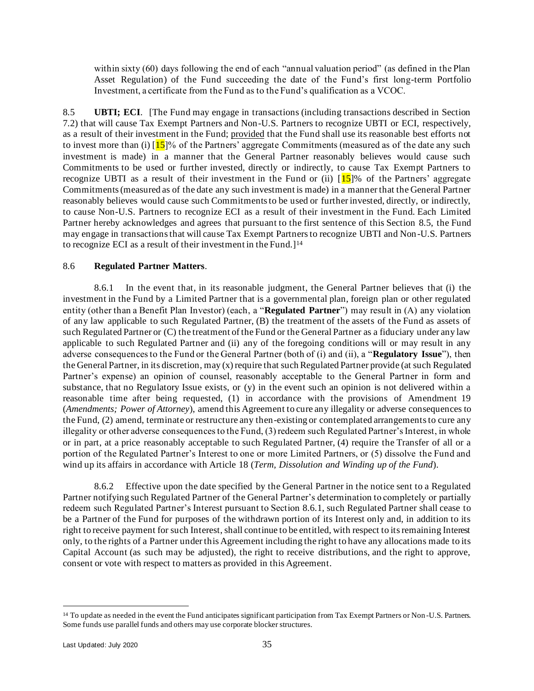within sixty (60) days following the end of each "annual valuation period" (as defined in the Plan Asset Regulation) of the Fund succeeding the date of the Fund's first long-term Portfolio Investment, a certificate from the Fund as to the Fund's qualification as a VCOC.

<span id="page-37-0"></span>8.5 **UBTI; ECI**. [The Fund may engage in transactions (including transactions described in Section [7.2\)](#page-33-0) that will cause Tax Exempt Partners and Non-U.S. Partners to recognize UBTI or ECI, respectively, as a result of their investment in the Fund; provided that the Fund shall use its reasonable best efforts not to invest more than (i)  $[15]$ % of the Partners' aggregate Commitments (measured as of the date any such investment is made) in a manner that the General Partner reasonably believes would cause such Commitments to be used or further invested, directly or indirectly, to cause Tax Exempt Partners to recognize UBTI as a result of their investment in the Fund or (ii)  $15$ % of the Partners' aggregate Commitments (measured as of the date any such investment is made) in a manner that the General Partner reasonably believes would cause such Commitments to be used or further invested, directly, or indirectly, to cause Non-U.S. Partners to recognize ECI as a result of their investment in the Fund. Each Limited Partner hereby acknowledges and agrees that pursuant to the first sentence of this Section [8.5,](#page-37-0) the Fund may engage in transactions that will cause Tax Exempt Partners to recognize UBTI and Non-U.S. Partners to recognize ECI as a result of their investment in the Fund.<sup>[14]</sup>

### 8.6 **Regulated Partner Matters**.

<span id="page-37-1"></span>8.6.1 In the event that, in its reasonable judgment, the General Partner believes that (i) the investment in the Fund by a Limited Partner that is a governmental plan, foreign plan or other regulated entity (other than a Benefit Plan Investor) (each, a "**Regulated Partner**") may result in (A) any violation of any law applicable to such Regulated Partner, (B) the treatment of the assets of the Fund as assets of such Regulated Partner or (C) the treatment of the Fund or the General Partner as a fiduciary under any law applicable to such Regulated Partner and (ii) any of the foregoing conditions will or may result in any adverse consequences to the Fund or the General Partner (both of (i) and (ii), a "**Regulatory Issue**"), then the General Partner, in its discretion, may (x) require that such Regulated Partner provide (at such Regulated Partner's expense) an opinion of counsel, reasonably acceptable to the General Partner in form and substance, that no Regulatory Issue exists, or (y) in the event such an opinion is not delivered within a reasonable time after being requested, (1) in accordance with the provisions of Amendment [19](#page-65-0) (*Amendments; Power of Attorney*), amend this Agreement to cure any illegality or adverse consequences to the Fund, (2) amend, terminate or restructure any then-existing or contemplated arrangements to cure any illegality or other adverse consequences to the Fund, (3) redeem such Regulated Partner's Interest, in whole or in part, at a price reasonably acceptable to such Regulated Partner, (4) require the Transfer of all or a portion of the Regulated Partner's Interest to one or more Limited Partners, or (5) dissolve the Fund and wind up its affairs in accordance with Article [18](#page-64-0) (*Term, Dissolution and Winding up of the Fund*).

8.6.2 Effective upon the date specified by the General Partner in the notice sent to a Regulated Partner notifying such Regulated Partner of the General Partner's determination to completely or partially redeem such Regulated Partner's Interest pursuant to Section [8.6.1,](#page-37-1) such Regulated Partner shall cease to be a Partner of the Fund for purposes of the withdrawn portion of its Interest only and, in addition to its right to receive payment for such Interest, shall continue to be entitled, with respect to its remaining Interest only, to the rights of a Partner under this Agreement including the right to have any allocations made to its Capital Account (as such may be adjusted), the right to receive distributions, and the right to approve, consent or vote with respect to matters as provided in this Agreement.

<sup>&</sup>lt;sup>14</sup> To update as needed in the event the Fund anticipates significant participation from Tax Exempt Partners or Non-U.S. Partners. Some funds use parallel funds and others may use corporate blocker structures.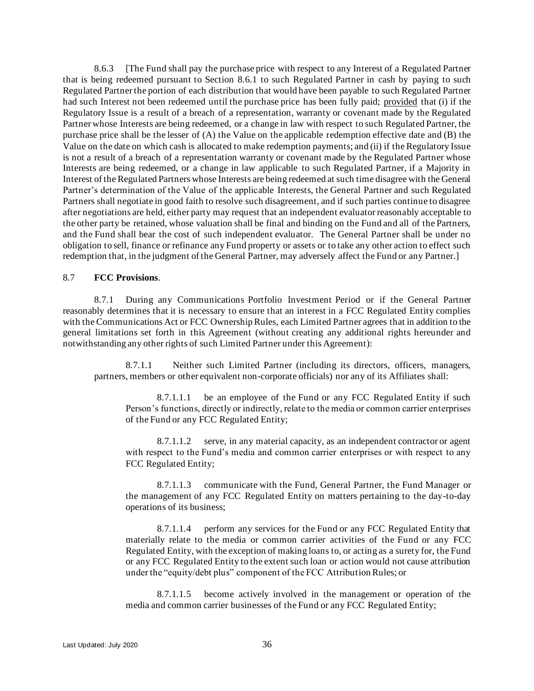8.6.3 [The Fund shall pay the purchase price with respect to any Interest of a Regulated Partner that is being redeemed pursuant to Section [8.6.1](#page-37-1) to such Regulated Partner in cash by paying to such Regulated Partner the portion of each distribution that would have been payable to such Regulated Partner had such Interest not been redeemed until the purchase price has been fully paid; provided that (i) if the Regulatory Issue is a result of a breach of a representation, warranty or covenant made by the Regulated Partner whose Interests are being redeemed, or a change in law with respect to such Regulated Partner, the purchase price shall be the lesser of (A) the Value on the applicable redemption effective date and (B) the Value on the date on which cash is allocated to make redemption payments; and (ii) if the Regulatory Issue is not a result of a breach of a representation warranty or covenant made by the Regulated Partner whose Interests are being redeemed, or a change in law applicable to such Regulated Partner, if a Majority in Interest of the Regulated Partners whose Interests are being redeemed at such time disagree with the General Partner's determination of the Value of the applicable Interests, the General Partner and such Regulated Partners shall negotiate in good faith to resolve such disagreement, and if such parties continue to disagree after negotiations are held, either party may request that an independent evaluator reasonably acceptable to the other party be retained, whose valuation shall be final and binding on the Fund and all of the Partners, and the Fund shall bear the cost of such independent evaluator. The General Partner shall be under no obligation to sell, finance or refinance any Fund property or assets or to take any other action to effect such redemption that, in the judgment of the General Partner, may adversely affect the Fund or any Partner.]

#### <span id="page-38-0"></span>8.7 **FCC Provisions**.

8.7.1 During any Communications Portfolio Investment Period or if the General Partner reasonably determines that it is necessary to ensure that an interest in a FCC Regulated Entity complies with the Communications Act or FCC Ownership Rules, each Limited Partner agrees that in addition to the general limitations set forth in this Agreement (without creating any additional rights hereunder and notwithstanding any other rights of such Limited Partner under this Agreement):

8.7.1.1 Neither such Limited Partner (including its directors, officers, managers, partners, members or other equivalent non-corporate officials) nor any of its Affiliates shall:

8.7.1.1.1 be an employee of the Fund or any FCC Regulated Entity if such Person's functions, directly or indirectly, relate to the media or common carrier enterprises of the Fund or any FCC Regulated Entity;

8.7.1.1.2 serve, in any material capacity, as an independent contractor or agent with respect to the Fund's media and common carrier enterprises or with respect to any FCC Regulated Entity;

8.7.1.1.3 communicate with the Fund, General Partner, the Fund Manager or the management of any FCC Regulated Entity on matters pertaining to the day-to-day operations of its business;

8.7.1.1.4 perform any services for the Fund or any FCC Regulated Entity that materially relate to the media or common carrier activities of the Fund or any FCC Regulated Entity, with the exception of making loans to, or acting as a surety for, the Fund or any FCC Regulated Entity to the extent such loan or action would not cause attribution under the "equity/debt plus" component of the FCC Attribution Rules; or

8.7.1.1.5 become actively involved in the management or operation of the media and common carrier businesses of the Fund or any FCC Regulated Entity;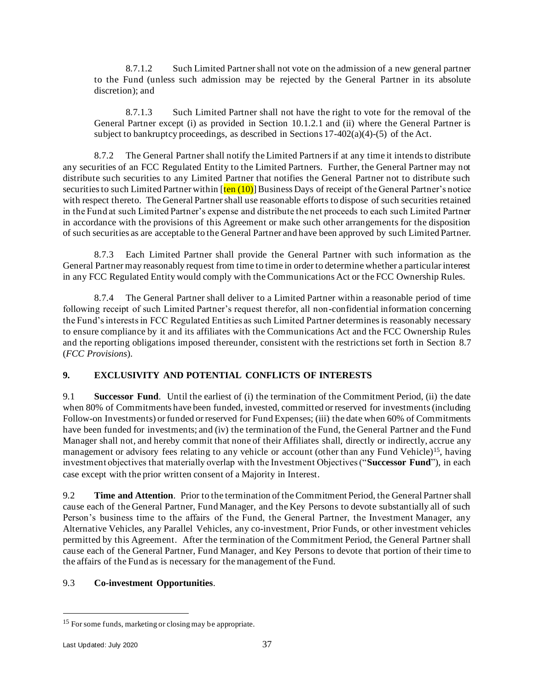8.7.1.2 Such Limited Partner shall not vote on the admission of a new general partner to the Fund (unless such admission may be rejected by the General Partner in its absolute discretion); and

8.7.1.3 Such Limited Partner shall not have the right to vote for the removal of the General Partner except (i) as provided in Section [10.1.2.1](#page-41-0) and (ii) where the General Partner is subject to bankruptcy proceedings, as described in Sections  $17-402(a)(4)-(5)$  of the Act.

8.7.2 The General Partner shall notify the Limited Partners if at any time it intends to distribute any securities of an FCC Regulated Entity to the Limited Partners. Further, the General Partner may not distribute such securities to any Limited Partner that notifies the General Partner not to distribute such securities to such Limited Partner within  $\left[\frac{\text{ten (10)}}{\text{B}}\right]$  Business Days of receipt of the General Partner's notice with respect thereto. The General Partner shall use reasonable efforts to dispose of such securities retained in the Fund at such Limited Partner's expense and distribute the net proceeds to each such Limited Partner in accordance with the provisions of this Agreement or make such other arrangements for the disposition of such securities as are acceptable to the General Partner and have been approved by such Limited Partner.

8.7.3 Each Limited Partner shall provide the General Partner with such information as the General Partner may reasonably request from time to time in order to determine whether a particular interest in any FCC Regulated Entity would comply with the Communications Act or the FCC Ownership Rules.

8.7.4 The General Partner shall deliver to a Limited Partner within a reasonable period of time following receipt of such Limited Partner's request therefor, all non-confidential information concerning the Fund's interests in FCC Regulated Entities as such Limited Partner determines is reasonably necessary to ensure compliance by it and its affiliates with the Communications Act and the FCC Ownership Rules and the reporting obligations imposed thereunder, consistent with the restrictions set forth in Section [8.7](#page-38-0) (*FCC Provisions*).

# **9. EXCLUSIVITY AND POTENTIAL CONFLICTS OF INTERESTS**

9.1 **Successor Fund**. Until the earliest of (i) the termination of the Commitment Period, (ii) the date when 80% of Commitments have been funded, invested, committed or reserved for investments (including Follow-on Investments) or funded or reserved for Fund Expenses; (iii) the date when 60% of Commitments have been funded for investments; and (iv) the termination of the Fund, the General Partner and the Fund Manager shall not, and hereby commit that none of their Affiliates shall, directly or indirectly, accrue any management or advisory fees relating to any vehicle or account (other than any Fund Vehicle)<sup>15</sup>, having investment objectives that materially overlap with the Investment Objectives ("**Successor Fund**"), in each case except with the prior written consent of a Majority in Interest.

9.2 **Time and Attention**. Prior to the termination of the Commitment Period, the General Partner shall cause each of the General Partner, Fund Manager, and the Key Persons to devote substantially all of such Person's business time to the affairs of the Fund, the General Partner, the Investment Manager, any Alternative Vehicles, any Parallel Vehicles, any co-investment, Prior Funds, or other investment vehicles permitted by this Agreement. After the termination of the Commitment Period, the General Partner shall cause each of the General Partner, Fund Manager, and Key Persons to devote that portion of their time to the affairs of the Fund as is necessary for the management of the Fund.

# <span id="page-39-0"></span>9.3 **Co-investment Opportunities**.

<sup>&</sup>lt;sup>15</sup> For some funds, marketing or closing may be appropriate.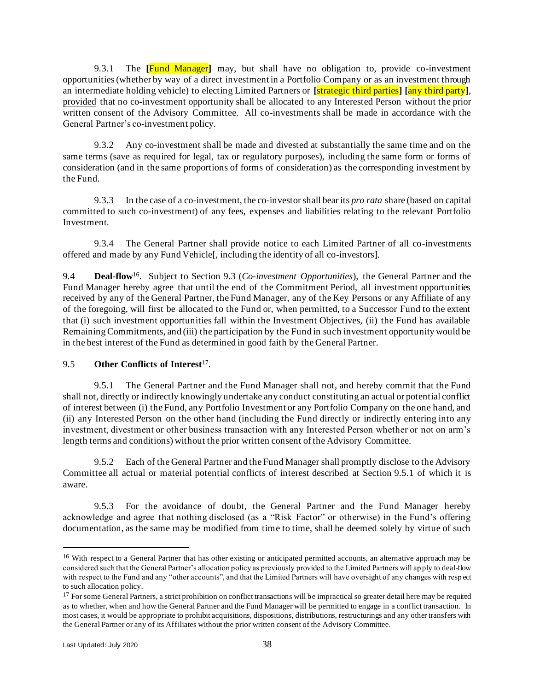9.3.1 The **[**Fund Manager**]** may, but shall have no obligation to, provide co-investment opportunities (whether by way of a direct investment in a Portfolio Company or as an investment through an intermediate holding vehicle) to electing Limited Partners or **[**strategic third parties**] [**any third party**]**, provided that no co-investment opportunity shall be allocated to any Interested Person without the prior written consent of the Advisory Committee. All co-investments shall be made in accordance with the General Partner's co-investment policy.

9.3.2 Any co-investment shall be made and divested at substantially the same time and on the same terms (save as required for legal, tax or regulatory purposes), including the same form or forms of consideration (and in the same proportions of forms of consideration) as the corresponding investment by the Fund.

9.3.3 In the case of a co-investment, the co-investor shall bear its *pro rata* share (based on capital committed to such co-investment) of any fees, expenses and liabilities relating to the relevant Portfolio Investment.

9.3.4 The General Partner shall provide notice to each Limited Partner of all co-investments offered and made by any Fund Vehicle[, including the identity of all co-investors].

9.4 **Deal-flow**<sup>16</sup>. Subject to Section [9.3](#page-39-0) (*Co-investment Opportunities*), the General Partner and the Fund Manager hereby agree that until the end of the Commitment Period, all investment opportunities received by any of the General Partner, the Fund Manager, any of the Key Persons or any Affiliate of any of the foregoing, will first be allocated to the Fund or, when permitted, to a Successor Fund to the extent that (i) such investment opportunities fall within the Investment Objectives, (ii) the Fund has available Remaining Commitments, and (iii) the participation by the Fund in such investment opportunity would be in the best interest of the Fund as determined in good faith by the General Partner.

## <span id="page-40-1"></span>9.5 Other Conflicts of Interest<sup>17</sup>.

<span id="page-40-0"></span>9.5.1 The General Partner and the Fund Manager shall not, and hereby commit that the Fund shall not, directly or indirectly knowingly undertake any conduct constituting an actual or potential conflict of interest between (i) the Fund, any Portfolio Investment or any Portfolio Company on the one hand, and (ii) any Interested Person on the other hand (including the Fund directly or indirectly entering into any investment, divestment or other business transaction with any Interested Person whether or not on arm's length terms and conditions) without the prior written consent of the Advisory Committee.

9.5.2 Each of the General Partner and the Fund Manager shall promptly disclose to the Advisory Committee all actual or material potential conflicts of interest described at Section [9.5.1](#page-40-0) of which it is aware.

9.5.3 For the avoidance of doubt, the General Partner and the Fund Manager hereby acknowledge and agree that nothing disclosed (as a "Risk Factor" or otherwise) in the Fund's offering documentation, as the same may be modified from time to time, shall be deemed solely by virtue of such

<sup>&</sup>lt;sup>16</sup> With respect to a General Partner that has other existing or anticipated permitted accounts, an alternative approach may be considered such that the General Partner's allocation policy as previously provided to the Limited Partners will ap ply to deal-flow with respect to the Fund and any "other accounts", and that the Limited Partners will have oversight of any changes with resp ect to such allocation policy.

<sup>&</sup>lt;sup>17</sup> For some General Partners, a strict prohibition on conflict transactions will be impractical so greater detail here may be required as to whether, when and how the General Partner and the Fund Manager will be permitted to engage in a conflict transaction. In most cases, it would be appropriate to prohibit acquisitions, dispositions, distributions, restructurings and any other transfers with the General Partner or any of its Affiliates without the prior written consent of the Advisory Committee.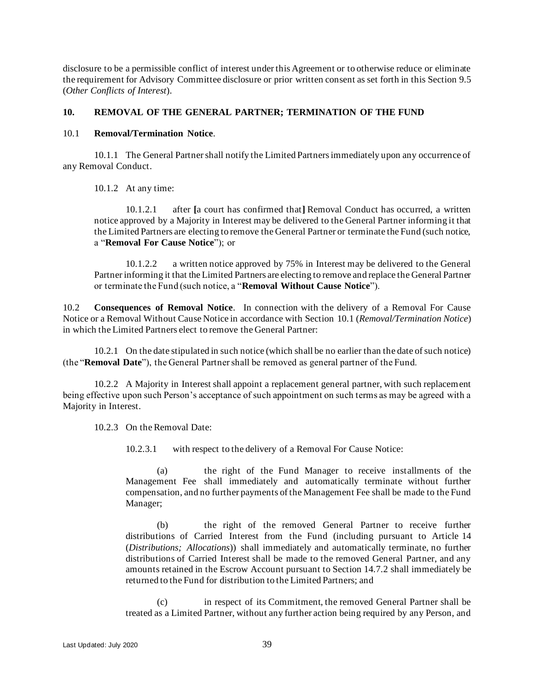disclosure to be a permissible conflict of interest under this Agreement or to otherwise reduce or eliminate the requirement for Advisory Committee disclosure or prior written consent as set forth in this Section [9.5](#page-40-1) (*Other Conflicts of Interest*).

## <span id="page-41-4"></span>**10. REMOVAL OF THE GENERAL PARTNER; TERMINATION OF THE FUND**

#### <span id="page-41-1"></span>10.1 **Removal/Termination Notice**.

10.1.1 The General Partner shall notify the Limited Partners immediately upon any occurrence of any Removal Conduct.

10.1.2 At any time:

<span id="page-41-0"></span>10.1.2.1 after **[**a court has confirmed that**]** Removal Conduct has occurred, a written notice approved by a Majority in Interest may be delivered to the General Partner informing it that the Limited Partners are electing to remove the General Partner or terminate the Fund (such notice, a "**Removal For Cause Notice**"); or

10.1.2.2 a written notice approved by 75% in Interest may be delivered to the General Partner informing it that the Limited Partners are electing to remove and replace the General Partner or terminate the Fund (such notice, a "**Removal Without Cause Notice**").

<span id="page-41-2"></span>10.2 **Consequences of Removal Notice**. In connection with the delivery of a Removal For Cause Notice or a Removal Without Cause Notice in accordance with Section [10.1](#page-41-1) (*Removal/Termination Notice*) in which the Limited Partners elect to remove the General Partner:

10.2.1 On the date stipulated in such notice (which shall be no earlier than the date of such notice) (the "**Removal Date**"), the General Partner shall be removed as general partner of the Fund.

<span id="page-41-3"></span>10.2.2 A Majority in Interest shall appoint a replacement general partner, with such replacement being effective upon such Person's acceptance of such appointment on such terms as may be agreed with a Majority in Interest.

10.2.3 On the Removal Date:

10.2.3.1 with respect to the delivery of a Removal For Cause Notice:

(a) the right of the Fund Manager to receive installments of the Management Fee shall immediately and automatically terminate without further compensation, and no further payments of the Management Fee shall be made to the Fund Manager;

(b) the right of the removed General Partner to receive further distributions of Carried Interest from the Fund (including pursuant to Article [14](#page-48-0) (*Distributions; Allocations*)) shall immediately and automatically terminate, no further distributions of Carried Interest shall be made to the removed General Partner, and any amounts retained in the Escrow Account pursuant to Section [14.7.2](#page-52-0) shall immediately be returned to the Fund for distribution to the Limited Partners; and

(c) in respect of its Commitment, the removed General Partner shall be treated as a Limited Partner, without any further action being required by any Person, and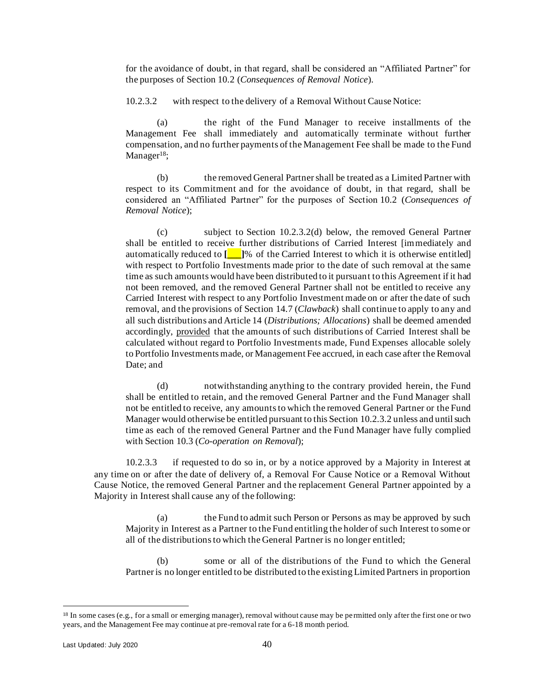for the avoidance of doubt, in that regard, shall be considered an "Affiliated Partner" for the purposes of Section [10.2](#page-41-2) (*Consequences of Removal Notice*).

<span id="page-42-1"></span>10.2.3.2 with respect to the delivery of a Removal Without Cause Notice:

(a) the right of the Fund Manager to receive installments of the Management Fee shall immediately and automatically terminate without further compensation, and no further payments of the Management Fee shall be made to the Fund Manager<sup>18</sup>;

(b) the removed General Partner shall be treated as a Limited Partner with respect to its Commitment and for the avoidance of doubt, in that regard, shall be considered an "Affiliated Partner" for the purposes of Section 10.2 (*Consequences of Removal Notice*);

(c) subject to Section 10.2.3.[2\(d\)](#page-42-0) below, the removed General Partner shall be entitled to receive further distributions of Carried Interest [immediately and automatically reduced to **[\_\_\_]**% of the Carried Interest to which it is otherwise entitled] with respect to Portfolio Investments made prior to the date of such removal at the same time as such amounts would have been distributed to it pursuant to this Agreement if it had not been removed, and the removed General Partner shall not be entitled to receive any Carried Interest with respect to any Portfolio Investment made on or after the date of such removal, and the provisions of Section [14.7](#page-51-0) (*Clawback*) shall continue to apply to any and all such distributions and Article [14](#page-48-0) (*Distributions; Allocations*) shall be deemed amended accordingly, provided that the amounts of such distributions of Carried Interest shall be calculated without regard to Portfolio Investments made, Fund Expenses allocable solely to Portfolio Investments made, or Management Fee accrued, in each case after the Removal Date; and

<span id="page-42-0"></span>(d) notwithstanding anything to the contrary provided herein, the Fund shall be entitled to retain, and the removed General Partner and the Fund Manager shall not be entitled to receive, any amounts to which the removed General Partner or the Fund Manager would otherwise be entitled pursuant to this Section [10.2.3.2](#page-42-1) unless and until such time as each of the removed General Partner and the Fund Manager have fully complied with Section [10.3](#page-43-0) (*Co-operation on Removal*);

<span id="page-42-2"></span>10.2.3.3 if requested to do so in, or by a notice approved by a Majority in Interest at any time on or after the date of delivery of, a Removal For Cause Notice or a Removal Without Cause Notice, the removed General Partner and the replacement General Partner appointed by a Majority in Interest shall cause any of the following:

(a) the Fund to admit such Person or Persons as may be approved by such Majority in Interest as a Partner to the Fund entitling the holder of such Interest to some or all of the distributions to which the General Partner is no longer entitled;

(b) some or all of the distributions of the Fund to which the General Partner is no longer entitled to be distributed to the existing Limited Partners in proportion

<sup>18</sup> In some cases (e.g., for a small or emerging manager), removal without cause may be permitted only after the first one or two years, and the Management Fee may continue at pre-removal rate for a 6-18 month period.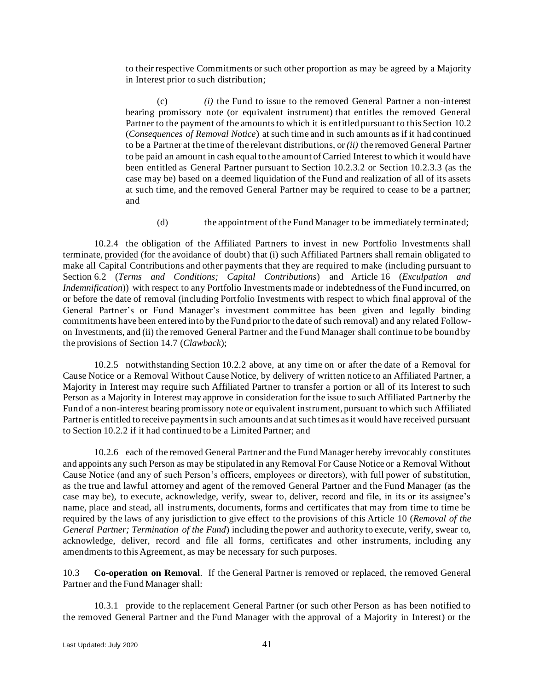to their respective Commitments or such other proportion as may be agreed by a Majority in Interest prior to such distribution;

(c) *(i)* the Fund to issue to the removed General Partner a non-interest bearing promissory note (or equivalent instrument) that entitles the removed General Partner to the payment of the amounts to which it is entitled pursuant to this Section [10.2](#page-41-2) (*Consequences of Removal Notice*) at such time and in such amounts as if it had continued to be a Partner at the time of the relevant distributions, or *(ii)* the removed General Partner to be paid an amount in cash equal to the amount of Carried Interest to which it would have been entitled as General Partner pursuant to Section [10.2.3.2](#page-42-1) or Section [10.2.3.3](#page-42-2) (as the case may be) based on a deemed liquidation of the Fund and realization of all of its assets at such time, and the removed General Partner may be required to cease to be a partner; and

(d) the appointment of the Fund Manager to be immediately terminated;

10.2.4 the obligation of the Affiliated Partners to invest in new Portfolio Investments shall terminate, provided (for the avoidance of doubt) that (i) such Affiliated Partners shall remain obligated to make all Capital Contributions and other payments that they are required to make (including pursuant to Section [6.2](#page-26-0) (*Terms and Conditions; Capital Contributions*) and Article [16](#page-59-0) (*Exculpation and Indemnification*)) with respect to any Portfolio Investments made or indebtedness of the Fund incurred, on or before the date of removal (including Portfolio Investments with respect to which final approval of the General Partner's or Fund Manager's investment committee has been given and legally binding commitments have been entered into by the Fund prior to the date of such removal) and any related Followon Investments, and (ii) the removed General Partner and the Fund Manager shall continue to be bound by the provisions of Section [14.7](#page-51-0) (*Clawback*);

10.2.5 notwithstanding Section [10.2.2](#page-41-3) above, at any time on or after the date of a Removal for Cause Notice or a Removal Without Cause Notice, by delivery of written notice to an Affiliated Partner, a Majority in Interest may require such Affiliated Partner to transfer a portion or all of its Interest to such Person as a Majority in Interest may approve in consideration for the issue to such Affiliated Partner by the Fund of a non-interest bearing promissory note or equivalent instrument, pursuant to which such Affiliated Partner is entitled to receive payments in such amounts and at such times as it would have received pursuant to Section [10.2.2](#page-41-3) if it had continued to be a Limited Partner; and

10.2.6 each of the removed General Partner and the Fund Manager hereby irrevocably constitutes and appoints any such Person as may be stipulated in any Removal For Cause Notice or a Removal Without Cause Notice (and any of such Person's officers, employees or directors), with full power of substitution, as the true and lawful attorney and agent of the removed General Partner and the Fund Manager (as the case may be), to execute, acknowledge, verify, swear to, deliver, record and file, in its or its assignee's name, place and stead, all instruments, documents, forms and certificates that may from time to time be required by the laws of any jurisdiction to give effect to the provisions of this Article [10](#page-41-4) (*Removal of the General Partner; Termination of the Fund*) including the power and authority to execute, verify, swear to, acknowledge, deliver, record and file all forms, certificates and other instruments, including any amendments to this Agreement, as may be necessary for such purposes.

<span id="page-43-0"></span>10.3 **Co-operation on Removal**. If the General Partner is removed or replaced, the removed General Partner and the Fund Manager shall:

10.3.1 provide to the replacement General Partner (or such other Person as has been notified to the removed General Partner and the Fund Manager with the approval of a Majority in Interest) or the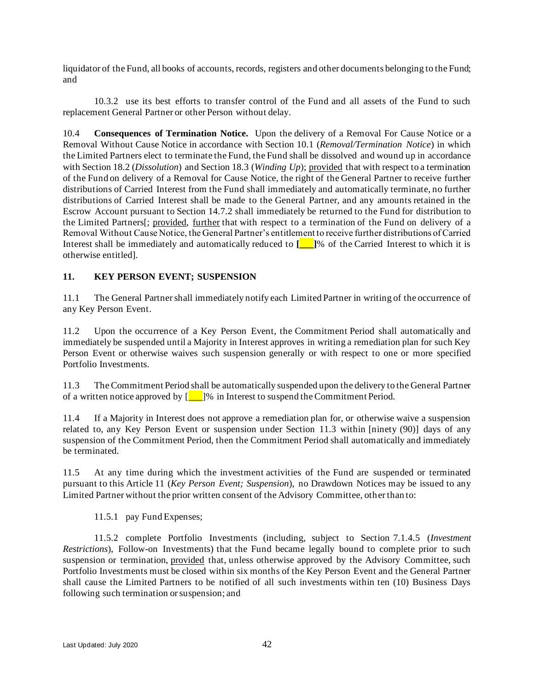liquidator of the Fund, all books of accounts, records, registers and other documents belonging to the Fund; and

10.3.2 use its best efforts to transfer control of the Fund and all assets of the Fund to such replacement General Partner or other Person without delay.

<span id="page-44-2"></span>10.4 **Consequences of Termination Notice.** Upon the delivery of a Removal For Cause Notice or a Removal Without Cause Notice in accordance with Section [10.1](#page-41-1) (*Removal/Termination Notice*) in which the Limited Partners elect to terminate the Fund, the Fund shall be dissolved and wound up in accordance with Sectio[n 18.2](#page-64-1) (*Dissolution*) and Section [18.3](#page-64-2) (*Winding Up*); provided that with respect to a termination of the Fund on delivery of a Removal for Cause Notice, the right of the General Partner to receive further distributions of Carried Interest from the Fund shall immediately and automatically terminate, no further distributions of Carried Interest shall be made to the General Partner, and any amounts retained in the Escrow Account pursuant to Section [14.7.2](#page-52-0) shall immediately be returned to the Fund for distribution to the Limited Partners[; provided, further that with respect to a termination of the Fund on delivery of a Removal Without Cause Notice, the General Partner's entitlement to receive further distributions of Carried Interest shall be immediately and automatically reduced to **[\_\_\_]**% of the Carried Interest to which it is otherwise entitled].

# <span id="page-44-1"></span>**11. KEY PERSON EVENT; SUSPENSION**

11.1 The General Partner shall immediately notify each Limited Partner in writing of the occurrence of any Key Person Event.

11.2 Upon the occurrence of a Key Person Event, the Commitment Period shall automatically and immediately be suspended until a Majority in Interest approves in writing a remediation plan for such Key Person Event or otherwise waives such suspension generally or with respect to one or more specified Portfolio Investments.

<span id="page-44-0"></span>11.3 The Commitment Period shall be automatically suspended upon the delivery to the General Partner of a written notice approved by  $\begin{bmatrix} 1 \\ 1 \end{bmatrix}$ % in Interest to suspend the Commitment Period.

11.4 If a Majority in Interest does not approve a remediation plan for, or otherwise waive a suspension related to, any Key Person Event or suspension under Section [11.3](#page-44-0) within [ninety (90)] days of any suspension of the Commitment Period, then the Commitment Period shall automatically and immediately be terminated.

11.5 At any time during which the investment activities of the Fund are suspended or terminated pursuant to this Article [11](#page-44-1) (*Key Person Event; Suspension*), no Drawdown Notices may be issued to any Limited Partner without the prior written consent of the Advisory Committee, other than to:

## 11.5.1 pay Fund Expenses;

11.5.2 complete Portfolio Investments (including, subject to Section [7.1.4.5](#page-32-0) (*Investment Restrictions*), Follow-on Investments) that the Fund became legally bound to complete prior to such suspension or termination, provided that, unless otherwise approved by the Advisory Committee, such Portfolio Investments must be closed within six months of the Key Person Event and the General Partner shall cause the Limited Partners to be notified of all such investments within ten (10) Business Days following such termination or suspension; and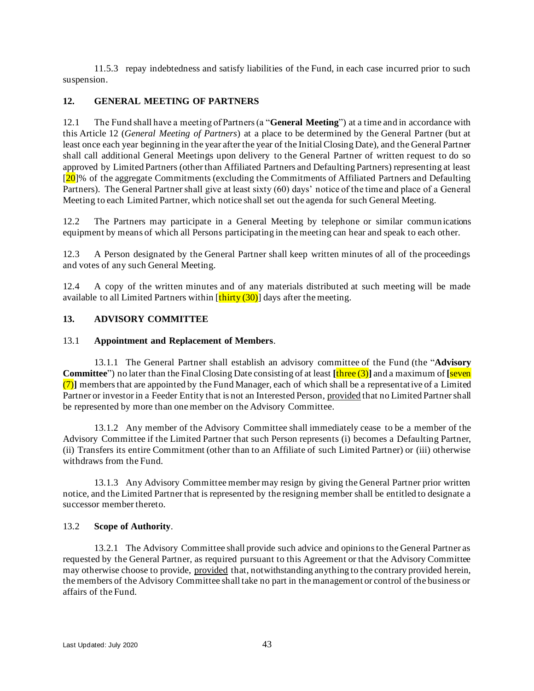11.5.3 repay indebtedness and satisfy liabilities of the Fund, in each case incurred prior to such suspension.

# <span id="page-45-0"></span>**12. GENERAL MEETING OF PARTNERS**

12.1 The Fund shall have a meeting of Partners (a "**General Meeting**") at a time and in accordance with this Article [12](#page-45-0) (*General Meeting of Partners*) at a place to be determined by the General Partner (but at least once each year beginning in the year after the year of the Initial Closing Date), and the General Partner shall call additional General Meetings upon delivery to the General Partner of written request to do so approved by Limited Partners (other than Affiliated Partners and Defaulting Partners) representing at least  $[20]$ % of the aggregate Commitments (excluding the Commitments of Affiliated Partners and Defaulting Partners). The General Partner shall give at least sixty (60) days' notice of the time and place of a General Meeting to each Limited Partner, which notice shall set out the agenda for such General Meeting.

12.2 The Partners may participate in a General Meeting by telephone or similar communications equipment by means of which all Persons participating in the meeting can hear and speak to each other.

12.3 A Person designated by the General Partner shall keep written minutes of all of the proceedings and votes of any such General Meeting.

12.4 A copy of the written minutes and of any materials distributed at such meeting will be made available to all Limited Partners within  $[\text{thirty} (30)]$  days after the meeting.

## <span id="page-45-1"></span>**13. ADVISORY COMMITTEE**

### 13.1 **Appointment and Replacement of Members**.

13.1.1 The General Partner shall establish an advisory committee of the Fund (the "**Advisory Committee**") no later than the Final Closing Date consisting of at least **[**three (3)**]** and a maximum of **[**seven  $(7)$ ] members that are appointed by the Fund Manager, each of which shall be a representative of a Limited Partner or investor in a Feeder Entity that is not an Interested Person, provided that no Limited Partner shall be represented by more than one member on the Advisory Committee.

13.1.2 Any member of the Advisory Committee shall immediately cease to be a member of the Advisory Committee if the Limited Partner that such Person represents (i) becomes a Defaulting Partner, (ii) Transfers its entire Commitment (other than to an Affiliate of such Limited Partner) or (iii) otherwise withdraws from the Fund.

13.1.3 Any Advisory Committee member may resign by giving the General Partner prior written notice, and the Limited Partner that is represented by the resigning member shall be entitled to designate a successor member thereto.

#### 13.2 **Scope of Authority**.

13.2.1 The Advisory Committee shall provide such advice and opinions to the General Partner as requested by the General Partner, as required pursuant to this Agreement or that the Advisory Committee may otherwise choose to provide, provided that, notwithstanding anything to the contrary provided herein, the members of the Advisory Committee shall take no part in the management or control of the business or affairs of the Fund.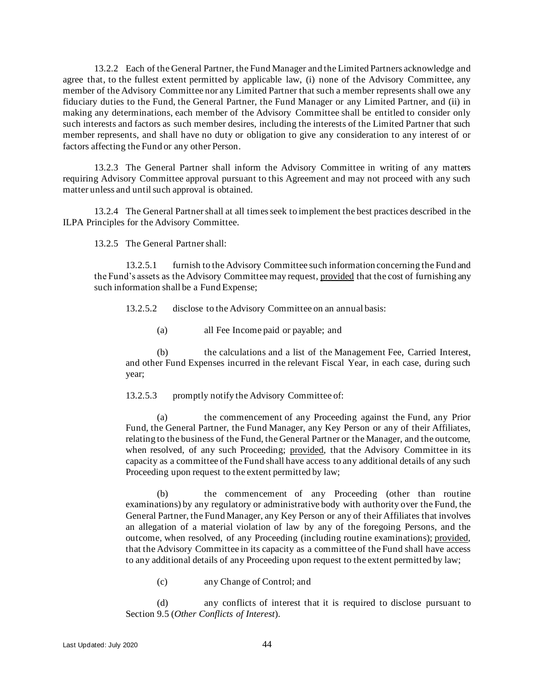13.2.2 Each of the General Partner, the Fund Manager and the Limited Partners acknowledge and agree that, to the fullest extent permitted by applicable law, (i) none of the Advisory Committee, any member of the Advisory Committee nor any Limited Partner that such a member represents shall owe any fiduciary duties to the Fund, the General Partner, the Fund Manager or any Limited Partner, and (ii) in making any determinations, each member of the Advisory Committee shall be entitled to consider only such interests and factors as such member desires, including the interests of the Limited Partner that such member represents, and shall have no duty or obligation to give any consideration to any interest of or factors affecting the Fund or any other Person.

13.2.3 The General Partner shall inform the Advisory Committee in writing of any matters requiring Advisory Committee approval pursuant to this Agreement and may not proceed with any such matter unless and until such approval is obtained.

13.2.4 The General Partner shall at all times seek to implement the best practices described in the ILPA Principles for the Advisory Committee.

13.2.5 The General Partner shall:

13.2.5.1 furnish to the Advisory Committee such information concerning the Fund and the Fund's assets as the Advisory Committee may request, provided that the cost of furnishing any such information shall be a Fund Expense;

13.2.5.2 disclose to the Advisory Committee on an annual basis:

(a) all Fee Income paid or payable; and

(b) the calculations and a list of the Management Fee, Carried Interest, and other Fund Expenses incurred in the relevant Fiscal Year, in each case, during such year;

13.2.5.3 promptly notify the Advisory Committee of:

(a) the commencement of any Proceeding against the Fund, any Prior Fund, the General Partner, the Fund Manager, any Key Person or any of their Affiliates, relating to the business of the Fund, the General Partner or the Manager, and the outcome, when resolved, of any such Proceeding; provided, that the Advisory Committee in its capacity as a committee of the Fund shall have access to any additional details of any such Proceeding upon request to the extent permitted by law;

(b) the commencement of any Proceeding (other than routine examinations) by any regulatory or administrative body with authority over the Fund, the General Partner, the Fund Manager, any Key Person or any of their Affiliates that involves an allegation of a material violation of law by any of the foregoing Persons, and the outcome, when resolved, of any Proceeding (including routine examinations); provided, that the Advisory Committee in its capacity as a committee of the Fund shall have access to any additional details of any Proceeding upon request to the extent permitted by law;

(c) any Change of Control; and

(d) any conflicts of interest that it is required to disclose pursuant to Sectio[n 9.5](#page-40-1) (*Other Conflicts of Interest*).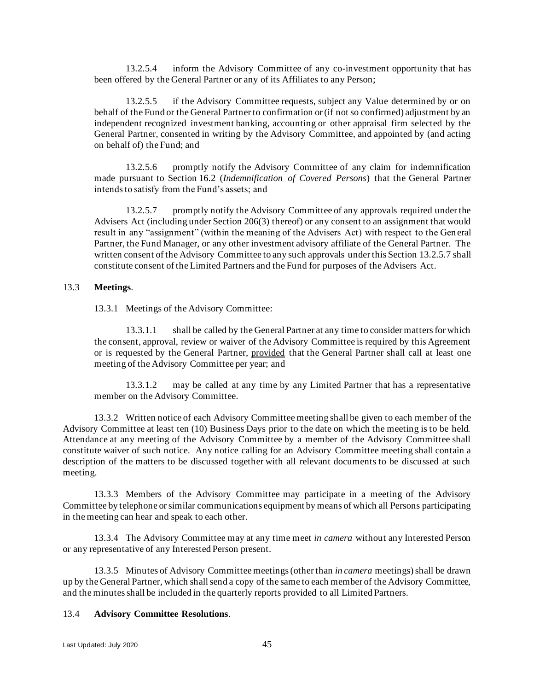13.2.5.4 inform the Advisory Committee of any co-investment opportunity that has been offered by the General Partner or any of its Affiliates to any Person;

<span id="page-47-0"></span>13.2.5.5 if the Advisory Committee requests, subject any Value determined by or on behalf of the Fund or the General Partner to confirmation or (if not so confirmed) adjustment by an independent recognized investment banking, accounting or other appraisal firm selected by the General Partner, consented in writing by the Advisory Committee, and appointed by (and acting on behalf of) the Fund; and

13.2.5.6 promptly notify the Advisory Committee of any claim for indemnification made pursuant to Section [16.2](#page-60-0) (*Indemnification of Covered Persons*) that the General Partner intends to satisfy from the Fund's assets; and

<span id="page-47-1"></span>13.2.5.7 promptly notify the Advisory Committee of any approvals required under the Advisers Act (including under Section 206(3) thereof) or any consent to an assignment that would result in any "assignment" (within the meaning of the Advisers Act) with respect to the General Partner, the Fund Manager, or any other investment advisory affiliate of the General Partner. The written consent of the Advisory Committee to any such approvals under this Section [13.2.5.7](#page-47-1) shall constitute consent of the Limited Partners and the Fund for purposes of the Advisers Act.

### 13.3 **Meetings**.

13.3.1 Meetings of the Advisory Committee:

13.3.1.1 shall be called by the General Partner at any time to consider matters for which the consent, approval, review or waiver of the Advisory Committee is required by this Agreement or is requested by the General Partner, provided that the General Partner shall call at least one meeting of the Advisory Committee per year; and

13.3.1.2 may be called at any time by any Limited Partner that has a representative member on the Advisory Committee.

13.3.2 Written notice of each Advisory Committee meeting shall be given to each member of the Advisory Committee at least ten (10) Business Days prior to the date on which the meeting is to be held. Attendance at any meeting of the Advisory Committee by a member of the Advisory Committee shall constitute waiver of such notice. Any notice calling for an Advisory Committee meeting shall contain a description of the matters to be discussed together with all relevant documents to be discussed at such meeting.

13.3.3 Members of the Advisory Committee may participate in a meeting of the Advisory Committee by telephone or similar communications equipment by means of which all Persons participating in the meeting can hear and speak to each other.

13.3.4 The Advisory Committee may at any time meet *in camera* without any Interested Person or any representative of any Interested Person present.

13.3.5 Minutes of Advisory Committee meetings (other than *in camera* meetings) shall be drawn up by the General Partner, which shall send a copy of the same to each member of the Advisory Committee, and the minutes shall be included in the quarterly reports provided to all Limited Partners.

#### 13.4 **Advisory Committee Resolutions**.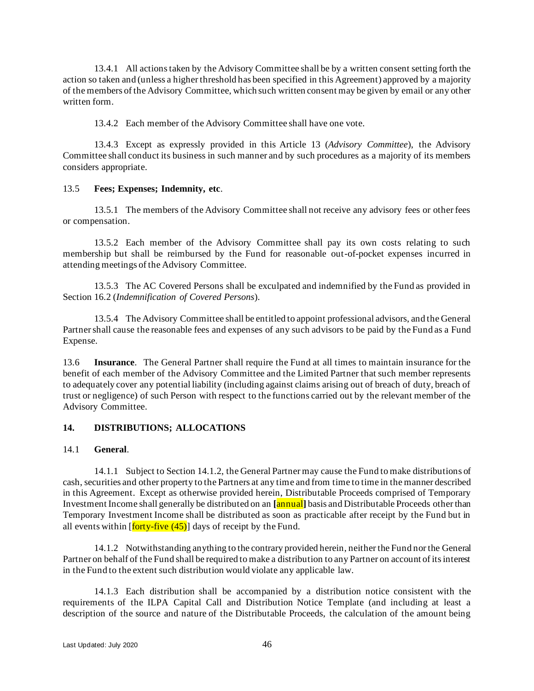13.4.1 All actions taken by the Advisory Committee shall be by a written consent setting forth the action so taken and (unless a higher threshold has been specified in this Agreement) approved by a majority of the members of the Advisory Committee, which such written consent may be given by email or any other written form.

13.4.2 Each member of the Advisory Committee shall have one vote.

13.4.3 Except as expressly provided in this Article [13](#page-45-1) (*Advisory Committee*), the Advisory Committee shall conduct its business in such manner and by such procedures as a majority of its members considers appropriate.

## 13.5 **Fees; Expenses; Indemnity, etc**.

13.5.1 The members of the Advisory Committee shall not receive any advisory fees or other fees or compensation.

13.5.2 Each member of the Advisory Committee shall pay its own costs relating to such membership but shall be reimbursed by the Fund for reasonable out-of-pocket expenses incurred in attending meetings of the Advisory Committee.

13.5.3 The AC Covered Persons shall be exculpated and indemnified by the Fund as provided in Section [16.2](#page-60-0) (*Indemnification of Covered Persons*).

13.5.4 The Advisory Committee shall be entitled to appoint professional advisors, and the General Partner shall cause the reasonable fees and expenses of any such advisors to be paid by the Fund as a Fund Expense.

<span id="page-48-2"></span>13.6 **Insurance**. The General Partner shall require the Fund at all times to maintain insurance for the benefit of each member of the Advisory Committee and the Limited Partner that such member represents to adequately cover any potential liability (including against claims arising out of breach of duty, breach of trust or negligence) of such Person with respect to the functions carried out by the relevant member of the Advisory Committee.

## <span id="page-48-0"></span>**14. DISTRIBUTIONS; ALLOCATIONS**

#### <span id="page-48-3"></span>14.1 **General**.

14.1.1 Subject to Section [14.1.2,](#page-48-1) the General Partner may cause the Fund to make distributions of cash, securities and other property to the Partners at any time and from time to time in the manner described in this Agreement. Except as otherwise provided herein, Distributable Proceeds comprised of Temporary Investment Income shall generally be distributed on an **[**annual**]** basis and Distributable Proceeds other than Temporary Investment Income shall be distributed as soon as practicable after receipt by the Fund but in all events within  $\left[ \frac{\text{forty-five}}{\text{45}} \right]$  days of receipt by the Fund.

<span id="page-48-1"></span>14.1.2 Notwithstanding anything to the contrary provided herein, neither the Fund nor the General Partner on behalf of the Fund shall be required to make a distribution to any Partner on account of its interest in the Fund to the extent such distribution would violate any applicable law.

14.1.3 Each distribution shall be accompanied by a distribution notice consistent with the requirements of the ILPA Capital Call and Distribution Notice Template (and including at least a description of the source and nature of the Distributable Proceeds, the calculation of the amount being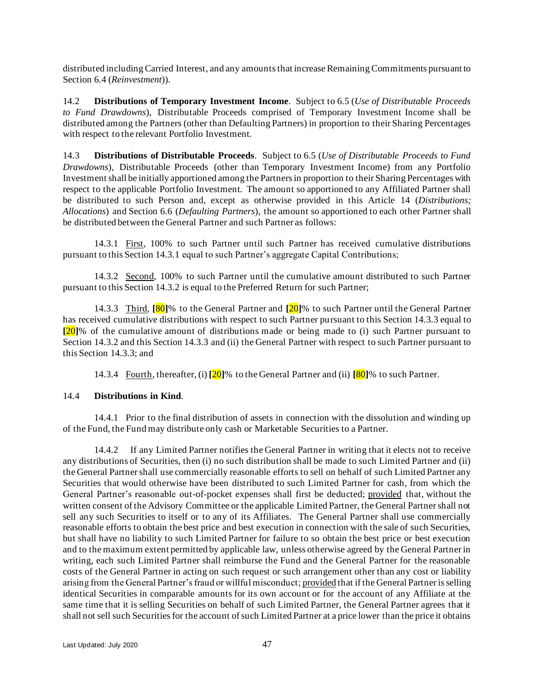distributed including Carried Interest, and any amounts that increase Remaining Commitments pursuant to Sectio[n 6.4](#page-27-0) (*Reinvestment*)).

<span id="page-49-5"></span>14.2 **Distributions of Temporary Investment Income**. Subject to 6.5 (*Use of Distributable Proceeds to Fund Drawdowns*), Distributable Proceeds comprised of Temporary Investment Income shall be distributed among the Partners (other than Defaulting Partners) in proportion to their Sharing Percentages with respect to the relevant Portfolio Investment.

<span id="page-49-4"></span>14.3 **Distributions of Distributable Proceeds**. Subject to 6.5 (*Use of Distributable Proceeds to Fund Drawdowns*), Distributable Proceeds (other than Temporary Investment Income) from any Portfolio Investment shall be initially apportioned among the Partners in proportion to their Sharing Percentages with respect to the applicable Portfolio Investment. The amount so apportioned to any Affiliated Partner shall be distributed to such Person and, except as otherwise provided in this Article [14](#page-48-0) (*Distributions; Allocations*) and Section [6.6](#page-28-0) (*Defaulting Partners*), the amount so apportioned to each other Partner shall be distributed between the General Partner and such Partner as follows:

<span id="page-49-0"></span>14.3.1 First, 100% to such Partner until such Partner has received cumulative distributions pursuant to this Section [14.3.1](#page-49-0) equal to such Partner's aggregate Capital Contributions;

<span id="page-49-1"></span>14.3.2 Second, 100% to such Partner until the cumulative amount distributed to such Partner pursuant to this Section [14.3.2](#page-49-1) is equal to the Preferred Return for such Partner;

<span id="page-49-2"></span>14.3.3 Third, **[**80**]**% to the General Partner and **[**20**]**% to such Partner until the General Partner has received cumulative distributions with respect to such Partner pursuant to this Section [14.3.3](#page-49-2) equal to **[**20**]**% of the cumulative amount of distributions made or being made to (i) such Partner pursuant to Section [14.3.2](#page-49-1) and this Section [14.3.3](#page-49-2) and (ii) the General Partner with respect to such Partner pursuant to this Section [14.3.3;](#page-49-2) and

14.3.4 Fourth, thereafter, (i) **[**20**]**% to the General Partner and (ii) **[**80**]**% to such Partner.

## <span id="page-49-6"></span>14.4 **Distributions in Kind**.

14.4.1 Prior to the final distribution of assets in connection with the dissolution and winding up of the Fund, the Fund may distribute only cash or Marketable Securities to a Partner.

<span id="page-49-3"></span>14.4.2 If any Limited Partner notifies the General Partner in writing that it elects not to receive any distributions of Securities, then (i) no such distribution shall be made to such Limited Partner and (ii) the General Partner shall use commercially reasonable efforts to sell on behalf of such Limited Partner any Securities that would otherwise have been distributed to such Limited Partner for cash, from which the General Partner's reasonable out-of-pocket expenses shall first be deducted; provided that, without the written consent of the Advisory Committee or the applicable Limited Partner, the General Partner shall not sell any such Securities to itself or to any of its Affiliates. The General Partner shall use commercially reasonable efforts to obtain the best price and best execution in connection with the sale of such Securities, but shall have no liability to such Limited Partner for failure to so obtain the best price or best execution and to the maximum extent permitted by applicable law, unless otherwise agreed by the General Partner in writing, each such Limited Partner shall reimburse the Fund and the General Partner for the reasonable costs of the General Partner in acting on such request or such arrangement other than any cost or liability arising from the General Partner's fraud or willful misconduct; provided that if the General Partner is selling identical Securities in comparable amounts for its own account or for the account of any Affiliate at the same time that it is selling Securities on behalf of such Limited Partner, the General Partner agrees that it shall not sell such Securities for the account of such Limited Partner at a price lower than the price it obtains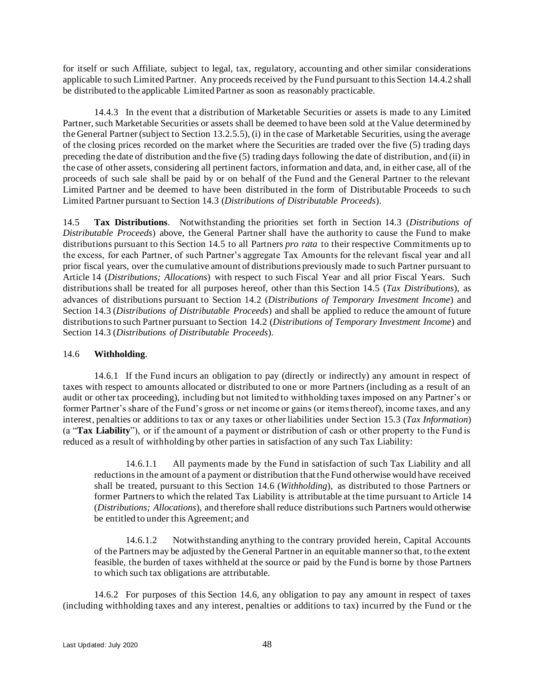for itself or such Affiliate, subject to legal, tax, regulatory, accounting and other similar considerations applicable to such Limited Partner. Any proceeds received by the Fund pursuant to this Sectio[n 14.4.2](#page-49-3) shall be distributed to the applicable Limited Partner as soon as reasonably practicable.

14.4.3 In the event that a distribution of Marketable Securities or assets is made to any Limited Partner, such Marketable Securities or assets shall be deemed to have been sold at the Value determined by the General Partner (subject to Section [13.2.5.5\)](#page-47-0), (i) in the case of Marketable Securities, using the average of the closing prices recorded on the market where the Securities are traded over the five (5) trading days preceding the date of distribution and the five (5) trading days following the date of distribution, and (ii) in the case of other assets, considering all pertinent factors, information and data, and, in either case, all of the proceeds of such sale shall be paid by or on behalf of the Fund and the General Partner to the relevant Limited Partner and be deemed to have been distributed in the form of Distributable Proceeds to su ch Limited Partner pursuant to Section [14.3](#page-49-4) (*Distributions of Distributable Proceeds*).

<span id="page-50-0"></span>14.5 **Tax Distributions**. Notwithstanding the priorities set forth in Section [14.3](#page-49-4) (*Distributions of Distributable Proceeds*) above, the General Partner shall have the authority to cause the Fund to make distributions pursuant to this Section [14.5](#page-50-0) to all Partners *pro rata* to their respective Commitments up to the excess, for each Partner, of such Partner's aggregate Tax Amounts for the relevant fiscal year and all prior fiscal years, over the cumulative amount of distributions previously made to such Partner pursuant to Article [14](#page-48-0) (*Distributions; Allocations*) with respect to such Fiscal Year and all prior Fiscal Years. Such distributions shall be treated for all purposes hereof, other than this Section [14.5](#page-50-0) (*Tax Distributions*), as advances of distributions pursuant to Section [14.2](#page-49-5) (*Distributions of Temporary Investment Income*) and Section [14.3](#page-49-4) (*Distributions of Distributable Proceeds*) and shall be applied to reduce the amount of future distributions to such Partner pursuant to Section [14.2](#page-49-5) (*Distributions of Temporary Investment Income*) and Section [14.3](#page-49-4) (*Distributions of Distributable Proceeds*).

## <span id="page-50-1"></span>14.6 **Withholding**.

14.6.1 If the Fund incurs an obligation to pay (directly or indirectly) any amount in respect of taxes with respect to amounts allocated or distributed to one or more Partners (including as a result of an audit or other tax proceeding), including but not limited to withholding taxes imposed on any Partner's or former Partner's share of the Fund's gross or net income or gains (or items thereof), income taxes, and any interest, penalties or additions to tax or any taxes or other liabilities under Sectio[n 15.3](#page-56-0) (*Tax Information*) (a "**Tax Liability**"), or if the amount of a payment or distribution of cash or other property to the Fund is reduced as a result of withholding by other parties in satisfaction of any such Tax Liability:

14.6.1.1 All payments made by the Fund in satisfaction of such Tax Liability and all reductions in the amount of a payment or distribution that the Fund otherwise would have received shall be treated, pursuant to this Section [14.6](#page-50-1) (*Withholding*), as distributed to those Partners or former Partners to which the related Tax Liability is attributable at the time pursuant to Article [14](#page-48-0) (*Distributions; Allocations*), and therefore shall reduce distributions such Partners would otherwise be entitled to under this Agreement; and

14.6.1.2 Notwithstanding anything to the contrary provided herein, Capital Accounts of the Partners may be adjusted by the General Partner in an equitable manner so that, to the extent feasible, the burden of taxes withheld at the source or paid by the Fund is borne by those Partners to which such tax obligations are attributable.

14.6.2 For purposes of this Section 14.6, any obligation to pay any amount in respect of taxes (including withholding taxes and any interest, penalties or additions to tax) incurred by the Fund or t he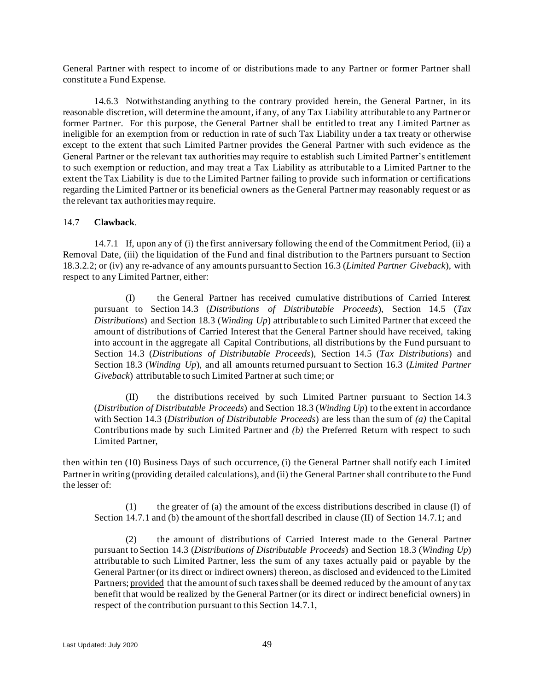General Partner with respect to income of or distributions made to any Partner or former Partner shall constitute a Fund Expense.

14.6.3 Notwithstanding anything to the contrary provided herein, the General Partner, in its reasonable discretion, will determine the amount, if any, of any Tax Liability attributable to any Partner or former Partner. For this purpose, the General Partner shall be entitled to treat any Limited Partner as ineligible for an exemption from or reduction in rate of such Tax Liability under a tax treaty or otherwise except to the extent that such Limited Partner provides the General Partner with such evidence as the General Partner or the relevant tax authorities may require to establish such Limited Partner's entitlement to such exemption or reduction, and may treat a Tax Liability as attributable to a Limited Partner to the extent the Tax Liability is due to the Limited Partner failing to provide such information or certifications regarding the Limited Partner or its beneficial owners as the General Partner may reasonably request or as the relevant tax authorities may require.

### <span id="page-51-0"></span>14.7 **Clawback**.

<span id="page-51-1"></span>14.7.1 If, upon any of (i) the first anniversary following the end of the Commitment Period, (ii) a Removal Date, (iii) the liquidation of the Fund and final distribution to the Partners pursuant to Section [18.3.2.2;](#page-65-1) or (iv) any re-advance of any amounts pursuant to Section [16.3](#page-61-0) (*Limited Partner Giveback*), with respect to any Limited Partner, either:

(I) the General Partner has received cumulative distributions of Carried Interest pursuant to Section 14.3 (*Distributions of Distributable Proceeds*), Section [14.5](#page-50-0) (*Tax Distributions*) and Section [18.3](#page-64-2) (*Winding Up*) attributable to such Limited Partner that exceed the amount of distributions of Carried Interest that the General Partner should have received, taking into account in the aggregate all Capital Contributions, all distributions by the Fund pursuant to Section 14.3 (*Distributions of Distributable Proceeds*), Section 14.5 (*Tax Distributions*) and Section [18.3](#page-64-2) (*Winding Up*), and all amounts returned pursuant to Section [16.3](#page-61-0) (*Limited Partner Giveback*) attributable to such Limited Partner at such time; or

(II) the distributions received by such Limited Partner pursuant to Section [14.3](#page-49-4) (*Distribution of Distributable Proceeds*) and Section [18.3](#page-64-2) (*Winding Up*) to the extent in accordance with Section [14.3](#page-49-4) (*Distribution of Distributable Proceeds*) are less than the sum of *(a)* the Capital Contributions made by such Limited Partner and *(b)* the Preferred Return with respect to such Limited Partner,

then within ten (10) Business Days of such occurrence, (i) the General Partner shall notify each Limited Partner in writing (providing detailed calculations), and (ii) the General Partner shall contribute to the Fund the lesser of:

(1) the greater of (a) the amount of the excess distributions described in clause (I) of Section [14.7.1](#page-51-1) and (b) the amount of the shortfall described in clause (II) of Section [14.7.1;](#page-51-1) and

(2) the amount of distributions of Carried Interest made to the General Partner pursuant to Section [14.3](#page-49-4) (*Distributions of Distributable Proceeds*) and Section 18.3 (*Winding Up*) attributable to such Limited Partner, less the sum of any taxes actually paid or payable by the General Partner (or its direct or indirect owners) thereon, as disclosed and evidenced to the Limited Partners; provided that the amount of such taxes shall be deemed reduced by the amount of any tax benefit that would be realized by the General Partner (or its direct or indirect beneficial owners) in respect of the contribution pursuant to this Section [14.7.1,](#page-51-1)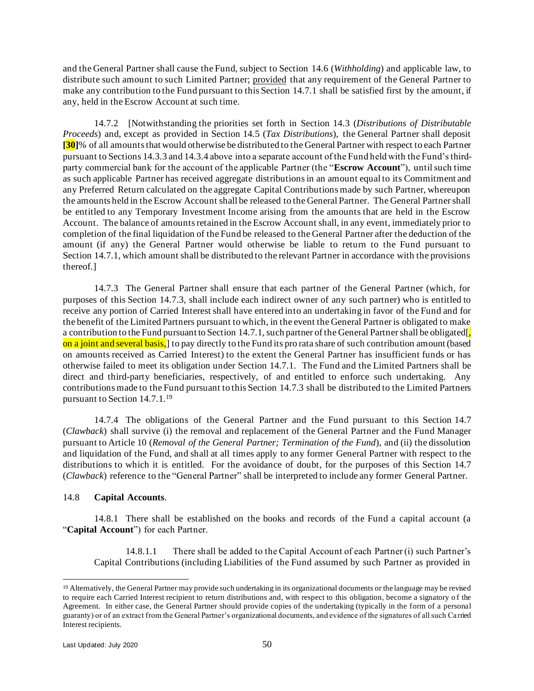and the General Partner shall cause the Fund, subject to Section [14.6](#page-50-1) (*Withholding*) and applicable law, to distribute such amount to such Limited Partner; provided that any requirement of the General Partner to make any contribution to the Fund pursuant to this Section [14.7.1](#page-51-1) shall be satisfied first by the amount, if any, held in the Escrow Account at such time.

<span id="page-52-0"></span>14.7.2 [Notwithstanding the priorities set forth in Section [14.3](#page-49-4) (*Distributions of Distributable Proceeds*) and, except as provided in Section [14.5](#page-50-0) (*Tax Distributions*), the General Partner shall deposit **[30]**% of all amounts that would otherwise be distributed to the General Partner with respect to each Partner pursuant to Section[s 14.3.3](#page-49-2) an[d 14.3.4](#page-49-6) above into a separate account of the Fund held with the Fund's thirdparty commercial bank for the account of the applicable Partner (the "**Escrow Account**"), until such time as such applicable Partner has received aggregate distributions in an amount equal to its Commitment and any Preferred Return calculated on the aggregate Capital Contributions made by such Partner, whereupon the amounts held in the Escrow Account shall be released to the General Partner. The General Partner shall be entitled to any Temporary Investment Income arising from the amounts that are held in the Escrow Account. The balance of amounts retained in the Escrow Account shall, in any event, immediately prior to completion of the final liquidation of the Fund be released to the General Partner after the deduction of the amount (if any) the General Partner would otherwise be liable to return to the Fund pursuant to Section [14.7.1,](#page-51-1) which amount shall be distributed to the relevant Partner in accordance with the provisions thereof.]

<span id="page-52-1"></span>14.7.3 The General Partner shall ensure that each partner of the General Partner (which, for purposes of this Section [14.7.3,](#page-52-1) shall include each indirect owner of any such partner) who is entitled to receive any portion of Carried Interest shall have entered into an undertaking in favor of the Fund and for the benefit of the Limited Partners pursuant to which, in the event the General Partner is obligated to make a contribution to the Fund pursuant to Sectio[n 14.7.1,](#page-51-1) such partner of the General Partner shall be obligated[ on a joint and several basis,] to pay directly to the Fund its pro rata share of such contribution amount (based on amounts received as Carried Interest) to the extent the General Partner has insufficient funds or has otherwise failed to meet its obligation under Section [14.7.1.](#page-51-1) The Fund and the Limited Partners shall be direct and third-party beneficiaries, respectively, of and entitled to enforce such undertaking. Any contributions made to the Fund pursuant to this Section [14.7.3](#page-52-1) shall be distributed to the Limited Partners pursuant to Sectio[n 14.7.1.](#page-51-1) 19

14.7.4 The obligations of the General Partner and the Fund pursuant to this Section [14.7](#page-51-0) (*Clawback*) shall survive (i) the removal and replacement of the General Partner and the Fund Manager pursuant to Article [10](#page-41-4) (*Removal of the General Partner; Termination of the Fund*), and (ii) the dissolution and liquidation of the Fund, and shall at all times apply to any former General Partner with respect to the distributions to which it is entitled. For the avoidance of doubt, for the purposes of this Section [14.7](#page-51-0) (*Clawback*) reference to the "General Partner" shall be interpreted to include any former General Partner.

## 14.8 **Capital Accounts**.

14.8.1 There shall be established on the books and records of the Fund a capital account (a "**Capital Account**") for each Partner.

14.8.1.1 There shall be added to the Capital Account of each Partner (i) such Partner's Capital Contributions (including Liabilities of the Fund assumed by such Partner as provided in

<sup>19</sup> Alternatively, the General Partner may provide such undertaking in its organizational documents or the language may be revised to require each Carried Interest recipient to return distributions and, with respect to this obligation, become a signatory of the Agreement. In either case, the General Partner should provide copies of the undertaking (typically in the form of a personal guaranty) or of an extract from the General Partner's organizational documents, and evidence of the signatures of all such Ca rried Interest recipients.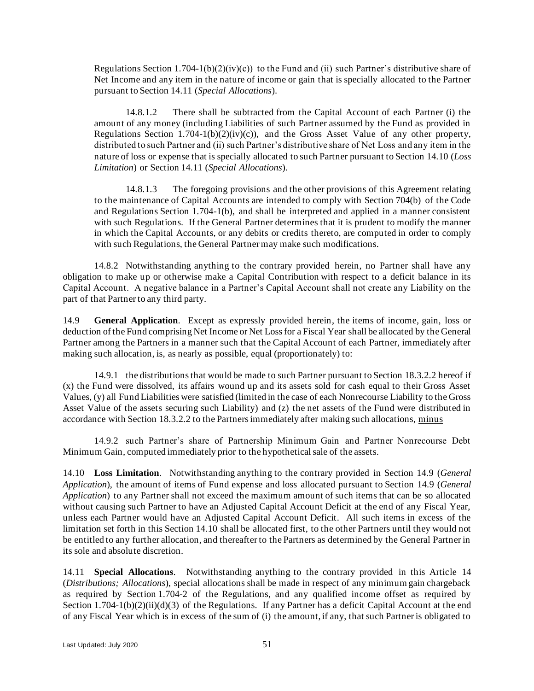Regulations Section 1.704-1(b)(2)(iv)(c)) to the Fund and (ii) such Partner's distributive share of Net Income and any item in the nature of income or gain that is specially allocated to the Partner pursuant to Sectio[n 14.11](#page-53-0) (*Special Allocations*).

14.8.1.2 There shall be subtracted from the Capital Account of each Partner (i) the amount of any money (including Liabilities of such Partner assumed by the Fund as provided in Regulations Section 1.704-1(b)(2)(iv)(c)), and the Gross Asset Value of any other property, distributed to such Partner and (ii) such Partner's distributive share of Net Loss and any item in the nature of loss or expense that is specially allocated to such Partner pursuant to Sectio[n 14.10](#page-53-1) (*Loss Limitation*) or Section 14.11 (*Special Allocations*).

14.8.1.3 The foregoing provisions and the other provisions of this Agreement relating to the maintenance of Capital Accounts are intended to comply with Section 704(b) of the Code and Regulations Section 1.704-1(b), and shall be interpreted and applied in a manner consistent with such Regulations. If the General Partner determines that it is prudent to modify the manner in which the Capital Accounts, or any debits or credits thereto, are computed in order to comply with such Regulations, the General Partner may make such modifications.

14.8.2 Notwithstanding anything to the contrary provided herein, no Partner shall have any obligation to make up or otherwise make a Capital Contribution with respect to a deficit balance in its Capital Account. A negative balance in a Partner's Capital Account shall not create any Liability on the part of that Partner to any third party.

<span id="page-53-2"></span>14.9 **General Application**. Except as expressly provided herein, the items of income, gain, loss or deduction of the Fund comprising Net Income or Net Loss for a Fiscal Year shall be allocated by the General Partner among the Partners in a manner such that the Capital Account of each Partner, immediately after making such allocation, is, as nearly as possible, equal (proportionately) to:

14.9.1 the distributions that would be made to such Partner pursuant to Section [18.3.2.2](#page-65-1) hereof if (x) the Fund were dissolved, its affairs wound up and its assets sold for cash equal to their Gross Asset Values, (y) all Fund Liabilities were satisfied (limited in the case of each Nonrecourse Liability to the Gross Asset Value of the assets securing such Liability) and (z) the net assets of the Fund were distributed in accordance with Section [18.3.2.2](#page-65-1) to the Partners immediately after making such allocations, minus

14.9.2 such Partner's share of Partnership Minimum Gain and Partner Nonrecourse Debt Minimum Gain, computed immediately prior to the hypothetical sale of the assets.

<span id="page-53-1"></span>14.10 **Loss Limitation**. Notwithstanding anything to the contrary provided in Section [14.9](#page-53-2) (*General Application*), the amount of items of Fund expense and loss allocated pursuant to Section [14.9](#page-53-2) (*General Application*) to any Partner shall not exceed the maximum amount of such items that can be so allocated without causing such Partner to have an Adjusted Capital Account Deficit at the end of any Fiscal Year, unless each Partner would have an Adjusted Capital Account Deficit. All such items in excess of the limitation set forth in this Section [14.10](#page-53-1) shall be allocated first, to the other Partners until they would not be entitled to any further allocation, and thereafter to the Partners as determined by the General Partner in its sole and absolute discretion.

<span id="page-53-0"></span>14.11 **Special Allocations**. Notwithstanding anything to the contrary provided in this Article [14](#page-48-0) (*Distributions; Allocations*), special allocations shall be made in respect of any minimum gain chargeback as required by Section 1.704-2 of the Regulations, and any qualified income offset as required by Section 1.704-1(b)(2)(ii)(d)(3) of the Regulations. If any Partner has a deficit Capital Account at the end of any Fiscal Year which is in excess of the sum of (i) the amount, if any, that such Partner is obligated to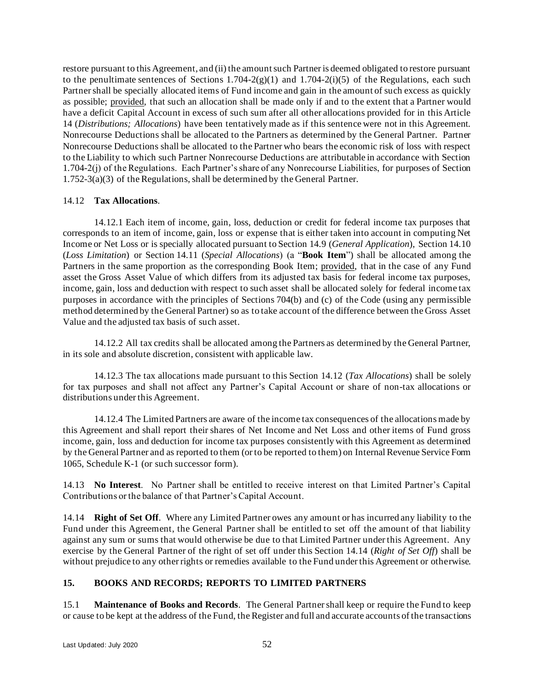restore pursuant to this Agreement, and (ii) the amount such Partner is deemed obligated to restore pursuant to the penultimate sentences of Sections 1.704-2(g)(1) and 1.704-2(i)(5) of the Regulations, each such Partner shall be specially allocated items of Fund income and gain in the amount of such excess as quickly as possible; provided, that such an allocation shall be made only if and to the extent that a Partner would have a deficit Capital Account in excess of such sum after all other allocations provided for in this Article [14](#page-48-0) (*Distributions; Allocations*) have been tentatively made as if this sentence were not in this Agreement. Nonrecourse Deductions shall be allocated to the Partners as determined by the General Partner. Partner Nonrecourse Deductions shall be allocated to the Partner who bears the economic risk of loss with respect to the Liability to which such Partner Nonrecourse Deductions are attributable in accordance with Section 1.704-2(j) of the Regulations. Each Partner's share of any Nonrecourse Liabilities, for purposes of Section 1.752-3(a)(3) of the Regulations, shall be determined by the General Partner.

## <span id="page-54-0"></span>14.12 **Tax Allocations**.

14.12.1 Each item of income, gain, loss, deduction or credit for federal income tax purposes that corresponds to an item of income, gain, loss or expense that is either taken into account in computing Net Income or Net Loss or is specially allocated pursuant to Section [14.9](#page-53-2) (*General Application*), Section [14.10](#page-53-1) (*Loss Limitation*) or Section [14.11](#page-53-0) (*Special Allocations*) (a "**Book Item**") shall be allocated among the Partners in the same proportion as the corresponding Book Item; provided, that in the case of any Fund asset the Gross Asset Value of which differs from its adjusted tax basis for federal income tax purposes, income, gain, loss and deduction with respect to such asset shall be allocated solely for federal income tax purposes in accordance with the principles of Sections 704(b) and (c) of the Code (using any permissible method determined by the General Partner) so as to take account of the difference between the Gross Asset Value and the adjusted tax basis of such asset.

14.12.2 All tax credits shall be allocated among the Partners as determined by the General Partner, in its sole and absolute discretion, consistent with applicable law.

14.12.3 The tax allocations made pursuant to this Section [14.12](#page-54-0) (*Tax Allocations*) shall be solely for tax purposes and shall not affect any Partner's Capital Account or share of non-tax allocations or distributions under this Agreement.

14.12.4 The Limited Partners are aware of the income tax consequences of the allocations made by this Agreement and shall report their shares of Net Income and Net Loss and other items of Fund gross income, gain, loss and deduction for income tax purposes consistently with this Agreement as determined by the General Partner and as reported to them (or to be reported to them) on Internal Revenue Service Form 1065, Schedule K-1 (or such successor form).

14.13 **No Interest**. No Partner shall be entitled to receive interest on that Limited Partner's Capital Contributions or the balance of that Partner's Capital Account.

<span id="page-54-1"></span>14.14 **Right of Set Off**. Where any Limited Partner owes any amount or has incurred any liability to the Fund under this Agreement, the General Partner shall be entitled to set off the amount of that liability against any sum or sums that would otherwise be due to that Limited Partner under this Agreement. Any exercise by the General Partner of the right of set off under this Section [14.14](#page-54-1) (*Right of Set Off*) shall be without prejudice to any other rights or remedies available to the Fund under this Agreement or otherwise.

# <span id="page-54-2"></span>**15. BOOKS AND RECORDS; REPORTS TO LIMITED PARTNERS**

15.1 **Maintenance of Books and Records**. The General Partner shall keep or require the Fund to keep or cause to be kept at the address of the Fund, the Register and full and accurate accounts of the transactions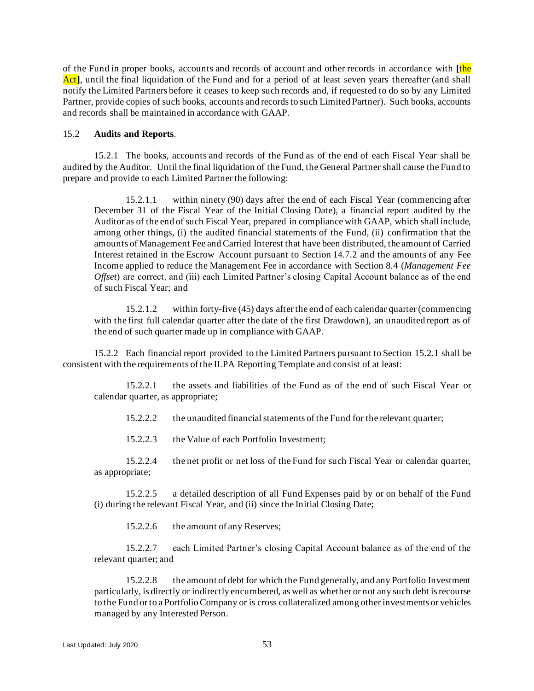of the Fund in proper books, accounts and records of account and other records in accordance with **[**the Act<sup>†</sup>, until the final liquidation of the Fund and for a period of at least seven years thereafter (and shall notify the Limited Partners before it ceases to keep such records and, if requested to do so by any Limited Partner, provide copies of such books, accounts and records to such Limited Partner). Such books, accounts and records shall be maintained in accordance with GAAP*.*

## 15.2 **Audits and Reports**.

<span id="page-55-0"></span>15.2.1 The books, accounts and records of the Fund as of the end of each Fiscal Year shall be audited by the Auditor. Until the final liquidation of the Fund, the General Partner shall cause the Fund to prepare and provide to each Limited Partner the following:

15.2.1.1 within ninety (90) days after the end of each Fiscal Year (commencing after December 31 of the Fiscal Year of the Initial Closing Date), a financial report audited by the Auditor as of the end of such Fiscal Year, prepared in compliance with GAAP, which shall include, among other things, (i) the audited financial statements of the Fund, (ii) confirmation that the amounts of Management Fee and Carried Interest that have been distributed, the amount of Carried Interest retained in the Escrow Account pursuant to Section [14.7.2](#page-52-0) and the amounts of any Fee Income applied to reduce the Management Fee in accordance with Section [8.4](#page-36-0) (*Management Fee Offset*) are correct, and (iii) each Limited Partner's closing Capital Account balance as of the end of such Fiscal Year; and

15.2.1.2 within forty-five (45) days after the end of each calendar quarter (commencing with the first full calendar quarter after the date of the first Drawdown), an unaudited report as of the end of such quarter made up in compliance with GAAP.

15.2.2 Each financial report provided to the Limited Partners pursuant to Section [15.2.1](#page-55-0) shall be consistent with the requirements of the ILPA Reporting Template and consist of at least:

15.2.2.1 the assets and liabilities of the Fund as of the end of such Fiscal Year or calendar quarter, as appropriate;

15.2.2.2 the unaudited financial statements of the Fund for the relevant quarter;

15.2.2.3 the Value of each Portfolio Investment;

15.2.2.4 the net profit or net loss of the Fund for such Fiscal Year or calendar quarter, as appropriate;

15.2.2.5 a detailed description of all Fund Expenses paid by or on behalf of the Fund (i) during the relevant Fiscal Year, and (ii) since the Initial Closing Date;

15.2.2.6 the amount of any Reserves;

15.2.2.7 each Limited Partner's closing Capital Account balance as of the end of the relevant quarter; and

15.2.2.8 the amount of debt for which the Fund generally, and any Portfolio Investment particularly, is directly or indirectly encumbered, as well as whether or not any such debt is recourse to the Fund or to a Portfolio Company or is cross collateralized among other investments or vehicles managed by any Interested Person.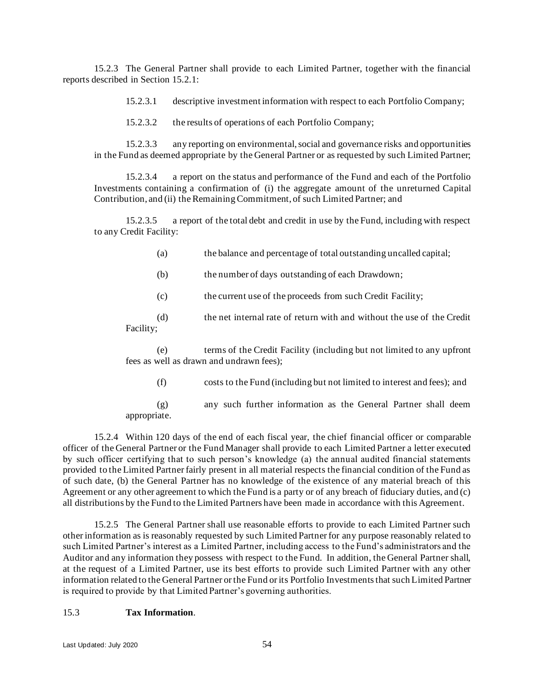15.2.3 The General Partner shall provide to each Limited Partner, together with the financial reports described in Section [15.2.1:](#page-55-0)

15.2.3.1 descriptive investment information with respect to each Portfolio Company;

15.2.3.2 the results of operations of each Portfolio Company;

15.2.3.3 any reporting on environmental, social and governance risks and opportunities in the Fund as deemed appropriate by the General Partner or as requested by such Limited Partner;

15.2.3.4 a report on the status and performance of the Fund and each of the Portfolio Investments containing a confirmation of (i) the aggregate amount of the unreturned Capital Contribution, and (ii) the Remaining Commitment, of such Limited Partner; and

15.2.3.5 a report of the total debt and credit in use by the Fund, including with respect to any Credit Facility:

- (a) the balance and percentage of total outstanding uncalled capital;
- (b) the number of days outstanding of each Drawdown;
- (c) the current use of the proceeds from such Credit Facility;

(d) the net internal rate of return with and without the use of the Credit Facility;

(e) terms of the Credit Facility (including but not limited to any upfront fees as well as drawn and undrawn fees);

(f) costs to the Fund (including but not limited to interest and fees); and

(g) any such further information as the General Partner shall deem appropriate.

15.2.4 Within 120 days of the end of each fiscal year, the chief financial officer or comparable officer of the General Partner or the Fund Manager shall provide to each Limited Partner a letter executed by such officer certifying that to such person's knowledge (a) the annual audited financial statements provided to the Limited Partner fairly present in all material respects the financial condition of the Fund as of such date, (b) the General Partner has no knowledge of the existence of any material breach of this Agreement or any other agreement to which the Fund is a party or of any breach of fiduciary duties, and (c) all distributions by the Fund to the Limited Partners have been made in accordance with this Agreement.

15.2.5 The General Partner shall use reasonable efforts to provide to each Limited Partner such other information as is reasonably requested by such Limited Partner for any purpose reasonably related to such Limited Partner's interest as a Limited Partner, including access to the Fund's administrators and the Auditor and any information they possess with respect to the Fund. In addition, the General Partner shall, at the request of a Limited Partner, use its best efforts to provide such Limited Partner with any other information related to the General Partner or the Fund or its Portfolio Investments that such Limited Partner is required to provide by that Limited Partner's governing authorities.

## <span id="page-56-0"></span>15.3 **Tax Information**.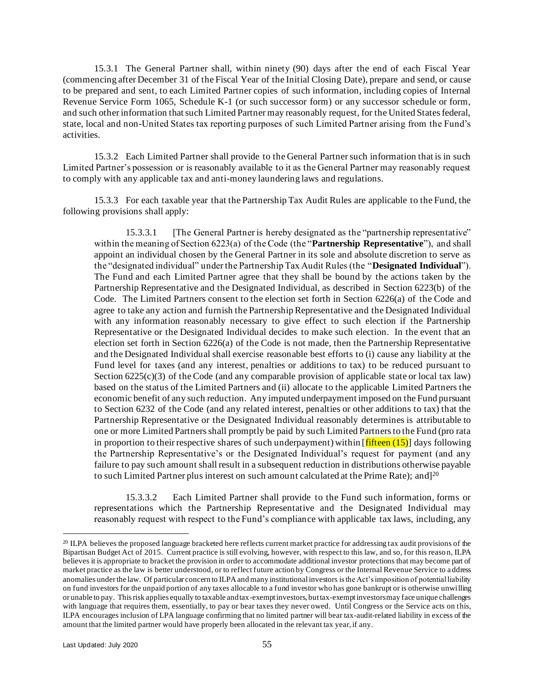15.3.1 The General Partner shall, within ninety (90) days after the end of each Fiscal Year (commencing after December 31 of the Fiscal Year of the Initial Closing Date), prepare and send, or cause to be prepared and sent, to each Limited Partner copies of such information, including copies of Internal Revenue Service Form 1065, Schedule K-1 (or such successor form) or any successor schedule or form, and such other information that such Limited Partner may reasonably request, for the United States federal, state, local and non-United States tax reporting purposes of such Limited Partner arising from the Fund's activities.

15.3.2 Each Limited Partner shall provide to the General Partner such information that is in such Limited Partner's possession or is reasonably available to it as the General Partner may reasonably request to comply with any applicable tax and anti-money laundering laws and regulations.

15.3.3 For each taxable year that the Partnership Tax Audit Rules are applicable to the Fund, the following provisions shall apply:

15.3.3.1 [The General Partner is hereby designated as the "partnership representative" within the meaning of Section 6223(a) of the Code (the "**Partnership Representative**"), and shall appoint an individual chosen by the General Partner in its sole and absolute discretion to serve as the "designated individual" under the Partnership Tax Audit Rules (the "**Designated Individual**"). The Fund and each Limited Partner agree that they shall be bound by the actions taken by the Partnership Representative and the Designated Individual, as described in Section 6223(b) of the Code. The Limited Partners consent to the election set forth in Section 6226(a) of the Code and agree to take any action and furnish the Partnership Representative and the Designated Individual with any information reasonably necessary to give effect to such election if the Partnership Representative or the Designated Individual decides to make such election. In the event that an election set forth in Section 6226(a) of the Code is not made, then the Partnership Representative and the Designated Individual shall exercise reasonable best efforts to (i) cause any liability at the Fund level for taxes (and any interest, penalties or additions to tax) to be reduced pursuant to Section  $6225(c)(3)$  of the Code (and any comparable provision of applicable state or local tax law) based on the status of the Limited Partners and (ii) allocate to the applicable Limited Partners the economic benefit of any such reduction. Any imputed underpayment imposed on the Fund pursuant to Section 6232 of the Code (and any related interest, penalties or other additions to tax) that the Partnership Representative or the Designated Individual reasonably determines is attributable to one or more Limited Partners shall promptly be paid by such Limited Partners to the Fund (pro rata in proportion to their respective shares of such underpayment) within  $[\text{filteren (15)}]$  days following the Partnership Representative's or the Designated Individual's request for payment (and any failure to pay such amount shall result in a subsequent reduction in distributions otherwise payable to such Limited Partner plus interest on such amount calculated at the Prime Rate); and  $1^{20}$ 

15.3.3.2 Each Limited Partner shall provide to the Fund such information, forms or representations which the Partnership Representative and the Designated Individual may reasonably request with respect to the Fund's compliance with applicable tax laws, including, any

<sup>20</sup> ILPA believes the proposed language bracketed here reflects current market practice for addressing tax audit provisions of the Bipartisan Budget Act of 2015. Current practice is still evolving, however, with respect to this law, and so, for this reaso n, ILPA believes it is appropriate to bracket the provision in order to accommodate additional investor protections that may become part of market practice as the law is better understood, or to reflect future action by Congress or the Internal Revenue Service to a ddress anomalies under the law. Of particular concern to ILPA and many institutional investors is the Act's imposition of potential liability on fund investors for the unpaid portion of any taxes allocable to a fund investor who has gone bankrupt or is otherwise unwilling or unable to pay. This risk applies equally to taxable and tax-exempt investors, but tax-exempt investors may face unique challenges with language that requires them, essentially, to pay or bear taxes they never owed. Until Congress or the Service acts on this, ILPA encourages inclusion of LPA language confirming that no limited partner will bear tax-audit-related liability in excess of the amount that the limited partner would have properly been allocated in the relevant tax year, if any.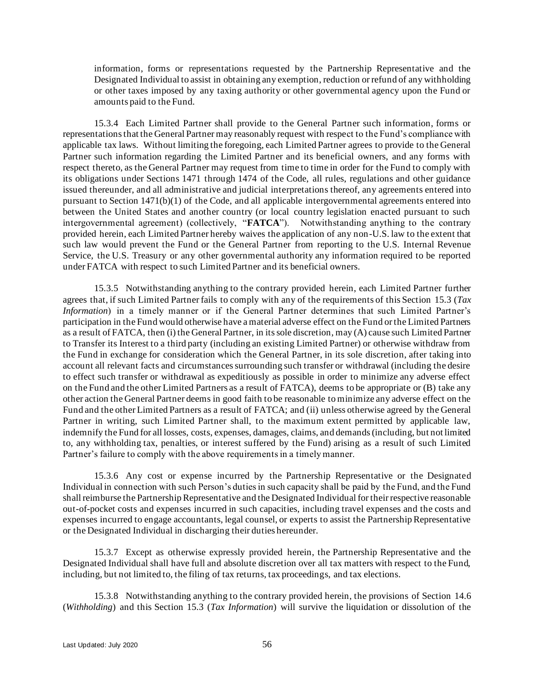information, forms or representations requested by the Partnership Representative and the Designated Individual to assist in obtaining any exemption, reduction or refund of any withholding or other taxes imposed by any taxing authority or other governmental agency upon the Fund or amounts paid to the Fund.

15.3.4 Each Limited Partner shall provide to the General Partner such information, forms or representations that the General Partner may reasonably request with respect to the Fund's compliance with applicable tax laws. Without limiting the foregoing, each Limited Partner agrees to provide to the General Partner such information regarding the Limited Partner and its beneficial owners, and any forms with respect thereto, as the General Partner may request from time to time in order for the Fund to comply with its obligations under Sections 1471 through 1474 of the Code, all rules, regulations and other guidance issued thereunder, and all administrative and judicial interpretations thereof, any agreements entered into pursuant to Section 1471(b)(1) of the Code, and all applicable intergovernmental agreements entered into between the United States and another country (or local country legislation enacted pursuant to such intergovernmental agreement) (collectively, "**FATCA**"). Notwithstanding anything to the contrary provided herein, each Limited Partner hereby waives the application of any non-U.S. law to the extent that such law would prevent the Fund or the General Partner from reporting to the U.S. Internal Revenue Service, the U.S. Treasury or any other governmental authority any information required to be reported under FATCA with respect to such Limited Partner and its beneficial owners.

15.3.5 Notwithstanding anything to the contrary provided herein, each Limited Partner further agrees that, if such Limited Partner fails to comply with any of the requirements of this Section [15.3](#page-56-0) (*Tax Information*) in a timely manner or if the General Partner determines that such Limited Partner's participation in the Fund would otherwise have a material adverse effect on the Fund or the Limited Partners as a result of FATCA, then (i) the General Partner, in its sole discretion, may (A) cause such Limited Partner to Transfer its Interest to a third party (including an existing Limited Partner) or otherwise withdraw from the Fund in exchange for consideration which the General Partner, in its sole discretion, after taking into account all relevant facts and circumstances surrounding such transfer or withdrawal (including the desire to effect such transfer or withdrawal as expeditiously as possible in order to minimize any adverse effect on the Fund and the other Limited Partners as a result of FATCA), deems to be appropriate or (B) take any other action the General Partner deems in good faith to be reasonable to minimize any adverse effect on the Fund and the other Limited Partners as a result of FATCA; and (ii) unless otherwise agreed by the General Partner in writing, such Limited Partner shall, to the maximum extent permitted by applicable law, indemnify the Fund for all losses, costs, expenses, damages, claims, and demands (including, but not limited to, any withholding tax, penalties, or interest suffered by the Fund) arising as a result of such Limited Partner's failure to comply with the above requirements in a timely manner.

15.3.6 Any cost or expense incurred by the Partnership Representative or the Designated Individual in connection with such Person's duties in such capacity shall be paid by the Fund, and the Fund shall reimburse the Partnership Representative and the Designated Individual for their respective reasonable out-of-pocket costs and expenses incurred in such capacities, including travel expenses and the costs and expenses incurred to engage accountants, legal counsel, or experts to assist the Partnership Representative or the Designated Individual in discharging their duties hereunder.

15.3.7 Except as otherwise expressly provided herein, the Partnership Representative and the Designated Individual shall have full and absolute discretion over all tax matters with respect to the Fund, including, but not limited to, the filing of tax returns, tax proceedings, and tax elections.

15.3.8 Notwithstanding anything to the contrary provided herein, the provisions of Section [14.6](#page-50-1) (*Withholding*) and this Section [15.3](#page-56-0) (*Tax Information*) will survive the liquidation or dissolution of the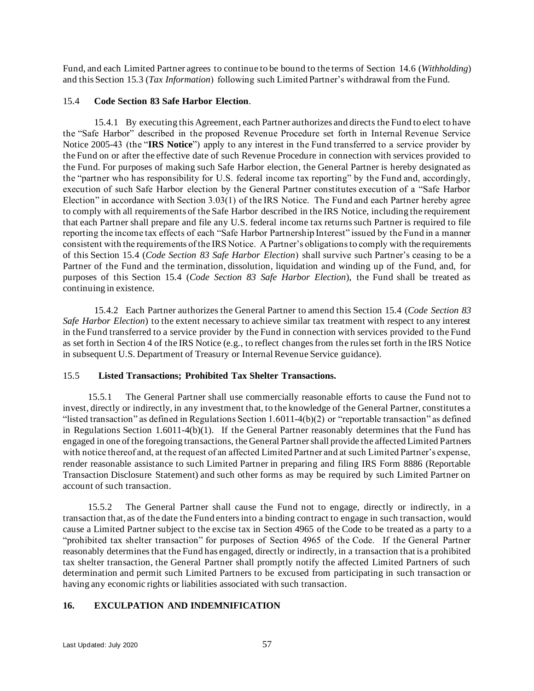Fund, and each Limited Partner agrees to continue to be bound to the terms of Section [14.6](#page-50-1) (*Withholding*) and this Section [15.3](#page-56-0) (*Tax Information*) following such Limited Partner's withdrawal from the Fund.

### <span id="page-59-1"></span>15.4 **Code Section 83 Safe Harbor Election**.

15.4.1 By executing this Agreement, each Partner authorizes and directs the Fund to elect to have the "Safe Harbor" described in the proposed Revenue Procedure set forth in Internal Revenue Service Notice 2005-43 (the "**IRS Notice**") apply to any interest in the Fund transferred to a service provider by the Fund on or after the effective date of such Revenue Procedure in connection with services provided to the Fund. For purposes of making such Safe Harbor election, the General Partner is hereby designated as the "partner who has responsibility for U.S. federal income tax reporting" by the Fund and, accordingly, execution of such Safe Harbor election by the General Partner constitutes execution of a "Safe Harbor Election" in accordance with Section 3.03(1) of the IRS Notice. The Fund and each Partner hereby agree to comply with all requirements of the Safe Harbor described in the IRS Notice, including the requirement that each Partner shall prepare and file any U.S. federal income tax returns such Partner is required to file reporting the income tax effects of each "Safe Harbor Partnership Interest" issued by the Fund in a manner consistent with the requirements of the IRS Notice. A Partner's obligations to comply with the requirements of this Section [15.4](#page-59-1) (*Code Section 83 Safe Harbor Election*) shall survive such Partner's ceasing to be a Partner of the Fund and the termination, dissolution, liquidation and winding up of the Fund, and, for purposes of this Section [15.4](#page-59-1) (*Code Section 83 Safe Harbor Election*), the Fund shall be treated as continuing in existence.

15.4.2 Each Partner authorizes the General Partner to amend this Section [15.4](#page-59-1) (*Code Section 83 Safe Harbor Election*) to the extent necessary to achieve similar tax treatment with respect to any interest in the Fund transferred to a service provider by the Fund in connection with services provided to the Fund as set forth in Section 4 of the IRS Notice (e.g., to reflect changes from the rules set forth in the IRS Notice in subsequent U.S. Department of Treasury or Internal Revenue Service guidance).

## 15.5 **Listed Transactions; Prohibited Tax Shelter Transactions.**

15.5.1 The General Partner shall use commercially reasonable efforts to cause the Fund not to invest, directly or indirectly, in any investment that, to the knowledge of the General Partner, constitutes a "listed transaction" as defined in Regulations Section 1.6011-4(b)(2) or "reportable transaction" as defined in Regulations Section 1.6011-4(b)(1). If the General Partner reasonably determines that the Fund has engaged in one of the foregoing transactions, the General Partner shall provide the affected Limited Partners with notice thereof and, at the request of an affected Limited Partner and at such Limited Partner's expense, render reasonable assistance to such Limited Partner in preparing and filing IRS Form 8886 (Reportable Transaction Disclosure Statement) and such other forms as may be required by such Limited Partner on account of such transaction.

15.5.2 The General Partner shall cause the Fund not to engage, directly or indirectly, in a transaction that, as of the date the Fund enters into a binding contract to engage in such transaction, would cause a Limited Partner subject to the excise tax in Section 4965 of the Code to be treated as a party to a "prohibited tax shelter transaction" for purposes of Section 4965 of the Code. If the General Partner reasonably determines that the Fund has engaged, directly or indirectly, in a transaction that is a prohibited tax shelter transaction, the General Partner shall promptly notify the affected Limited Partners of such determination and permit such Limited Partners to be excused from participating in such transaction or having any economic rights or liabilities associated with such transaction.

# <span id="page-59-0"></span>**16. EXCULPATION AND INDEMNIFICATION**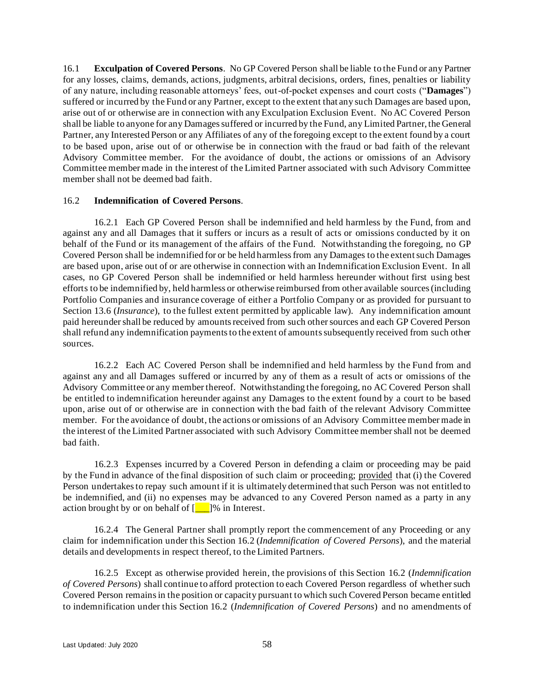<span id="page-60-2"></span>16.1 **Exculpation of Covered Persons**. No GP Covered Person shall be liable to the Fund or any Partner for any losses, claims, demands, actions, judgments, arbitral decisions, orders, fines, penalties or liability of any nature, including reasonable attorneys' fees, out-of-pocket expenses and court costs ("**Damages**") suffered or incurred by the Fund or any Partner, except to the extent that any such Damages are based upon, arise out of or otherwise are in connection with any Exculpation Exclusion Event. No AC Covered Person shall be liable to anyone for any Damages suffered or incurred by the Fund, any Limited Partner, the General Partner, any Interested Person or any Affiliates of any of the foregoing except to the extent found by a court to be based upon, arise out of or otherwise be in connection with the fraud or bad faith of the relevant Advisory Committee member. For the avoidance of doubt, the actions or omissions of an Advisory Committee member made in the interest of the Limited Partner associated with such Advisory Committee member shall not be deemed bad faith.

### <span id="page-60-0"></span>16.2 **Indemnification of Covered Persons**.

<span id="page-60-1"></span>16.2.1 Each GP Covered Person shall be indemnified and held harmless by the Fund, from and against any and all Damages that it suffers or incurs as a result of acts or omissions conducted by it on behalf of the Fund or its management of the affairs of the Fund. Notwithstanding the foregoing, no GP Covered Person shall be indemnified for or be held harmless from any Damages to the extent such Damages are based upon, arise out of or are otherwise in connection with an Indemnification Exclusion Event. In all cases, no GP Covered Person shall be indemnified or held harmless hereunder without first using best efforts to be indemnified by, held harmless or otherwise reimbursed from other available sources (including Portfolio Companies and insurance coverage of either a Portfolio Company or as provided for pursuant to Section [13.6](#page-48-2) (*Insurance*), to the fullest extent permitted by applicable law). Any indemnification amount paid hereunder shall be reduced by amounts received from such other sources and each GP Covered Person shall refund any indemnification payments to the extent of amounts subsequently received from such other sources.

16.2.2 Each AC Covered Person shall be indemnified and held harmless by the Fund from and against any and all Damages suffered or incurred by any of them as a result of acts or omissions of the Advisory Committee or any member thereof. Notwithstanding the foregoing, no AC Covered Person shall be entitled to indemnification hereunder against any Damages to the extent found by a court to be based upon, arise out of or otherwise are in connection with the bad faith of the relevant Advisory Committee member. For the avoidance of doubt, the actions or omissions of an Advisory Committee member made in the interest of the Limited Partner associated with such Advisory Committee member shall not be deemed bad faith.

16.2.3 Expenses incurred by a Covered Person in defending a claim or proceeding may be paid by the Fund in advance of the final disposition of such claim or proceeding; provided that (i) the Covered Person undertakes to repay such amount if it is ultimately determined that such Person was not entitled to be indemnified, and (ii) no expenses may be advanced to any Covered Person named as a party in any action brought by or on behalf of  $\boxed{\phantom{2}$  |% in Interest.

16.2.4 The General Partner shall promptly report the commencement of any Proceeding or any claim for indemnification under this Section [16.2](#page-60-0) (*Indemnification of Covered Persons*), and the material details and developments in respect thereof, to the Limited Partners.

16.2.5 Except as otherwise provided herein, the provisions of this Section [16.2](#page-60-0) (*Indemnification of Covered Persons*) shall continue to afford protection to each Covered Person regardless of whether such Covered Person remains in the position or capacity pursuant to which such Covered Person became entitled to indemnification under this Section [16.2](#page-60-0) (*Indemnification of Covered Persons*) and no amendments of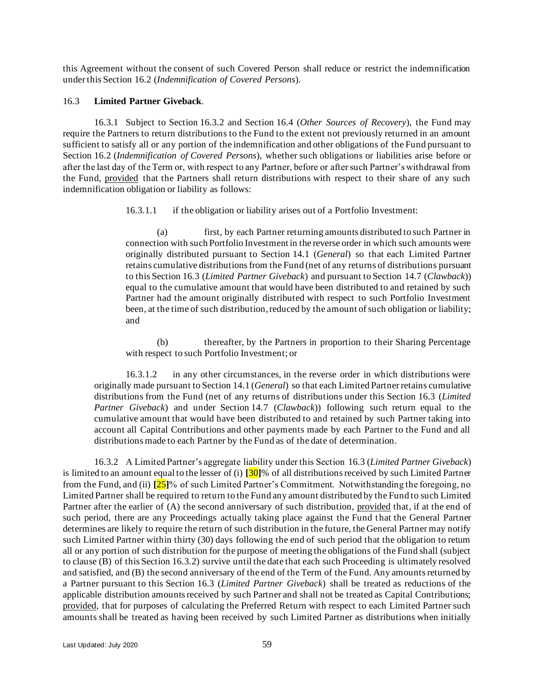this Agreement without the consent of such Covered Person shall reduce or restrict the indemnification under this Section [16.2](#page-60-0) (*Indemnification of Covered Persons*).

#### <span id="page-61-0"></span>16.3 **Limited Partner Giveback**.

16.3.1 Subject to Section [16.3.2](#page-61-1) and Section [16.4](#page-62-0) (*Other Sources of Recovery*), the Fund may require the Partners to return distributions to the Fund to the extent not previously returned in an amount sufficient to satisfy all or any portion of the indemnification and other obligations of the Fund pursuant to Section [16.2](#page-60-0) (*Indemnification of Covered Persons*), whether such obligations or liabilities arise before or after the last day of the Term or, with respect to any Partner, before or after such Partner's withdrawal from the Fund, provided that the Partners shall return distributions with respect to their share of any such indemnification obligation or liability as follows:

16.3.1.1 if the obligation or liability arises out of a Portfolio Investment:

(a) first, by each Partner returning amounts distributed to such Partner in connection with such Portfolio Investment in the reverse order in which such amounts were originally distributed pursuant to Section [14.1](#page-48-3) (*General*) so that each Limited Partner retains cumulative distributions from the Fund (net of any returns of distributions pursuant to this Section [16.3](#page-61-0) (*Limited Partner Giveback*) and pursuant to Section [14.7](#page-51-0) (*Clawback*)) equal to the cumulative amount that would have been distributed to and retained by such Partner had the amount originally distributed with respect to such Portfolio Investment been, at the time of such distribution, reduced by the amount of such obligation or liability; and

(b) thereafter, by the Partners in proportion to their Sharing Percentage with respect to such Portfolio Investment; or

16.3.1.2 in any other circumstances, in the reverse order in which distributions were originally made pursuant to Section [14.1](#page-48-3) (*General*) so that each Limited Partner retains cumulative distributions from the Fund (net of any returns of distributions under this Section [16.3](#page-61-0) (*Limited Partner Giveback*) and under Section [14.7](#page-51-0) (*Clawback*)) following such return equal to the cumulative amount that would have been distributed to and retained by such Partner taking into account all Capital Contributions and other payments made by each Partner to the Fund and all distributions made to each Partner by the Fund as of the date of determination.

<span id="page-61-1"></span>16.3.2 A Limited Partner's aggregate liability under this Section [16.3](#page-61-0) (*Limited Partner Giveback*) is limited to an amount equal to the lesser of (i) **[**30**]**% of all distributions received by such Limited Partner from the Fund, and (ii) **[**25**]**% of such Limited Partner's Commitment. Notwithstanding the foregoing, no Limited Partner shall be required to return to the Fund any amount distributed by the Fund to such Limited Partner after the earlier of (A) the second anniversary of such distribution, provided that, if at the end of such period, there are any Proceedings actually taking place against the Fund that the General Partner determines are likely to require the return of such distribution in the future, the General Partner may notify such Limited Partner within thirty (30) days following the end of such period that the obligation to return all or any portion of such distribution for the purpose of meeting the obligations of the Fund shall (subject to clause (B) of this Section [16.3.2\)](#page-61-1) survive until the date that each such Proceeding is ultimately resolved and satisfied, and (B) the second anniversary of the end of the Term of the Fund. Any amounts returned by a Partner pursuant to this Section [16.3](#page-61-0) (*Limited Partner Giveback*) shall be treated as reductions of the applicable distribution amounts received by such Partner and shall not be treated as Capital Contributions; provided, that for purposes of calculating the Preferred Return with respect to each Limited Partner such amounts shall be treated as having been received by such Limited Partner as distributions when initially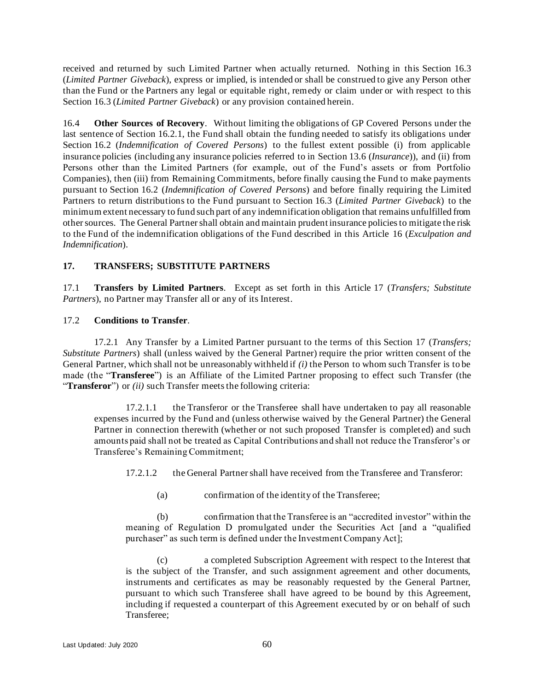received and returned by such Limited Partner when actually returned. Nothing in this Section [16.3](#page-61-0) (*Limited Partner Giveback*), express or implied, is intended or shall be construed to give any Person other than the Fund or the Partners any legal or equitable right, remedy or claim under or with respect to this Section [16.3](#page-61-0) (*Limited Partner Giveback*) or any provision contained herein.

<span id="page-62-0"></span>16.4 **Other Sources of Recovery**. Without limiting the obligations of GP Covered Persons under the last sentence of Section [16.2.1,](#page-60-1) the Fund shall obtain the funding needed to satisfy its obligations under Section [16.2](#page-60-0) (*Indemnification of Covered Persons*) to the fullest extent possible (i) from applicable insurance policies (including any insurance policies referred to in Section [13.6](#page-48-2) (*Insurance*)), and (ii) from Persons other than the Limited Partners (for example, out of the Fund's assets or from Portfolio Companies), then (iii) from Remaining Commitments, before finally causing the Fund to make payments pursuant to Section [16.2](#page-60-0) (*Indemnification of Covered Persons*) and before finally requiring the Limited Partners to return distributions to the Fund pursuant to Section [16.3](#page-61-0) (*Limited Partner Giveback*) to the minimum extent necessary to fund such part of any indemnification obligation that remains unfulfilled from other sources. The General Partner shall obtain and maintain prudent insurance policies to mitigate the risk to the Fund of the indemnification obligations of the Fund described in this Articl[e 16](#page-59-0) (*Exculpation and Indemnification*).

# <span id="page-62-1"></span>**17. TRANSFERS; SUBSTITUTE PARTNERS**

17.1 **Transfers by Limited Partners**. Except as set forth in this Article [17](#page-62-1) (*Transfers; Substitute Partners*), no Partner may Transfer all or any of its Interest.

### <span id="page-62-2"></span>17.2 **Conditions to Transfer**.

17.2.1 Any Transfer by a Limited Partner pursuant to the terms of this Section [17](#page-62-1) (*Transfers; Substitute Partners*) shall (unless waived by the General Partner) require the prior written consent of the General Partner, which shall not be unreasonably withheld if *(i)* the Person to whom such Transfer is to be made (the "**Transferee**") is an Affiliate of the Limited Partner proposing to effect such Transfer (the "**Transferor**") or *(ii)* such Transfer meets the following criteria:

17.2.1.1 the Transferor or the Transferee shall have undertaken to pay all reasonable expenses incurred by the Fund and (unless otherwise waived by the General Partner) the General Partner in connection therewith (whether or not such proposed Transfer is completed) and such amounts paid shall not be treated as Capital Contributions and shall not reduce the Transferor's or Transferee's Remaining Commitment;

17.2.1.2 the General Partner shall have received from the Transferee and Transferor:

(a) confirmation of the identity of the Transferee;

(b) confirmation that the Transferee is an "accredited investor" within the meaning of Regulation D promulgated under the Securities Act [and a "qualified purchaser" as such term is defined under the Investment Company Act];

(c) a completed Subscription Agreement with respect to the Interest that is the subject of the Transfer, and such assignment agreement and other documents, instruments and certificates as may be reasonably requested by the General Partner, pursuant to which such Transferee shall have agreed to be bound by this Agreement, including if requested a counterpart of this Agreement executed by or on behalf of such Transferee;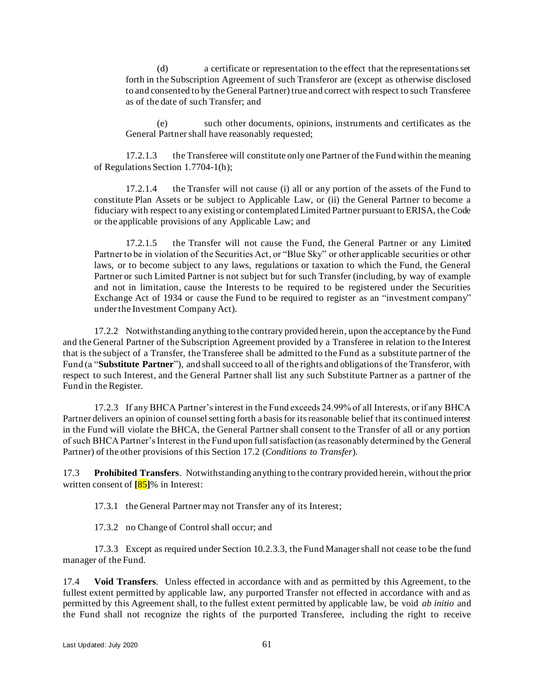(d) a certificate or representation to the effect that the representations set forth in the Subscription Agreement of such Transferor are (except as otherwise disclosed to and consented to by the General Partner) true and correct with respect to such Transferee as of the date of such Transfer; and

(e) such other documents, opinions, instruments and certificates as the General Partner shall have reasonably requested;

17.2.1.3 the Transferee will constitute only one Partner of the Fund within the meaning of Regulations Section 1.7704-1(h);

17.2.1.4 the Transfer will not cause (i) all or any portion of the assets of the Fund to constitute Plan Assets or be subject to Applicable Law, or (ii) the General Partner to become a fiduciary with respect to any existing or contemplated Limited Partner pursuant to ERISA, the Code or the applicable provisions of any Applicable Law; and

17.2.1.5 the Transfer will not cause the Fund, the General Partner or any Limited Partner to be in violation of the Securities Act, or "Blue Sky" or other applicable securities or other laws, or to become subject to any laws, regulations or taxation to which the Fund, the General Partner or such Limited Partner is not subject but for such Transfer (including, by way of example and not in limitation, cause the Interests to be required to be registered under the Securities Exchange Act of 1934 or cause the Fund to be required to register as an "investment company" under the Investment Company Act).

17.2.2 Notwithstanding anything to the contrary provided herein, upon the acceptance by the Fund and the General Partner of the Subscription Agreement provided by a Transferee in relation to the Interest that is the subject of a Transfer, the Transferee shall be admitted to the Fund as a substitute partner of the Fund (a "**Substitute Partner**"), and shall succeed to all of the rights and obligations of the Transferor, with respect to such Interest, and the General Partner shall list any such Substitute Partner as a partner of the Fund in the Register.

17.2.3 If any BHCA Partner's interest in the Fund exceeds 24.99% of all Interests, or if any BHCA Partner delivers an opinion of counsel setting forth a basis for its reasonable belief that its continued interest in the Fund will violate the BHCA, the General Partner shall consent to the Transfer of all or any portion of such BHCA Partner's Interest in the Fund upon full satisfaction (as reasonably determined by the General Partner) of the other provisions of this Section [17.2](#page-62-2) (*Conditions to Transfer*).

17.3 **Prohibited Transfers**. Notwithstanding anything to the contrary provided herein, without the prior written consent of **[**85**]**% in Interest:

17.3.1 the General Partner may not Transfer any of its Interest;

17.3.2 no Change of Control shall occur; and

17.3.3 Except as required under Sectio[n 10.2.3.3,](#page-42-2) the Fund Manager shall not cease to be the fund manager of the Fund.

17.4 **Void Transfers**. Unless effected in accordance with and as permitted by this Agreement, to the fullest extent permitted by applicable law, any purported Transfer not effected in accordance with and as permitted by this Agreement shall, to the fullest extent permitted by applicable law, be void *ab initio* and the Fund shall not recognize the rights of the purported Transferee, including the right to receive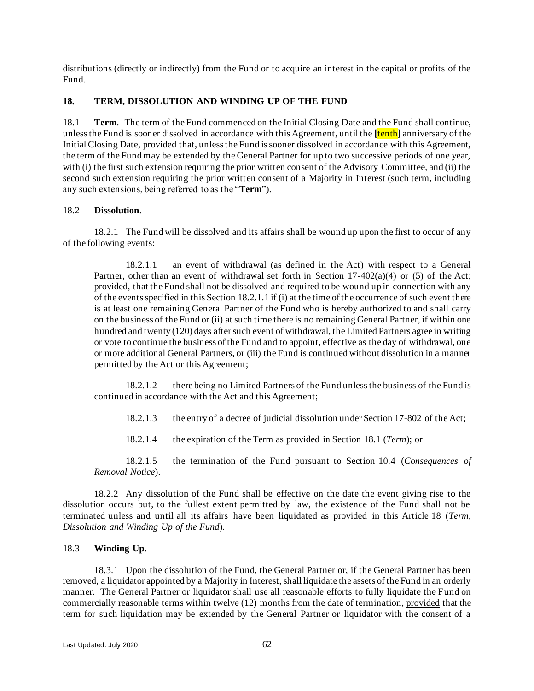distributions (directly or indirectly) from the Fund or to acquire an interest in the capital or profits of the Fund.

# <span id="page-64-0"></span>**18. TERM, DISSOLUTION AND WINDING UP OF THE FUND**

<span id="page-64-4"></span>18.1 **Term**. The term of the Fund commenced on the Initial Closing Date and the Fund shall continue, unless the Fund is sooner dissolved in accordance with this Agreement, until the **[**tenth**]** anniversary of the Initial Closing Date, provided that, unless the Fund is sooner dissolved in accordance with this Agreement, the term of the Fund may be extended by the General Partner for up to two successive periods of one year, with (i) the first such extension requiring the prior written consent of the Advisory Committee, and (ii) the second such extension requiring the prior written consent of a Majority in Interest (such term, including any such extensions, being referred to as the "**Term**").

## <span id="page-64-1"></span>18.2 **Dissolution**.

<span id="page-64-3"></span>18.2.1 The Fund will be dissolved and its affairs shall be wound up upon the first to occur of any of the following events:

18.2.1.1 an event of withdrawal (as defined in the Act) with respect to a General Partner, other than an event of withdrawal set forth in Section  $17-402(a)(4)$  or (5) of the Act; provided, that the Fund shall not be dissolved and required to be wound up in connection with any of the events specified in this Sectio[n 18.2.1.1](#page-64-3) if (i) at the time of the occurrence of such event there is at least one remaining General Partner of the Fund who is hereby authorized to and shall carry on the business of the Fund or (ii) at such time there is no remaining General Partner, if within one hundred and twenty (120) days after such event of withdrawal, the Limited Partners agree in writing or vote to continue the business of the Fund and to appoint, effective as the day of withdrawal, one or more additional General Partners, or (iii) the Fund is continued without dissolution in a manner permitted by the Act or this Agreement;

18.2.1.2 there being no Limited Partners of the Fund unless the business of the Fund is continued in accordance with the Act and this Agreement;

18.2.1.3 the entry of a decree of judicial dissolution under Section 17-802 of the Act;

18.2.1.4 the expiration of the Term as provided in Section [18.1](#page-64-4) (*Term*); or

18.2.1.5 the termination of the Fund pursuant to Section [10.4](#page-44-2) (*Consequences of Removal Notice*).

18.2.2 Any dissolution of the Fund shall be effective on the date the event giving rise to the dissolution occurs but, to the fullest extent permitted by law, the existence of the Fund shall not be terminated unless and until all its affairs have been liquidated as provided in this Article [18](#page-64-0) (*Term, Dissolution and Winding Up of the Fund*).

## <span id="page-64-2"></span>18.3 **Winding Up**.

<span id="page-64-5"></span>18.3.1 Upon the dissolution of the Fund, the General Partner or, if the General Partner has been removed, a liquidator appointed by a Majority in Interest, shall liquidate the assets of the Fund in an orderly manner. The General Partner or liquidator shall use all reasonable efforts to fully liquidate the Fund on commercially reasonable terms within twelve (12) months from the date of termination, provided that the term for such liquidation may be extended by the General Partner or liquidator with the consent of a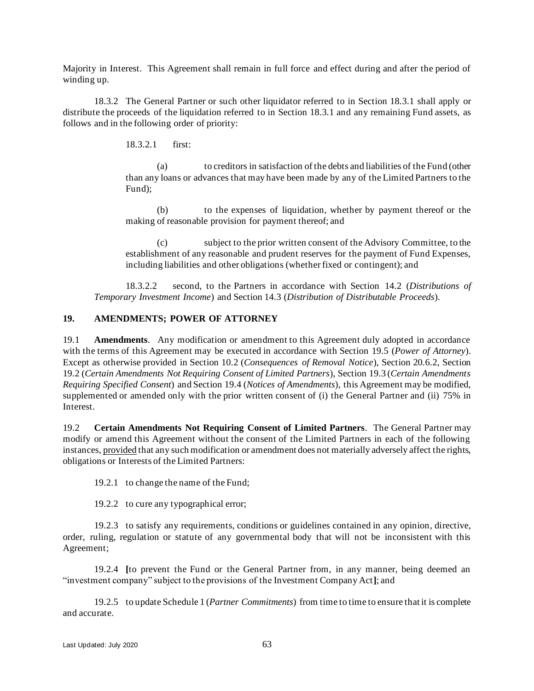Majority in Interest. This Agreement shall remain in full force and effect during and after the period of winding up.

18.3.2 The General Partner or such other liquidator referred to in Section [18.3.1](#page-64-5) shall apply or distribute the proceeds of the liquidation referred to in Section [18.3.1](#page-64-5) and any remaining Fund assets, as follows and in the following order of priority:

18.3.2.1 first:

(a) to creditors in satisfaction of the debts and liabilities of the Fund (other than any loans or advances that may have been made by any of the Limited Partners to the Fund);

(b) to the expenses of liquidation, whether by payment thereof or the making of reasonable provision for payment thereof; and

(c) subject to the prior written consent of the Advisory Committee, to the establishment of any reasonable and prudent reserves for the payment of Fund Expenses, including liabilities and other obligations (whether fixed or contingent); and

18.3.2.2 second, to the Partners in accordance with Section [14.2](#page-49-5) (*Distributions of Temporary Investment Income*) and Section [14.3](#page-49-4) (*Distribution of Distributable Proceeds*).

## <span id="page-65-1"></span><span id="page-65-0"></span>**19. AMENDMENTS; POWER OF ATTORNEY**

<span id="page-65-3"></span>19.1 **Amendments**. Any modification or amendment to this Agreement duly adopted in accordance with the terms of this Agreement may be executed in accordance with Section [19.5](#page-66-0) (*Power of Attorney*). Except as otherwise provided in Section [10.2](#page-41-2) (*Consequences of Removal Notice*), Section [20.6.2,](#page-69-0) Section [19.2](#page-65-2) (*Certain Amendments Not Requiring Consent of Limited Partners*), Section [19.3](#page-66-1) (*Certain Amendments Requiring Specified Consent*) and Section [19.4](#page-66-2) (*Notices of Amendments*), this Agreement may be modified, supplemented or amended only with the prior written consent of (i) the General Partner and (ii) 75% in Interest.

<span id="page-65-2"></span>19.2 **Certain Amendments Not Requiring Consent of Limited Partners**. The General Partner may modify or amend this Agreement without the consent of the Limited Partners in each of the following instances, provided that any such modification or amendment does not materially adversely affect the rights, obligations or Interests of the Limited Partners:

19.2.1 to change the name of the Fund;

19.2.2 to cure any typographical error;

19.2.3 to satisfy any requirements, conditions or guidelines contained in any opinion, directive, order, ruling, regulation or statute of any governmental body that will not be inconsistent with this Agreement;

19.2.4 **[**to prevent the Fund or the General Partner from, in any manner, being deemed an "investment company" subject to the provisions of the Investment Company Act**]**; and

19.2.5 to update Schedule 1 (*Partner Commitments*) from time to time to ensure that it is complete and accurate.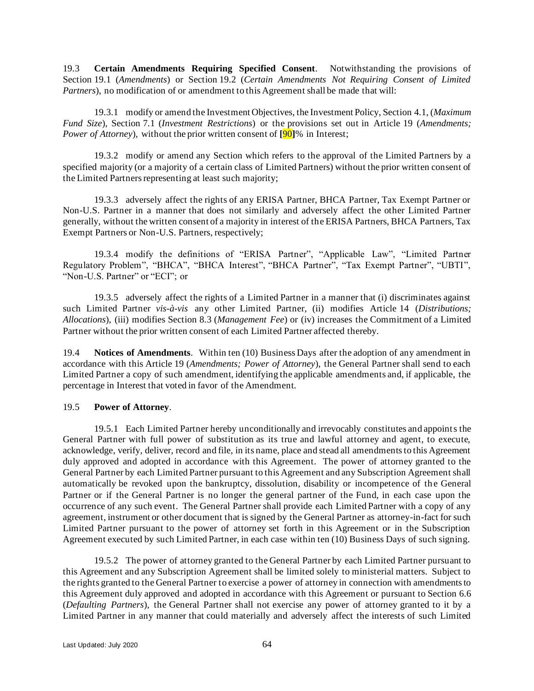<span id="page-66-1"></span>19.3 **Certain Amendments Requiring Specified Consent**. Notwithstanding the provisions of Section [19.1](#page-65-3) (*Amendments*) or Section [19.2](#page-65-2) (*Certain Amendments Not Requiring Consent of Limited Partners*), no modification of or amendment to this Agreement shall be made that will:

19.3.1 modify or amend the Investment Objectives, the Investment Policy, Sectio[n 4.1,](#page-23-0) (*Maximum Fund Size*), Section [7.1](#page-31-0) (*Investment Restrictions*) or the provisions set out in Article [19](#page-65-0) (*Amendments; Power of Attorney*), without the prior written consent of **[**90**]**% in Interest;

19.3.2 modify or amend any Section which refers to the approval of the Limited Partners by a specified majority (or a majority of a certain class of Limited Partners) without the prior written consent of the Limited Partners representing at least such majority;

19.3.3 adversely affect the rights of any ERISA Partner, BHCA Partner, Tax Exempt Partner or Non-U.S. Partner in a manner that does not similarly and adversely affect the other Limited Partner generally, without the written consent of a majority in interest of the ERISA Partners, BHCA Partners, Tax Exempt Partners or Non-U.S. Partners, respectively;

19.3.4 modify the definitions of "ERISA Partner", "Applicable Law", "Limited Partner Regulatory Problem", "BHCA", "BHCA Interest", "BHCA Partner", "Tax Exempt Partner", "UBTI", "Non-U.S. Partner" or "ECI"; or

19.3.5 adversely affect the rights of a Limited Partner in a manner that (i) discriminates against such Limited Partner *vis-à-vis* any other Limited Partner, (ii) modifies Article [14](#page-48-0) (*Distributions; Allocations*), (iii) modifies Section [8.3](#page-35-0) (*Management Fee*) or (iv) increases the Commitment of a Limited Partner without the prior written consent of each Limited Partner affected thereby.

<span id="page-66-2"></span>19.4 **Notices of Amendments**. Within ten (10) Business Days after the adoption of any amendment in accordance with this Article [19](#page-65-0) (*Amendments; Power of Attorney*), the General Partner shall send to each Limited Partner a copy of such amendment, identifying the applicable amendments and, if applicable, the percentage in Interest that voted in favor of the Amendment.

## <span id="page-66-0"></span>19.5 **Power of Attorney**.

19.5.1 Each Limited Partner hereby unconditionally and irrevocably constitutes and appoints the General Partner with full power of substitution as its true and lawful attorney and agent, to execute, acknowledge, verify, deliver, record and file, in its name, place and stead all amendments to this Agreement duly approved and adopted in accordance with this Agreement. The power of attorney granted to the General Partner by each Limited Partner pursuant to this Agreement and any Subscription Agreement shall automatically be revoked upon the bankruptcy, dissolution, disability or incompetence of th e General Partner or if the General Partner is no longer the general partner of the Fund, in each case upon the occurrence of any such event. The General Partner shall provide each Limited Partner with a copy of any agreement, instrument or other document that is signed by the General Partner as attorney-in-fact for such Limited Partner pursuant to the power of attorney set forth in this Agreement or in the Subscription Agreement executed by such Limited Partner, in each case within ten (10) Business Days of such signing.

19.5.2 The power of attorney granted to the General Partner by each Limited Partner pursuant to this Agreement and any Subscription Agreement shall be limited solely to ministerial matters. Subject to the rights granted to the General Partner to exercise a power of attorney in connection with amendments to this Agreement duly approved and adopted in accordance with this Agreement or pursuant to Section [6.6](#page-28-0) (*Defaulting Partners*), the General Partner shall not exercise any power of attorney granted to it by a Limited Partner in any manner that could materially and adversely affect the interests of such Limited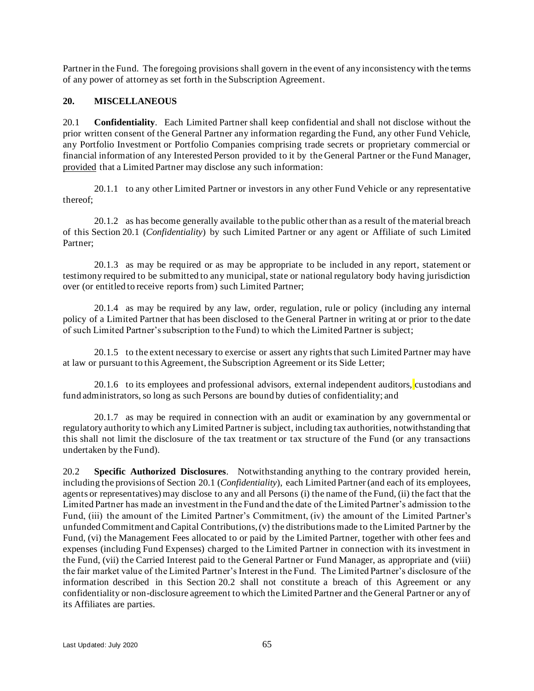Partner in the Fund. The foregoing provisions shall govern in the event of any inconsistency with the terms of any power of attorney as set forth in the Subscription Agreement.

# **20. MISCELLANEOUS**

<span id="page-67-0"></span>20.1 **Confidentiality**. Each Limited Partner shall keep confidential and shall not disclose without the prior written consent of the General Partner any information regarding the Fund, any other Fund Vehicle, any Portfolio Investment or Portfolio Companies comprising trade secrets or proprietary commercial or financial information of any Interested Person provided to it by the General Partner or the Fund Manager, provided that a Limited Partner may disclose any such information:

20.1.1 to any other Limited Partner or investors in any other Fund Vehicle or any representative thereof;

20.1.2 as has become generally available to the public other than as a result of the material breach of this Section [20.1](#page-67-0) (*Confidentiality*) by such Limited Partner or any agent or Affiliate of such Limited Partner;

20.1.3 as may be required or as may be appropriate to be included in any report, statement or testimony required to be submitted to any municipal, state or national regulatory body having jurisdiction over (or entitled to receive reports from) such Limited Partner;

20.1.4 as may be required by any law, order, regulation, rule or policy (including any internal policy of a Limited Partner that has been disclosed to the General Partner in writing at or prior to the date of such Limited Partner's subscription to the Fund) to which the Limited Partner is subject;

20.1.5 to the extent necessary to exercise or assert any rights that such Limited Partner may have at law or pursuant to this Agreement, the Subscription Agreement or its Side Letter;

20.1.6 to its employees and professional advisors, external independent auditors, custodians and fund administrators, so long as such Persons are bound by duties of confidentiality; and

20.1.7 as may be required in connection with an audit or examination by any governmental or regulatory authority to which any Limited Partner is subject, including tax authorities, notwithstanding that this shall not limit the disclosure of the tax treatment or tax structure of the Fund (or any transactions undertaken by the Fund).

<span id="page-67-1"></span>20.2 **Specific Authorized Disclosures**. Notwithstanding anything to the contrary provided herein, including the provisions of Section [20.1](#page-67-0) (*Confidentiality*), each Limited Partner (and each of its employees, agents or representatives) may disclose to any and all Persons (i) the name of the Fund, (ii) the fact that the Limited Partner has made an investment in the Fund and the date of the Limited Partner's admission to the Fund, (iii) the amount of the Limited Partner's Commitment, (iv) the amount of the Limited Partner's unfunded Commitment and Capital Contributions, (v) the distributions made to the Limited Partner by the Fund, (vi) the Management Fees allocated to or paid by the Limited Partner, together with other fees and expenses (including Fund Expenses) charged to the Limited Partner in connection with its investment in the Fund, (vii) the Carried Interest paid to the General Partner or Fund Manager, as appropriate and (viii) the fair market value of the Limited Partner's Interest in the Fund. The Limited Partner's disclosure of the information described in this Section [20.2](#page-67-1) shall not constitute a breach of this Agreement or any confidentiality or non-disclosure agreement to which the Limited Partner and the General Partner or any of its Affiliates are parties.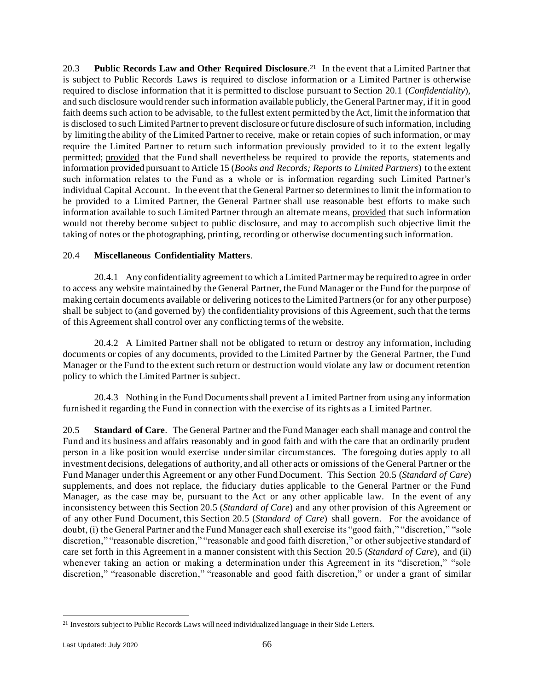20.3 **Public Records Law and Other Required Disclosure**. 21 In the event that a Limited Partner that is subject to Public Records Laws is required to disclose information or a Limited Partner is otherwise required to disclose information that it is permitted to disclose pursuant to Section [20.1](#page-67-0) (*Confidentiality*), and such disclosure would render such information available publicly, the General Partner may, if it in good faith deems such action to be advisable, to the fullest extent permitted by the Act, limit the information that is disclosed to such Limited Partner to prevent disclosure or future disclosure of such information, including by limiting the ability of the Limited Partner to receive, make or retain copies of such information, or may require the Limited Partner to return such information previously provided to it to the extent legally permitted; provided that the Fund shall nevertheless be required to provide the reports, statements and information provided pursuant to Articl[e 15](#page-54-2) (*Books and Records; Reports to Limited Partners*) to the extent such information relates to the Fund as a whole or is information regarding such Limited Partner's individual Capital Account. In the event that the General Partner so determines to limit the information to be provided to a Limited Partner, the General Partner shall use reasonable best efforts to make such information available to such Limited Partner through an alternate means, provided that such information would not thereby become subject to public disclosure, and may to accomplish such objective limit the taking of notes or the photographing, printing, recording or otherwise documenting such information.

## 20.4 **Miscellaneous Confidentiality Matters**.

20.4.1 Any confidentiality agreement to which a Limited Partner may be required to agree in order to access any website maintained by the General Partner, the Fund Manager or the Fund for the purpose of making certain documents available or delivering notices to the Limited Partners (or for any other purpose) shall be subject to (and governed by) the confidentiality provisions of this Agreement, such that the terms of this Agreement shall control over any conflicting terms of the website.

20.4.2 A Limited Partner shall not be obligated to return or destroy any information, including documents or copies of any documents, provided to the Limited Partner by the General Partner, the Fund Manager or the Fund to the extent such return or destruction would violate any law or document retention policy to which the Limited Partner is subject.

20.4.3 Nothing in the Fund Documents shall prevent a Limited Partner from using any information furnished it regarding the Fund in connection with the exercise of its rights as a Limited Partner.

<span id="page-68-0"></span>20.5 **Standard of Care**. The General Partner and the Fund Manager each shall manage and control the Fund and its business and affairs reasonably and in good faith and with the care that an ordinarily prudent person in a like position would exercise under similar circumstances. The foregoing duties apply to all investment decisions, delegations of authority, and all other acts or omissions of the General Partner or the Fund Manager under this Agreement or any other Fund Document. This Section [20.5](#page-68-0) (*Standard of Care*) supplements, and does not replace, the fiduciary duties applicable to the General Partner or the Fund Manager, as the case may be, pursuant to the Act or any other applicable law. In the event of any inconsistency between this Section [20.5](#page-68-0) (*Standard of Care*) and any other provision of this Agreement or of any other Fund Document, this Section [20.5](#page-68-0) (*Standard of Care*) shall govern. For the avoidance of doubt, (i) the General Partner and the Fund Manager each shall exercise its "good faith," "discretion," "sole discretion," "reasonable discretion," "reasonable and good faith discretion," or other subjective standard of care set forth in this Agreement in a manner consistent with this Section [20.5](#page-68-0) (*Standard of Care*), and (ii) whenever taking an action or making a determination under this Agreement in its "discretion," "sole discretion," "reasonable discretion," "reasonable and good faith discretion," or under a grant of similar

<sup>&</sup>lt;sup>21</sup> Investors subject to Public Records Laws will need individualized language in their Side Letters.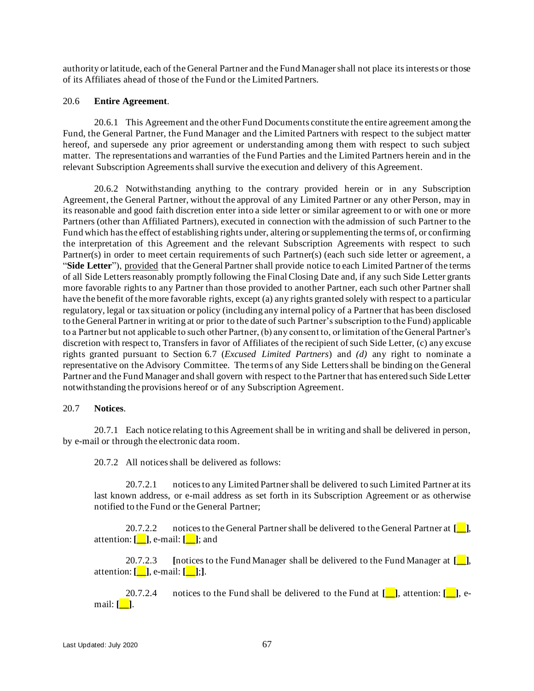authority or latitude, each of the General Partner and the Fund Manager shall not place its interests or those of its Affiliates ahead of those of the Fund or the Limited Partners.

#### 20.6 **Entire Agreement**.

20.6.1 This Agreement and the other Fund Documents constitute the entire agreement among the Fund, the General Partner, the Fund Manager and the Limited Partners with respect to the subject matter hereof, and supersede any prior agreement or understanding among them with respect to such subject matter. The representations and warranties of the Fund Parties and the Limited Partners herein and in the relevant Subscription Agreements shall survive the execution and delivery of this Agreement.

<span id="page-69-0"></span>20.6.2 Notwithstanding anything to the contrary provided herein or in any Subscription Agreement, the General Partner, without the approval of any Limited Partner or any other Person, may in its reasonable and good faith discretion enter into a side letter or similar agreement to or with one or more Partners (other than Affiliated Partners), executed in connection with the admission of such Partner to the Fund which has the effect of establishing rights under, altering or supplementing the terms of, or confirming the interpretation of this Agreement and the relevant Subscription Agreements with respect to such Partner(s) in order to meet certain requirements of such Partner(s) (each such side letter or agreement, a "**Side Letter**"), provided that the General Partner shall provide notice to each Limited Partner of the terms of all Side Letters reasonably promptly following the Final Closing Date and, if any such Side Letter grants more favorable rights to any Partner than those provided to another Partner, each such other Partner shall have the benefit of the more favorable rights, except (a) any rights granted solely with respect to a particular regulatory, legal or tax situation or policy (including any internal policy of a Partner that has been disclosed to the General Partner in writing at or prior to the date of such Partner's subscription to the Fund) applicable to a Partner but not applicable to such other Partner, (b) any consent to, or limitation of the General Partner's discretion with respect to, Transfers in favor of Affiliates of the recipient of such Side Letter, (c) any excuse rights granted pursuant to Section [6.7](#page-30-0) (*Excused Limited Partners*) and *(d)* any right to nominate a representative on the Advisory Committee. The terms of any Side Letters shall be binding on the General Partner and the Fund Manager and shall govern with respect to the Partner that has entered such Side Letter notwithstanding the provisions hereof or of any Subscription Agreement.

### 20.7 **Notices**.

<span id="page-69-1"></span>20.7.1 Each notice relating to this Agreement shall be in writing and shall be delivered in person, by e-mail or through the electronic data room.

20.7.2 All notices shall be delivered as follows:

20.7.2.1 notices to any Limited Partner shall be delivered to such Limited Partner at its last known address, or e-mail address as set forth in its Subscription Agreement or as otherwise notified to the Fund or the General Partner;

20.7.2.2 notices to the General Partner shall be delivered to the General Partner at **[\_\_]**, attention: **[\_\_]**, e-mail: **[\_\_]**; and

20.7.2.3 **[**notices to the Fund Manager shall be delivered to the Fund Manager at **[\_\_]**, attention: **[\_\_]**, e-mail: **[\_\_]**;**]**.

20.7.2.4 notices to the Fund shall be delivered to the Fund at **[\_\_]**, attention: **[\_\_]**, email: **[\_\_]**.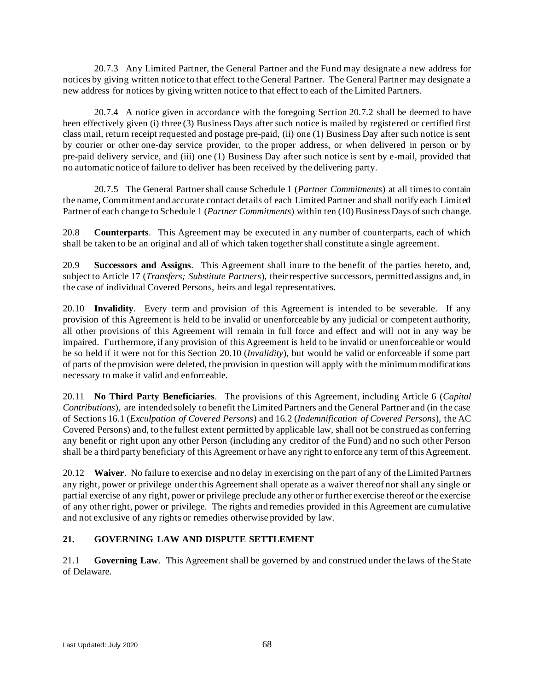20.7.3 Any Limited Partner, the General Partner and the Fund may designate a new address for notices by giving written notice to that effect to the General Partner. The General Partner may designate a new address for notices by giving written notice to that effect to each of the Limited Partners.

20.7.4 A notice given in accordance with the foregoing Section [20.7.2](#page-69-1) shall be deemed to have been effectively given (i) three (3) Business Days after such notice is mailed by registered or certified first class mail, return receipt requested and postage pre-paid, (ii) one (1) Business Day after such notice is sent by courier or other one-day service provider, to the proper address, or when delivered in person or by pre-paid delivery service, and (iii) one (1) Business Day after such notice is sent by e-mail, provided that no automatic notice of failure to deliver has been received by the delivering party.

20.7.5 The General Partner shall cause Schedule 1 (*Partner Commitments*) at all times to contain the name, Commitment and accurate contact details of each Limited Partner and shall notify each Limited Partner of each change to Schedule 1 (*Partner Commitments*) within ten (10) Business Days of such change.

20.8 **Counterparts**. This Agreement may be executed in any number of counterparts, each of which shall be taken to be an original and all of which taken together shall constitute a single agreement.

20.9 **Successors and Assigns**. This Agreement shall inure to the benefit of the parties hereto, and, subject to Article [17](#page-62-1) (*Transfers; Substitute Partners*), their respective successors, permitted assigns and, in the case of individual Covered Persons, heirs and legal representatives.

<span id="page-70-0"></span>20.10 **Invalidity**. Every term and provision of this Agreement is intended to be severable. If any provision of this Agreement is held to be invalid or unenforceable by any judicial or competent authority, all other provisions of this Agreement will remain in full force and effect and will not in any way be impaired. Furthermore, if any provision of this Agreement is held to be invalid or unenforceable or would be so held if it were not for this Section [20.10](#page-70-0) (*Invalidity*), but would be valid or enforceable if some part of parts of the provision were deleted, the provision in question will apply with the minimum modifications necessary to make it valid and enforceable.

20.11 **No Third Party Beneficiaries**. The provisions of this Agreement, including Article [6](#page-25-0) (*Capital Contributions*), are intended solely to benefit the Limited Partners and the General Partner and (in the case of Section[s 16.1](#page-60-2) (*Exculpation of Covered Persons*) an[d 16.2](#page-60-0) (*Indemnification of Covered Persons*), the AC Covered Persons) and, to the fullest extent permitted by applicable law, shall not be construed as conferring any benefit or right upon any other Person (including any creditor of the Fund) and no such other Person shall be a third party beneficiary of this Agreement or have any right to enforce any term of this Agreement.

20.12 **Waiver**. No failure to exercise and no delay in exercising on the part of any of the Limited Partners any right, power or privilege under this Agreement shall operate as a waiver thereof nor shall any single or partial exercise of any right, power or privilege preclude any other or further exercise thereof or the exercise of any other right, power or privilege. The rights and remedies provided in this Agreement are cumulative and not exclusive of any rights or remedies otherwise provided by law.

# **21. GOVERNING LAW AND DISPUTE SETTLEMENT**

21.1 **Governing Law**. This Agreement shall be governed by and construed under the laws of the State of Delaware.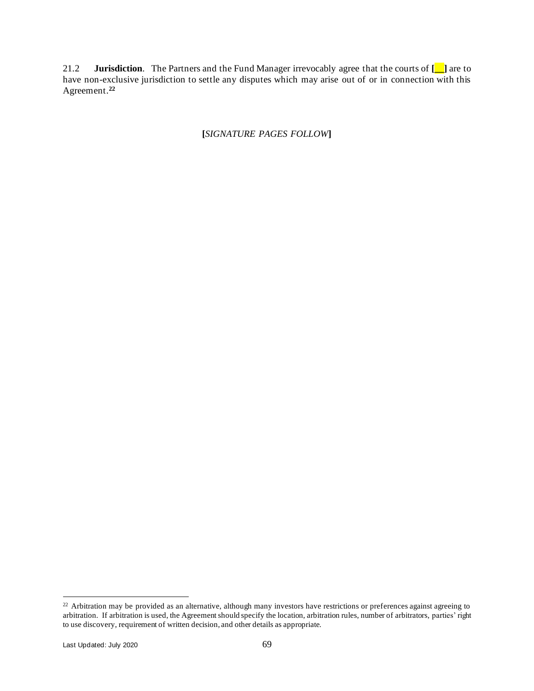21.2 **Jurisdiction**. The Partners and the Fund Manager irrevocably agree that the courts of **[\_\_]** are to have non-exclusive jurisdiction to settle any disputes which may arise out of or in connection with this Agreement.**<sup>22</sup>**

# **[***SIGNATURE PAGES FOLLOW***]**

<sup>&</sup>lt;sup>22</sup> Arbitration may be provided as an alternative, although many investors have restrictions or preferences against agreeing to arbitration. If arbitration is used, the Agreement should specify the location, arbitration rules, number of arbitrators, parties' right to use discovery, requirement of written decision, and other details as appropriate.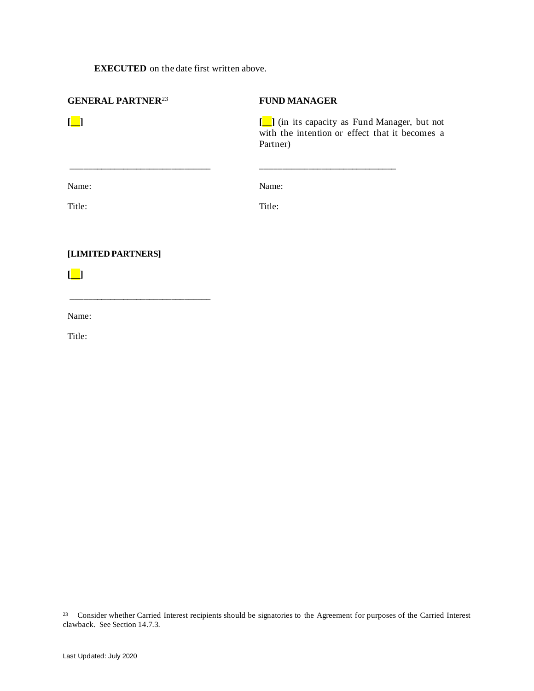## **EXECUTED** on the date first written above.

\_\_\_\_\_\_\_\_\_\_\_\_\_\_\_\_\_\_\_\_\_\_\_\_\_\_\_\_\_\_\_\_

| <b>GENERAL PARTNER<sup>23</sup></b> | <b>FUND MANAGER</b>                                        |
|-------------------------------------|------------------------------------------------------------|
| $\Box$                              | with the intention or effect that it becomes a<br>Partner) |
|                                     |                                                            |
| Name:                               | Name:                                                      |
| Title:                              | Title:                                                     |
| [LIMITED PARTNERS]                  |                                                            |
|                                     |                                                            |

Name:

Title:

<sup>&</sup>lt;sup>23</sup> Consider whether Carried Interest recipients should be signatories to the Agreement for purposes of the Carried Interest clawback. See Section 14.7.3.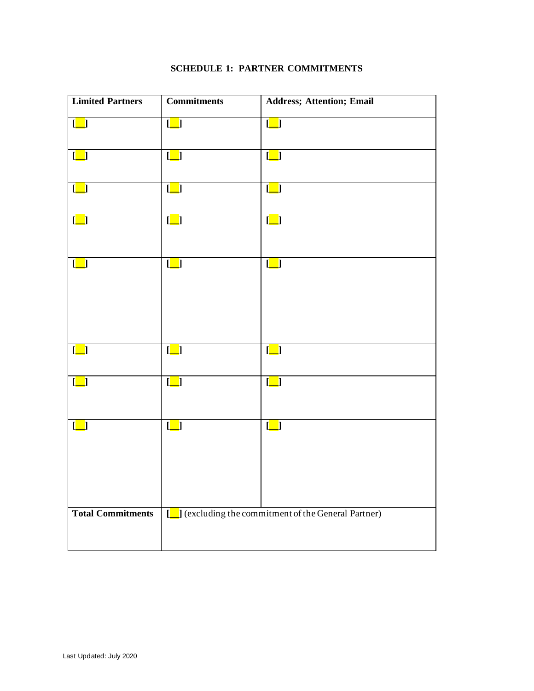| <b>Limited Partners</b>                             | <b>Commitments</b>                                   | <b>Address; Attention; Email</b>                         |
|-----------------------------------------------------|------------------------------------------------------|----------------------------------------------------------|
| $\left[\underline{\phantom{a}}\right]$              | $\begin{bmatrix} \boxed{\phantom{0}} \end{bmatrix}$  | $\left[\begin{array}{c} \blacksquare \end{array}\right]$ |
| $\begin{bmatrix} \boxed{\phantom{0}} \end{bmatrix}$ | $\begin{bmatrix} \boxed{\phantom{0}} \end{bmatrix}$  | $\left[\underline{\phantom{a}}\right]$                   |
| $[\_]$                                              | $\left[\_\right]$                                    | $\left[\underline{\phantom{a}}\right]$                   |
| $\Box$                                              | $\begin{bmatrix} \boxed{\phantom{0}} \end{bmatrix}$  | $\left[\underline{\phantom{a}}\right]$                   |
| $\lfloor \underline{\square} \rfloor$               | $[\_]$                                               | $\left[\underline{\phantom{a}}\right]$                   |
| $\begin{bmatrix} \boxed{\phantom{0}} \end{bmatrix}$ | $\begin{bmatrix} \boxed{\phantom{0}} \end{bmatrix}$  | $\left[\underline{\phantom{a}}\right]$                   |
| $\begin{bmatrix} \boxed{\phantom{0}} \end{bmatrix}$ | $\begin{bmatrix} \boxed{\phantom{0}} \end{bmatrix}$  | $\begin{array}{ c } \hline \hline \end{array}$           |
| $\begin{bmatrix} \boxed{\phantom{0}} \end{bmatrix}$ | $\left[\underline{\phantom{a}}\right]$               | $\lfloor \blacksquare \rfloor$                           |
| <b>Total Commitments</b>                            | [   cxcluding the commitment of the General Partner) |                                                          |

## **SCHEDULE 1: PARTNER COMMITMENTS**